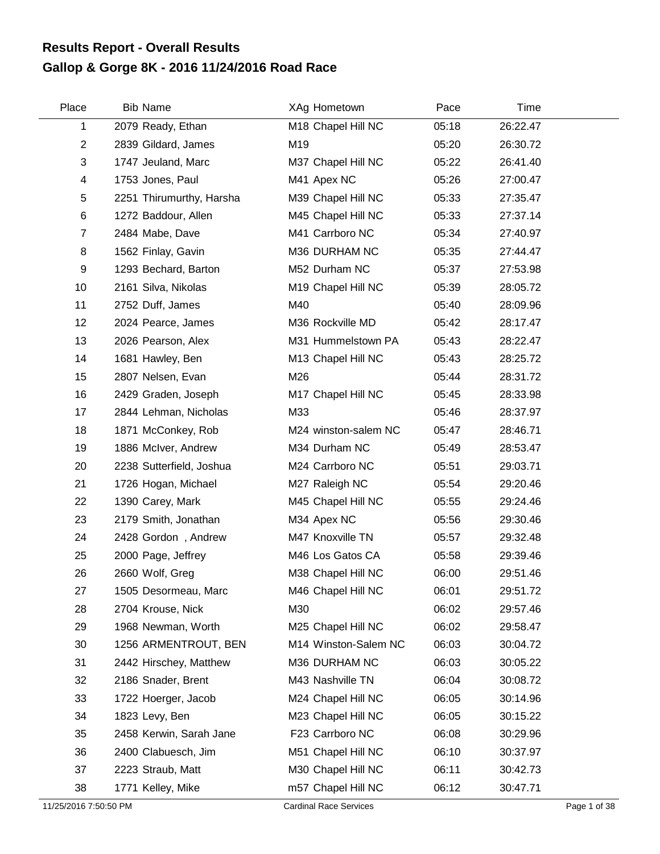## **Gallop & Gorge 8K - 2016 11/24/2016 Road Race Results Report - Overall Results**

| Place                   | <b>Bib Name</b>          | XAg Hometown         | Pace  | Time     |  |
|-------------------------|--------------------------|----------------------|-------|----------|--|
| 1                       | 2079 Ready, Ethan        | M18 Chapel Hill NC   | 05:18 | 26:22.47 |  |
| $\overline{2}$          | 2839 Gildard, James      | M19                  | 05:20 | 26:30.72 |  |
| 3                       | 1747 Jeuland, Marc       | M37 Chapel Hill NC   | 05:22 | 26:41.40 |  |
| $\overline{\mathbf{4}}$ | 1753 Jones, Paul         | M41 Apex NC          | 05:26 | 27:00.47 |  |
| 5                       | 2251 Thirumurthy, Harsha | M39 Chapel Hill NC   | 05:33 | 27:35.47 |  |
| 6                       | 1272 Baddour, Allen      | M45 Chapel Hill NC   | 05:33 | 27:37.14 |  |
| $\overline{7}$          | 2484 Mabe, Dave          | M41 Carrboro NC      | 05:34 | 27:40.97 |  |
| 8                       | 1562 Finlay, Gavin       | M36 DURHAM NC        | 05:35 | 27:44.47 |  |
| 9                       | 1293 Bechard, Barton     | M52 Durham NC        | 05:37 | 27:53.98 |  |
| 10                      | 2161 Silva, Nikolas      | M19 Chapel Hill NC   | 05:39 | 28:05.72 |  |
| 11                      | 2752 Duff, James         | M40                  | 05:40 | 28:09.96 |  |
| 12                      | 2024 Pearce, James       | M36 Rockville MD     | 05:42 | 28:17.47 |  |
| 13                      | 2026 Pearson, Alex       | M31 Hummelstown PA   | 05:43 | 28:22.47 |  |
| 14                      | 1681 Hawley, Ben         | M13 Chapel Hill NC   | 05:43 | 28:25.72 |  |
| 15                      | 2807 Nelsen, Evan        | M26                  | 05:44 | 28:31.72 |  |
| 16                      | 2429 Graden, Joseph      | M17 Chapel Hill NC   | 05:45 | 28:33.98 |  |
| 17                      | 2844 Lehman, Nicholas    | M33                  | 05:46 | 28:37.97 |  |
| 18                      | 1871 McConkey, Rob       | M24 winston-salem NC | 05:47 | 28:46.71 |  |
| 19                      | 1886 McIver, Andrew      | M34 Durham NC        | 05:49 | 28:53.47 |  |
| 20                      | 2238 Sutterfield, Joshua | M24 Carrboro NC      | 05:51 | 29:03.71 |  |
| 21                      | 1726 Hogan, Michael      | M27 Raleigh NC       | 05:54 | 29:20.46 |  |
| 22                      | 1390 Carey, Mark         | M45 Chapel Hill NC   | 05:55 | 29:24.46 |  |
| 23                      | 2179 Smith, Jonathan     | M34 Apex NC          | 05:56 | 29:30.46 |  |
| 24                      | 2428 Gordon, Andrew      | M47 Knoxville TN     | 05:57 | 29:32.48 |  |
| 25                      | 2000 Page, Jeffrey       | M46 Los Gatos CA     | 05:58 | 29:39.46 |  |
| 26                      | 2660 Wolf, Greg          | M38 Chapel Hill NC   | 06:00 | 29:51.46 |  |
| 27                      | 1505 Desormeau, Marc     | M46 Chapel Hill NC   | 06:01 | 29:51.72 |  |
| 28                      | 2704 Krouse, Nick        | M30                  | 06:02 | 29:57.46 |  |
| 29                      | 1968 Newman, Worth       | M25 Chapel Hill NC   | 06:02 | 29:58.47 |  |
| 30                      | 1256 ARMENTROUT, BEN     | M14 Winston-Salem NC | 06:03 | 30:04.72 |  |
| 31                      | 2442 Hirschey, Matthew   | M36 DURHAM NC        | 06:03 | 30:05.22 |  |
| 32                      | 2186 Snader, Brent       | M43 Nashville TN     | 06:04 | 30:08.72 |  |
| 33                      | 1722 Hoerger, Jacob      | M24 Chapel Hill NC   | 06:05 | 30:14.96 |  |
| 34                      | 1823 Levy, Ben           | M23 Chapel Hill NC   | 06:05 | 30:15.22 |  |
| 35                      | 2458 Kerwin, Sarah Jane  | F23 Carrboro NC      | 06:08 | 30:29.96 |  |
| 36                      | 2400 Clabuesch, Jim      | M51 Chapel Hill NC   | 06:10 | 30:37.97 |  |
| 37                      | 2223 Straub, Matt        | M30 Chapel Hill NC   | 06:11 | 30:42.73 |  |
| 38                      | 1771 Kelley, Mike        | m57 Chapel Hill NC   | 06:12 | 30:47.71 |  |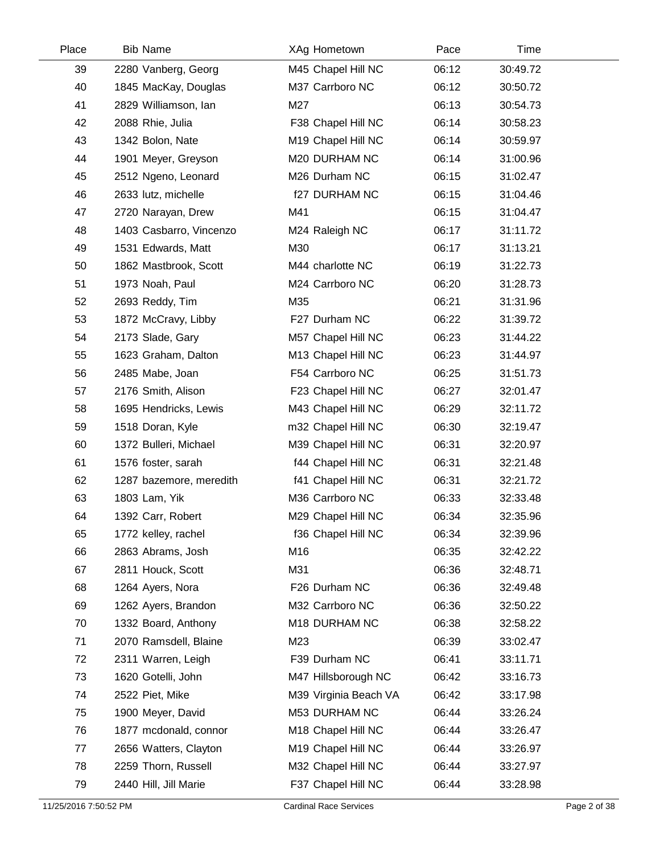| Place | <b>Bib Name</b>         | XAg Hometown          | Pace  | Time     |  |
|-------|-------------------------|-----------------------|-------|----------|--|
| 39    | 2280 Vanberg, Georg     | M45 Chapel Hill NC    | 06:12 | 30:49.72 |  |
| 40    | 1845 MacKay, Douglas    | M37 Carrboro NC       | 06:12 | 30:50.72 |  |
| 41    | 2829 Williamson, Ian    | M27                   | 06:13 | 30:54.73 |  |
| 42    | 2088 Rhie, Julia        | F38 Chapel Hill NC    | 06:14 | 30:58.23 |  |
| 43    | 1342 Bolon, Nate        | M19 Chapel Hill NC    | 06:14 | 30:59.97 |  |
| 44    | 1901 Meyer, Greyson     | M20 DURHAM NC         | 06:14 | 31:00.96 |  |
| 45    | 2512 Ngeno, Leonard     | M26 Durham NC         | 06:15 | 31:02.47 |  |
| 46    | 2633 lutz, michelle     | <b>f27 DURHAM NC</b>  | 06:15 | 31:04.46 |  |
| 47    | 2720 Narayan, Drew      | M41                   | 06:15 | 31:04.47 |  |
| 48    | 1403 Casbarro, Vincenzo | M24 Raleigh NC        | 06:17 | 31:11.72 |  |
| 49    | 1531 Edwards, Matt      | M30                   | 06:17 | 31:13.21 |  |
| 50    | 1862 Mastbrook, Scott   | M44 charlotte NC      | 06:19 | 31:22.73 |  |
| 51    | 1973 Noah, Paul         | M24 Carrboro NC       | 06:20 | 31:28.73 |  |
| 52    | 2693 Reddy, Tim         | M35                   | 06:21 | 31:31.96 |  |
| 53    | 1872 McCravy, Libby     | F27 Durham NC         | 06:22 | 31:39.72 |  |
| 54    | 2173 Slade, Gary        | M57 Chapel Hill NC    | 06:23 | 31:44.22 |  |
| 55    | 1623 Graham, Dalton     | M13 Chapel Hill NC    | 06:23 | 31:44.97 |  |
| 56    | 2485 Mabe, Joan         | F54 Carrboro NC       | 06:25 | 31:51.73 |  |
| 57    | 2176 Smith, Alison      | F23 Chapel Hill NC    | 06:27 | 32:01.47 |  |
| 58    | 1695 Hendricks, Lewis   | M43 Chapel Hill NC    | 06:29 | 32:11.72 |  |
| 59    | 1518 Doran, Kyle        | m32 Chapel Hill NC    | 06:30 | 32:19.47 |  |
| 60    | 1372 Bulleri, Michael   | M39 Chapel Hill NC    | 06:31 | 32:20.97 |  |
| 61    | 1576 foster, sarah      | f44 Chapel Hill NC    | 06:31 | 32:21.48 |  |
| 62    | 1287 bazemore, meredith | f41 Chapel Hill NC    | 06:31 | 32:21.72 |  |
| 63    | 1803 Lam, Yik           | M36 Carrboro NC       | 06:33 | 32:33.48 |  |
| 64    | 1392 Carr, Robert       | M29 Chapel Hill NC    | 06:34 | 32:35.96 |  |
| 65    | 1772 kelley, rachel     | f36 Chapel Hill NC    | 06:34 | 32:39.96 |  |
| 66    | 2863 Abrams, Josh       | M16                   | 06:35 | 32:42.22 |  |
| 67    | 2811 Houck, Scott       | M31                   | 06:36 | 32:48.71 |  |
| 68    | 1264 Ayers, Nora        | F26 Durham NC         | 06:36 | 32:49.48 |  |
| 69    | 1262 Ayers, Brandon     | M32 Carrboro NC       | 06:36 | 32:50.22 |  |
| 70    | 1332 Board, Anthony     | M18 DURHAM NC         | 06:38 | 32:58.22 |  |
| 71    | 2070 Ramsdell, Blaine   | M23                   | 06:39 | 33:02.47 |  |
| 72    | 2311 Warren, Leigh      | F39 Durham NC         | 06:41 | 33:11.71 |  |
| 73    | 1620 Gotelli, John      | M47 Hillsborough NC   | 06:42 | 33:16.73 |  |
| 74    | 2522 Piet, Mike         | M39 Virginia Beach VA | 06:42 | 33:17.98 |  |
| 75    | 1900 Meyer, David       | M53 DURHAM NC         | 06:44 | 33:26.24 |  |
| 76    | 1877 mcdonald, connor   | M18 Chapel Hill NC    | 06:44 | 33:26.47 |  |
| 77    | 2656 Watters, Clayton   | M19 Chapel Hill NC    | 06:44 | 33:26.97 |  |
| 78    | 2259 Thorn, Russell     | M32 Chapel Hill NC    | 06:44 | 33:27.97 |  |
| 79    | 2440 Hill, Jill Marie   | F37 Chapel Hill NC    | 06:44 | 33:28.98 |  |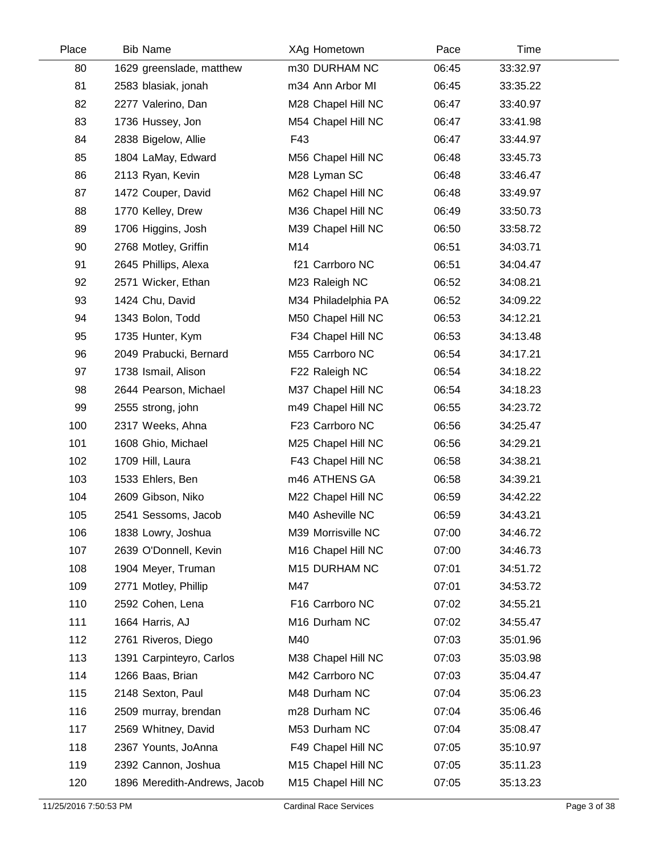| Place | <b>Bib Name</b>              | XAg Hometown        | Pace  | Time     |  |
|-------|------------------------------|---------------------|-------|----------|--|
| 80    | 1629 greenslade, matthew     | m30 DURHAM NC       | 06:45 | 33:32.97 |  |
| 81    | 2583 blasiak, jonah          | m34 Ann Arbor MI    | 06:45 | 33:35.22 |  |
| 82    | 2277 Valerino, Dan           | M28 Chapel Hill NC  | 06:47 | 33:40.97 |  |
| 83    | 1736 Hussey, Jon             | M54 Chapel Hill NC  | 06:47 | 33:41.98 |  |
| 84    | 2838 Bigelow, Allie          | F43                 | 06:47 | 33:44.97 |  |
| 85    | 1804 LaMay, Edward           | M56 Chapel Hill NC  | 06:48 | 33:45.73 |  |
| 86    | 2113 Ryan, Kevin             | M28 Lyman SC        | 06:48 | 33:46.47 |  |
| 87    | 1472 Couper, David           | M62 Chapel Hill NC  | 06:48 | 33:49.97 |  |
| 88    | 1770 Kelley, Drew            | M36 Chapel Hill NC  | 06:49 | 33:50.73 |  |
| 89    | 1706 Higgins, Josh           | M39 Chapel Hill NC  | 06:50 | 33:58.72 |  |
| 90    | 2768 Motley, Griffin         | M14                 | 06:51 | 34:03.71 |  |
| 91    | 2645 Phillips, Alexa         | f21 Carrboro NC     | 06:51 | 34:04.47 |  |
| 92    | 2571 Wicker, Ethan           | M23 Raleigh NC      | 06:52 | 34:08.21 |  |
| 93    | 1424 Chu, David              | M34 Philadelphia PA | 06:52 | 34:09.22 |  |
| 94    | 1343 Bolon, Todd             | M50 Chapel Hill NC  | 06:53 | 34:12.21 |  |
| 95    | 1735 Hunter, Kym             | F34 Chapel Hill NC  | 06:53 | 34:13.48 |  |
| 96    | 2049 Prabucki, Bernard       | M55 Carrboro NC     | 06:54 | 34:17.21 |  |
| 97    | 1738 Ismail, Alison          | F22 Raleigh NC      | 06:54 | 34:18.22 |  |
| 98    | 2644 Pearson, Michael        | M37 Chapel Hill NC  | 06:54 | 34:18.23 |  |
| 99    | 2555 strong, john            | m49 Chapel Hill NC  | 06:55 | 34:23.72 |  |
| 100   | 2317 Weeks, Ahna             | F23 Carrboro NC     | 06:56 | 34:25.47 |  |
| 101   | 1608 Ghio, Michael           | M25 Chapel Hill NC  | 06:56 | 34:29.21 |  |
| 102   | 1709 Hill, Laura             | F43 Chapel Hill NC  | 06:58 | 34:38.21 |  |
| 103   | 1533 Ehlers, Ben             | m46 ATHENS GA       | 06:58 | 34:39.21 |  |
| 104   | 2609 Gibson, Niko            | M22 Chapel Hill NC  | 06:59 | 34:42.22 |  |
| 105   | 2541 Sessoms, Jacob          | M40 Asheville NC    | 06:59 | 34:43.21 |  |
| 106   | 1838 Lowry, Joshua           | M39 Morrisville NC  | 07:00 | 34:46.72 |  |
| 107   | 2639 O'Donnell, Kevin        | M16 Chapel Hill NC  | 07:00 | 34:46.73 |  |
| 108   | 1904 Meyer, Truman           | M15 DURHAM NC       | 07:01 | 34:51.72 |  |
| 109   | 2771 Motley, Phillip         | M47                 | 07:01 | 34:53.72 |  |
| 110   | 2592 Cohen, Lena             | F16 Carrboro NC     | 07:02 | 34:55.21 |  |
| 111   | 1664 Harris, AJ              | M16 Durham NC       | 07:02 | 34:55.47 |  |
| 112   | 2761 Riveros, Diego          | M40                 | 07:03 | 35:01.96 |  |
| 113   | 1391 Carpinteyro, Carlos     | M38 Chapel Hill NC  | 07:03 | 35:03.98 |  |
| 114   | 1266 Baas, Brian             | M42 Carrboro NC     | 07:03 | 35:04.47 |  |
| 115   | 2148 Sexton, Paul            | M48 Durham NC       | 07:04 | 35:06.23 |  |
| 116   | 2509 murray, brendan         | m28 Durham NC       | 07:04 | 35:06.46 |  |
| 117   | 2569 Whitney, David          | M53 Durham NC       | 07:04 | 35:08.47 |  |
| 118   | 2367 Younts, JoAnna          | F49 Chapel Hill NC  | 07:05 | 35:10.97 |  |
| 119   | 2392 Cannon, Joshua          | M15 Chapel Hill NC  | 07:05 | 35:11.23 |  |
| 120   | 1896 Meredith-Andrews, Jacob | M15 Chapel Hill NC  | 07:05 | 35:13.23 |  |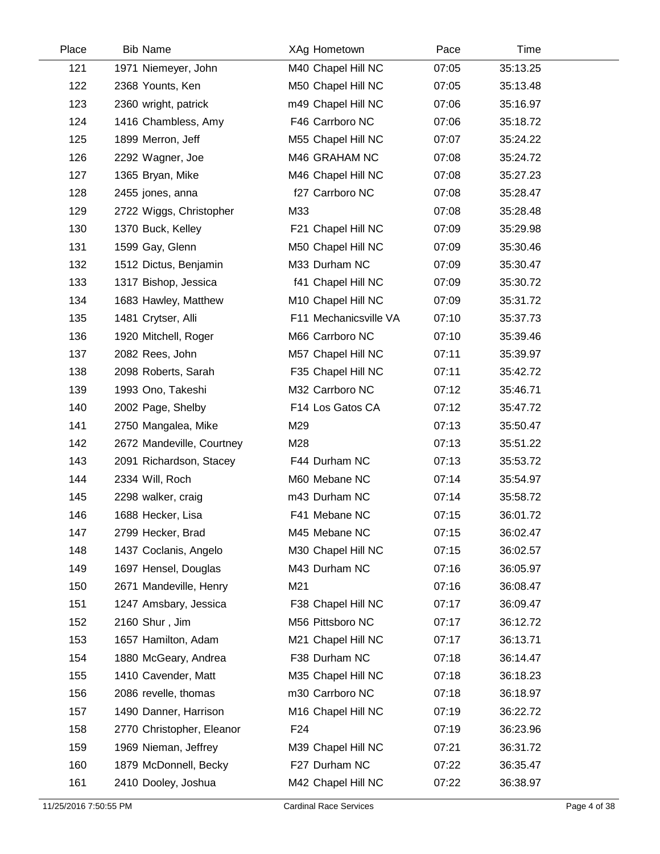| Place | <b>Bib Name</b>           | XAg Hometown          | Pace  | Time     |  |
|-------|---------------------------|-----------------------|-------|----------|--|
| 121   | 1971 Niemeyer, John       | M40 Chapel Hill NC    | 07:05 | 35:13.25 |  |
| 122   | 2368 Younts, Ken          | M50 Chapel Hill NC    | 07:05 | 35:13.48 |  |
| 123   | 2360 wright, patrick      | m49 Chapel Hill NC    | 07:06 | 35:16.97 |  |
| 124   | 1416 Chambless, Amy       | F46 Carrboro NC       | 07:06 | 35:18.72 |  |
| 125   | 1899 Merron, Jeff         | M55 Chapel Hill NC    | 07:07 | 35:24.22 |  |
| 126   | 2292 Wagner, Joe          | M46 GRAHAM NC         | 07:08 | 35:24.72 |  |
| 127   | 1365 Bryan, Mike          | M46 Chapel Hill NC    | 07:08 | 35:27.23 |  |
| 128   | 2455 jones, anna          | f27 Carrboro NC       | 07:08 | 35:28.47 |  |
| 129   | 2722 Wiggs, Christopher   | M33                   | 07:08 | 35:28.48 |  |
| 130   | 1370 Buck, Kelley         | F21 Chapel Hill NC    | 07:09 | 35:29.98 |  |
| 131   | 1599 Gay, Glenn           | M50 Chapel Hill NC    | 07:09 | 35:30.46 |  |
| 132   | 1512 Dictus, Benjamin     | M33 Durham NC         | 07:09 | 35:30.47 |  |
| 133   | 1317 Bishop, Jessica      | f41 Chapel Hill NC    | 07:09 | 35:30.72 |  |
| 134   | 1683 Hawley, Matthew      | M10 Chapel Hill NC    | 07:09 | 35:31.72 |  |
| 135   | 1481 Crytser, Alli        | F11 Mechanicsville VA | 07:10 | 35:37.73 |  |
| 136   | 1920 Mitchell, Roger      | M66 Carrboro NC       | 07:10 | 35:39.46 |  |
| 137   | 2082 Rees, John           | M57 Chapel Hill NC    | 07:11 | 35:39.97 |  |
| 138   | 2098 Roberts, Sarah       | F35 Chapel Hill NC    | 07:11 | 35:42.72 |  |
| 139   | 1993 Ono, Takeshi         | M32 Carrboro NC       | 07:12 | 35:46.71 |  |
| 140   | 2002 Page, Shelby         | F14 Los Gatos CA      | 07:12 | 35:47.72 |  |
| 141   | 2750 Mangalea, Mike       | M29                   | 07:13 | 35:50.47 |  |
| 142   | 2672 Mandeville, Courtney | M28                   | 07:13 | 35:51.22 |  |
| 143   | 2091 Richardson, Stacey   | F44 Durham NC         | 07:13 | 35:53.72 |  |
| 144   | 2334 Will, Roch           | M60 Mebane NC         | 07:14 | 35:54.97 |  |
| 145   | 2298 walker, craig        | m43 Durham NC         | 07:14 | 35:58.72 |  |
| 146   | 1688 Hecker, Lisa         | F41 Mebane NC         | 07:15 | 36:01.72 |  |
| 147   | 2799 Hecker, Brad         | M45 Mebane NC         | 07:15 | 36:02.47 |  |
| 148   | 1437 Coclanis, Angelo     | M30 Chapel Hill NC    | 07:15 | 36:02.57 |  |
| 149   | 1697 Hensel, Douglas      | M43 Durham NC         | 07:16 | 36:05.97 |  |
| 150   | 2671 Mandeville, Henry    | M21                   | 07:16 | 36:08.47 |  |
| 151   | 1247 Amsbary, Jessica     | F38 Chapel Hill NC    | 07:17 | 36:09.47 |  |
| 152   | 2160 Shur, Jim            | M56 Pittsboro NC      | 07:17 | 36:12.72 |  |
| 153   | 1657 Hamilton, Adam       | M21 Chapel Hill NC    | 07:17 | 36:13.71 |  |
| 154   | 1880 McGeary, Andrea      | F38 Durham NC         | 07:18 | 36:14.47 |  |
| 155   | 1410 Cavender, Matt       | M35 Chapel Hill NC    | 07:18 | 36:18.23 |  |
| 156   | 2086 revelle, thomas      | m30 Carrboro NC       | 07:18 | 36:18.97 |  |
| 157   | 1490 Danner, Harrison     | M16 Chapel Hill NC    | 07:19 | 36:22.72 |  |
| 158   | 2770 Christopher, Eleanor | F <sub>24</sub>       | 07:19 | 36:23.96 |  |
| 159   | 1969 Nieman, Jeffrey      | M39 Chapel Hill NC    | 07:21 | 36:31.72 |  |
| 160   | 1879 McDonnell, Becky     | F27 Durham NC         | 07:22 | 36:35.47 |  |
| 161   | 2410 Dooley, Joshua       | M42 Chapel Hill NC    | 07:22 | 36:38.97 |  |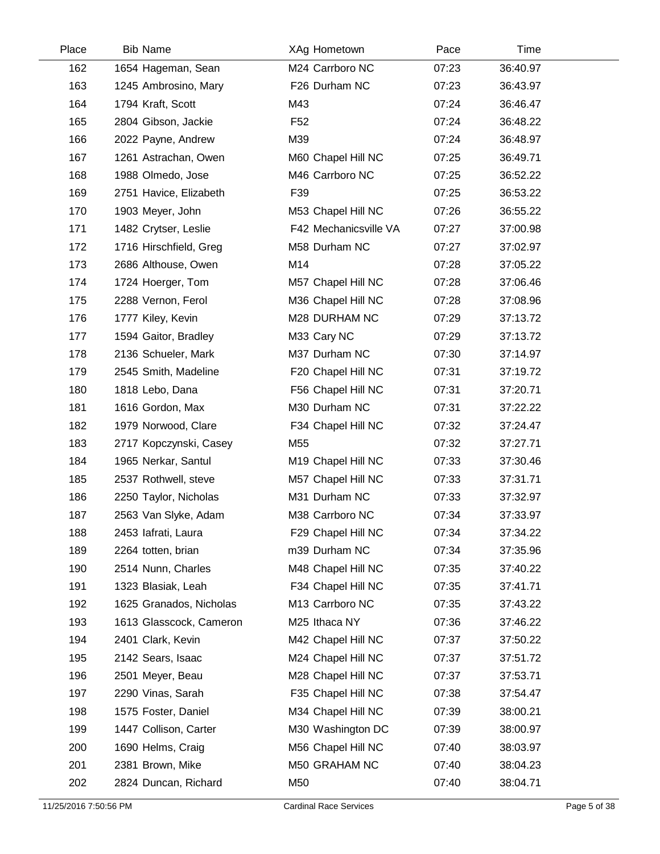| Place | <b>Bib Name</b>         | XAg Hometown          | Pace  | Time     |  |
|-------|-------------------------|-----------------------|-------|----------|--|
| 162   | 1654 Hageman, Sean      | M24 Carrboro NC       | 07:23 | 36:40.97 |  |
| 163   | 1245 Ambrosino, Mary    | F26 Durham NC         | 07:23 | 36:43.97 |  |
| 164   | 1794 Kraft, Scott       | M43                   | 07:24 | 36:46.47 |  |
| 165   | 2804 Gibson, Jackie     | F <sub>52</sub>       | 07:24 | 36:48.22 |  |
| 166   | 2022 Payne, Andrew      | M39                   | 07:24 | 36:48.97 |  |
| 167   | 1261 Astrachan, Owen    | M60 Chapel Hill NC    | 07:25 | 36:49.71 |  |
| 168   | 1988 Olmedo, Jose       | M46 Carrboro NC       | 07:25 | 36:52.22 |  |
| 169   | 2751 Havice, Elizabeth  | F39                   | 07:25 | 36:53.22 |  |
| 170   | 1903 Meyer, John        | M53 Chapel Hill NC    | 07:26 | 36:55.22 |  |
| 171   | 1482 Crytser, Leslie    | F42 Mechanicsville VA | 07:27 | 37:00.98 |  |
| 172   | 1716 Hirschfield, Greg  | M58 Durham NC         | 07:27 | 37:02.97 |  |
| 173   | 2686 Althouse, Owen     | M14                   | 07:28 | 37:05.22 |  |
| 174   | 1724 Hoerger, Tom       | M57 Chapel Hill NC    | 07:28 | 37:06.46 |  |
| 175   | 2288 Vernon, Ferol      | M36 Chapel Hill NC    | 07:28 | 37:08.96 |  |
| 176   | 1777 Kiley, Kevin       | M28 DURHAM NC         | 07:29 | 37:13.72 |  |
| 177   | 1594 Gaitor, Bradley    | M33 Cary NC           | 07:29 | 37:13.72 |  |
| 178   | 2136 Schueler, Mark     | M37 Durham NC         | 07:30 | 37:14.97 |  |
| 179   | 2545 Smith, Madeline    | F20 Chapel Hill NC    | 07:31 | 37:19.72 |  |
| 180   | 1818 Lebo, Dana         | F56 Chapel Hill NC    | 07:31 | 37:20.71 |  |
| 181   | 1616 Gordon, Max        | M30 Durham NC         | 07:31 | 37:22.22 |  |
| 182   | 1979 Norwood, Clare     | F34 Chapel Hill NC    | 07:32 | 37:24.47 |  |
| 183   | 2717 Kopczynski, Casey  | M55                   | 07:32 | 37:27.71 |  |
| 184   | 1965 Nerkar, Santul     | M19 Chapel Hill NC    | 07:33 | 37:30.46 |  |
| 185   | 2537 Rothwell, steve    | M57 Chapel Hill NC    | 07:33 | 37:31.71 |  |
| 186   | 2250 Taylor, Nicholas   | M31 Durham NC         | 07:33 | 37:32.97 |  |
| 187   | 2563 Van Slyke, Adam    | M38 Carrboro NC       | 07:34 | 37:33.97 |  |
| 188   | 2453 lafrati, Laura     | F29 Chapel Hill NC    | 07:34 | 37:34.22 |  |
| 189   | 2264 totten, brian      | m39 Durham NC         | 07:34 | 37:35.96 |  |
| 190   | 2514 Nunn, Charles      | M48 Chapel Hill NC    | 07:35 | 37:40.22 |  |
| 191   | 1323 Blasiak, Leah      | F34 Chapel Hill NC    | 07:35 | 37:41.71 |  |
| 192   | 1625 Granados, Nicholas | M13 Carrboro NC       | 07:35 | 37:43.22 |  |
| 193   | 1613 Glasscock, Cameron | M25 Ithaca NY         | 07:36 | 37:46.22 |  |
| 194   | 2401 Clark, Kevin       | M42 Chapel Hill NC    | 07:37 | 37:50.22 |  |
| 195   | 2142 Sears, Isaac       | M24 Chapel Hill NC    | 07:37 | 37:51.72 |  |
| 196   | 2501 Meyer, Beau        | M28 Chapel Hill NC    | 07:37 | 37:53.71 |  |
| 197   | 2290 Vinas, Sarah       | F35 Chapel Hill NC    | 07:38 | 37:54.47 |  |
| 198   | 1575 Foster, Daniel     | M34 Chapel Hill NC    | 07:39 | 38:00.21 |  |
| 199   | 1447 Collison, Carter   | M30 Washington DC     | 07:39 | 38:00.97 |  |
| 200   | 1690 Helms, Craig       | M56 Chapel Hill NC    | 07:40 | 38:03.97 |  |
| 201   | 2381 Brown, Mike        | M50 GRAHAM NC         | 07:40 | 38:04.23 |  |
| 202   | 2824 Duncan, Richard    | M50                   | 07:40 | 38:04.71 |  |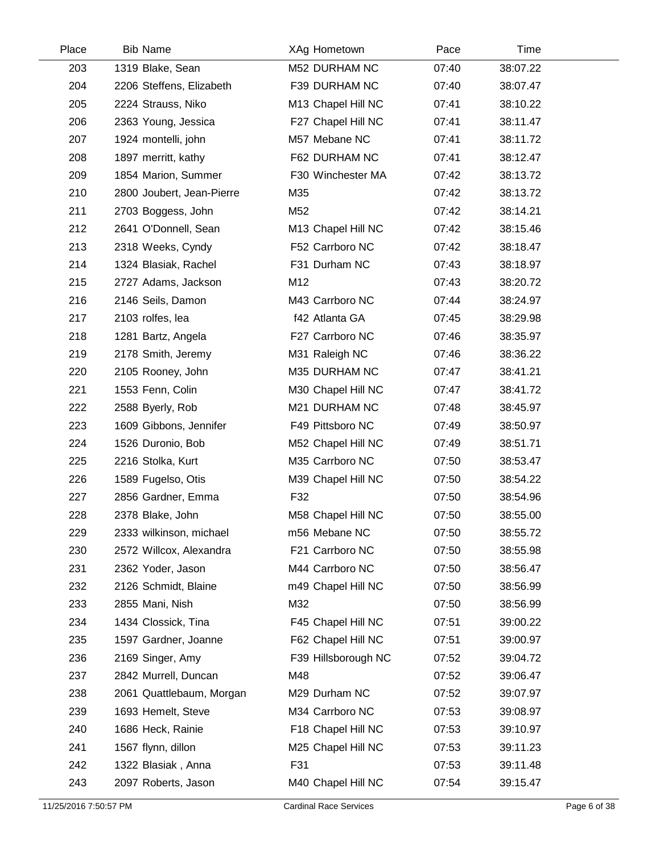| Place | <b>Bib Name</b>           | XAg Hometown        | Pace  | Time     |  |
|-------|---------------------------|---------------------|-------|----------|--|
| 203   | 1319 Blake, Sean          | M52 DURHAM NC       | 07:40 | 38:07.22 |  |
| 204   | 2206 Steffens, Elizabeth  | F39 DURHAM NC       | 07:40 | 38:07.47 |  |
| 205   | 2224 Strauss, Niko        | M13 Chapel Hill NC  | 07:41 | 38:10.22 |  |
| 206   | 2363 Young, Jessica       | F27 Chapel Hill NC  | 07:41 | 38:11.47 |  |
| 207   | 1924 montelli, john       | M57 Mebane NC       | 07:41 | 38:11.72 |  |
| 208   | 1897 merritt, kathy       | F62 DURHAM NC       | 07:41 | 38:12.47 |  |
| 209   | 1854 Marion, Summer       | F30 Winchester MA   | 07:42 | 38:13.72 |  |
| 210   | 2800 Joubert, Jean-Pierre | M35                 | 07:42 | 38:13.72 |  |
| 211   | 2703 Boggess, John        | M52                 | 07:42 | 38:14.21 |  |
| 212   | 2641 O'Donnell, Sean      | M13 Chapel Hill NC  | 07:42 | 38:15.46 |  |
| 213   | 2318 Weeks, Cyndy         | F52 Carrboro NC     | 07:42 | 38:18.47 |  |
| 214   | 1324 Blasiak, Rachel      | F31 Durham NC       | 07:43 | 38:18.97 |  |
| 215   | 2727 Adams, Jackson       | M12                 | 07:43 | 38:20.72 |  |
| 216   | 2146 Seils, Damon         | M43 Carrboro NC     | 07:44 | 38:24.97 |  |
| 217   | 2103 rolfes, lea          | f42 Atlanta GA      | 07:45 | 38:29.98 |  |
| 218   | 1281 Bartz, Angela        | F27 Carrboro NC     | 07:46 | 38:35.97 |  |
| 219   | 2178 Smith, Jeremy        | M31 Raleigh NC      | 07:46 | 38:36.22 |  |
| 220   | 2105 Rooney, John         | M35 DURHAM NC       | 07:47 | 38:41.21 |  |
| 221   | 1553 Fenn, Colin          | M30 Chapel Hill NC  | 07:47 | 38:41.72 |  |
| 222   | 2588 Byerly, Rob          | M21 DURHAM NC       | 07:48 | 38:45.97 |  |
| 223   | 1609 Gibbons, Jennifer    | F49 Pittsboro NC    | 07:49 | 38:50.97 |  |
| 224   | 1526 Duronio, Bob         | M52 Chapel Hill NC  | 07:49 | 38:51.71 |  |
| 225   | 2216 Stolka, Kurt         | M35 Carrboro NC     | 07:50 | 38:53.47 |  |
| 226   | 1589 Fugelso, Otis        | M39 Chapel Hill NC  | 07:50 | 38:54.22 |  |
| 227   | 2856 Gardner, Emma        | F32                 | 07:50 | 38:54.96 |  |
| 228   | 2378 Blake, John          | M58 Chapel Hill NC  | 07:50 | 38:55.00 |  |
| 229   | 2333 wilkinson, michael   | m56 Mebane NC       | 07:50 | 38:55.72 |  |
| 230   | 2572 Willcox, Alexandra   | F21 Carrboro NC     | 07:50 | 38:55.98 |  |
| 231   | 2362 Yoder, Jason         | M44 Carrboro NC     | 07:50 | 38:56.47 |  |
| 232   | 2126 Schmidt, Blaine      | m49 Chapel Hill NC  | 07:50 | 38:56.99 |  |
| 233   | 2855 Mani, Nish           | M32                 | 07:50 | 38:56.99 |  |
| 234   | 1434 Clossick, Tina       | F45 Chapel Hill NC  | 07:51 | 39:00.22 |  |
| 235   | 1597 Gardner, Joanne      | F62 Chapel Hill NC  | 07:51 | 39:00.97 |  |
| 236   | 2169 Singer, Amy          | F39 Hillsborough NC | 07:52 | 39:04.72 |  |
| 237   | 2842 Murrell, Duncan      | M48                 | 07:52 | 39:06.47 |  |
| 238   | 2061 Quattlebaum, Morgan  | M29 Durham NC       | 07:52 | 39:07.97 |  |
| 239   | 1693 Hemelt, Steve        | M34 Carrboro NC     | 07:53 | 39:08.97 |  |
| 240   | 1686 Heck, Rainie         | F18 Chapel Hill NC  | 07:53 | 39:10.97 |  |
| 241   | 1567 flynn, dillon        | M25 Chapel Hill NC  | 07:53 | 39:11.23 |  |
| 242   | 1322 Blasiak, Anna        | F31                 | 07:53 | 39:11.48 |  |
| 243   | 2097 Roberts, Jason       | M40 Chapel Hill NC  | 07:54 | 39:15.47 |  |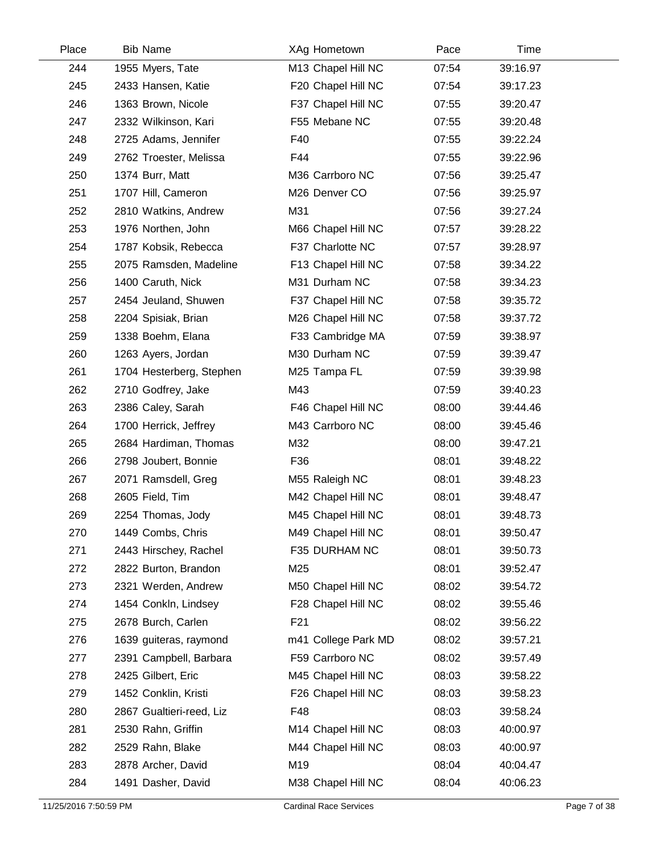| Place | <b>Bib Name</b>          | XAg Hometown        | Pace  | Time     |  |
|-------|--------------------------|---------------------|-------|----------|--|
| 244   | 1955 Myers, Tate         | M13 Chapel Hill NC  | 07:54 | 39:16.97 |  |
| 245   | 2433 Hansen, Katie       | F20 Chapel Hill NC  | 07:54 | 39:17.23 |  |
| 246   | 1363 Brown, Nicole       | F37 Chapel Hill NC  | 07:55 | 39:20.47 |  |
| 247   | 2332 Wilkinson, Kari     | F55 Mebane NC       | 07:55 | 39:20.48 |  |
| 248   | 2725 Adams, Jennifer     | F40                 | 07:55 | 39:22.24 |  |
| 249   | 2762 Troester, Melissa   | F44                 | 07:55 | 39:22.96 |  |
| 250   | 1374 Burr, Matt          | M36 Carrboro NC     | 07:56 | 39:25.47 |  |
| 251   | 1707 Hill, Cameron       | M26 Denver CO       | 07:56 | 39:25.97 |  |
| 252   | 2810 Watkins, Andrew     | M31                 | 07:56 | 39:27.24 |  |
| 253   | 1976 Northen, John       | M66 Chapel Hill NC  | 07:57 | 39:28.22 |  |
| 254   | 1787 Kobsik, Rebecca     | F37 Charlotte NC    | 07:57 | 39:28.97 |  |
| 255   | 2075 Ramsden, Madeline   | F13 Chapel Hill NC  | 07:58 | 39:34.22 |  |
| 256   | 1400 Caruth, Nick        | M31 Durham NC       | 07:58 | 39:34.23 |  |
| 257   | 2454 Jeuland, Shuwen     | F37 Chapel Hill NC  | 07:58 | 39:35.72 |  |
| 258   | 2204 Spisiak, Brian      | M26 Chapel Hill NC  | 07:58 | 39:37.72 |  |
| 259   | 1338 Boehm, Elana        | F33 Cambridge MA    | 07:59 | 39:38.97 |  |
| 260   | 1263 Ayers, Jordan       | M30 Durham NC       | 07:59 | 39:39.47 |  |
| 261   | 1704 Hesterberg, Stephen | M25 Tampa FL        | 07:59 | 39:39.98 |  |
| 262   | 2710 Godfrey, Jake       | M43                 | 07:59 | 39:40.23 |  |
| 263   | 2386 Caley, Sarah        | F46 Chapel Hill NC  | 08:00 | 39:44.46 |  |
| 264   | 1700 Herrick, Jeffrey    | M43 Carrboro NC     | 08:00 | 39:45.46 |  |
| 265   | 2684 Hardiman, Thomas    | M32                 | 08:00 | 39:47.21 |  |
| 266   | 2798 Joubert, Bonnie     | F36                 | 08:01 | 39:48.22 |  |
| 267   | 2071 Ramsdell, Greg      | M55 Raleigh NC      | 08:01 | 39:48.23 |  |
| 268   | 2605 Field, Tim          | M42 Chapel Hill NC  | 08:01 | 39:48.47 |  |
| 269   | 2254 Thomas, Jody        | M45 Chapel Hill NC  | 08:01 | 39:48.73 |  |
| 270   | 1449 Combs, Chris        | M49 Chapel Hill NC  | 08:01 | 39:50.47 |  |
| 271   | 2443 Hirschey, Rachel    | F35 DURHAM NC       | 08:01 | 39:50.73 |  |
| 272   | 2822 Burton, Brandon     | M25                 | 08:01 | 39:52.47 |  |
| 273   | 2321 Werden, Andrew      | M50 Chapel Hill NC  | 08:02 | 39:54.72 |  |
| 274   | 1454 Conkln, Lindsey     | F28 Chapel Hill NC  | 08:02 | 39:55.46 |  |
| 275   | 2678 Burch, Carlen       | F21                 | 08:02 | 39:56.22 |  |
| 276   | 1639 guiteras, raymond   | m41 College Park MD | 08:02 | 39:57.21 |  |
| 277   | 2391 Campbell, Barbara   | F59 Carrboro NC     | 08:02 | 39:57.49 |  |
| 278   | 2425 Gilbert, Eric       | M45 Chapel Hill NC  | 08:03 | 39:58.22 |  |
| 279   | 1452 Conklin, Kristi     | F26 Chapel Hill NC  | 08:03 | 39:58.23 |  |
| 280   | 2867 Gualtieri-reed, Liz | F48                 | 08:03 | 39:58.24 |  |
| 281   | 2530 Rahn, Griffin       | M14 Chapel Hill NC  | 08:03 | 40:00.97 |  |
| 282   | 2529 Rahn, Blake         | M44 Chapel Hill NC  | 08:03 | 40:00.97 |  |
| 283   | 2878 Archer, David       | M19                 | 08:04 | 40:04.47 |  |
| 284   | 1491 Dasher, David       | M38 Chapel Hill NC  | 08:04 | 40:06.23 |  |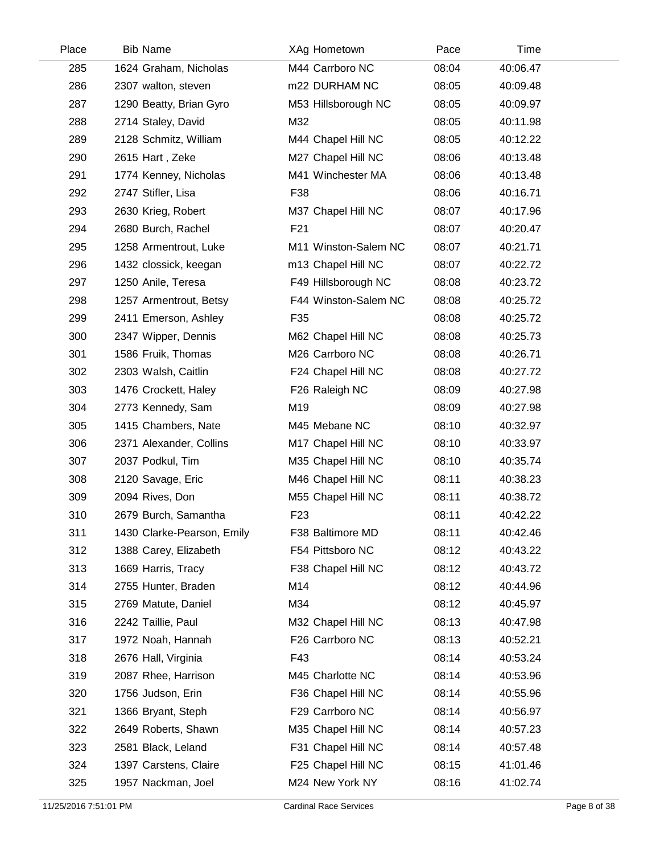| Place | <b>Bib Name</b>            | XAg Hometown         | Pace  | Time     |  |
|-------|----------------------------|----------------------|-------|----------|--|
| 285   | 1624 Graham, Nicholas      | M44 Carrboro NC      | 08:04 | 40:06.47 |  |
| 286   | 2307 walton, steven        | m22 DURHAM NC        | 08:05 | 40:09.48 |  |
| 287   | 1290 Beatty, Brian Gyro    | M53 Hillsborough NC  | 08:05 | 40:09.97 |  |
| 288   | 2714 Staley, David         | M32                  | 08:05 | 40:11.98 |  |
| 289   | 2128 Schmitz, William      | M44 Chapel Hill NC   | 08:05 | 40:12.22 |  |
| 290   | 2615 Hart, Zeke            | M27 Chapel Hill NC   | 08:06 | 40:13.48 |  |
| 291   | 1774 Kenney, Nicholas      | M41 Winchester MA    | 08:06 | 40:13.48 |  |
| 292   | 2747 Stifler, Lisa         | F38                  | 08:06 | 40:16.71 |  |
| 293   | 2630 Krieg, Robert         | M37 Chapel Hill NC   | 08:07 | 40:17.96 |  |
| 294   | 2680 Burch, Rachel         | F <sub>21</sub>      | 08:07 | 40:20.47 |  |
| 295   | 1258 Armentrout, Luke      | M11 Winston-Salem NC | 08:07 | 40:21.71 |  |
| 296   | 1432 clossick, keegan      | m13 Chapel Hill NC   | 08:07 | 40:22.72 |  |
| 297   | 1250 Anile, Teresa         | F49 Hillsborough NC  | 08:08 | 40:23.72 |  |
| 298   | 1257 Armentrout, Betsy     | F44 Winston-Salem NC | 08:08 | 40:25.72 |  |
| 299   | 2411 Emerson, Ashley       | F35                  | 08:08 | 40:25.72 |  |
| 300   | 2347 Wipper, Dennis        | M62 Chapel Hill NC   | 08:08 | 40:25.73 |  |
| 301   | 1586 Fruik, Thomas         | M26 Carrboro NC      | 08:08 | 40:26.71 |  |
| 302   | 2303 Walsh, Caitlin        | F24 Chapel Hill NC   | 08:08 | 40:27.72 |  |
| 303   | 1476 Crockett, Haley       | F26 Raleigh NC       | 08:09 | 40:27.98 |  |
| 304   | 2773 Kennedy, Sam          | M19                  | 08:09 | 40:27.98 |  |
| 305   | 1415 Chambers, Nate        | M45 Mebane NC        | 08:10 | 40:32.97 |  |
| 306   | 2371 Alexander, Collins    | M17 Chapel Hill NC   | 08:10 | 40:33.97 |  |
| 307   | 2037 Podkul, Tim           | M35 Chapel Hill NC   | 08:10 | 40:35.74 |  |
| 308   | 2120 Savage, Eric          | M46 Chapel Hill NC   | 08:11 | 40:38.23 |  |
| 309   | 2094 Rives, Don            | M55 Chapel Hill NC   | 08:11 | 40:38.72 |  |
| 310   | 2679 Burch, Samantha       | F <sub>23</sub>      | 08:11 | 40:42.22 |  |
| 311   | 1430 Clarke-Pearson, Emily | F38 Baltimore MD     | 08:11 | 40:42.46 |  |
| 312   | 1388 Carey, Elizabeth      | F54 Pittsboro NC     | 08:12 | 40:43.22 |  |
| 313   | 1669 Harris, Tracy         | F38 Chapel Hill NC   | 08:12 | 40:43.72 |  |
| 314   | 2755 Hunter, Braden        | M14                  | 08:12 | 40:44.96 |  |
| 315   | 2769 Matute, Daniel        | M34                  | 08:12 | 40:45.97 |  |
| 316   | 2242 Taillie, Paul         | M32 Chapel Hill NC   | 08:13 | 40:47.98 |  |
| 317   | 1972 Noah, Hannah          | F26 Carrboro NC      | 08:13 | 40:52.21 |  |
| 318   | 2676 Hall, Virginia        | F43                  | 08:14 | 40:53.24 |  |
| 319   | 2087 Rhee, Harrison        | M45 Charlotte NC     | 08:14 | 40:53.96 |  |
| 320   | 1756 Judson, Erin          | F36 Chapel Hill NC   | 08:14 | 40:55.96 |  |
| 321   | 1366 Bryant, Steph         | F29 Carrboro NC      | 08:14 | 40:56.97 |  |
| 322   | 2649 Roberts, Shawn        | M35 Chapel Hill NC   | 08:14 | 40:57.23 |  |
| 323   | 2581 Black, Leland         | F31 Chapel Hill NC   | 08:14 | 40:57.48 |  |
| 324   | 1397 Carstens, Claire      | F25 Chapel Hill NC   | 08:15 | 41:01.46 |  |
| 325   | 1957 Nackman, Joel         | M24 New York NY      | 08:16 | 41:02.74 |  |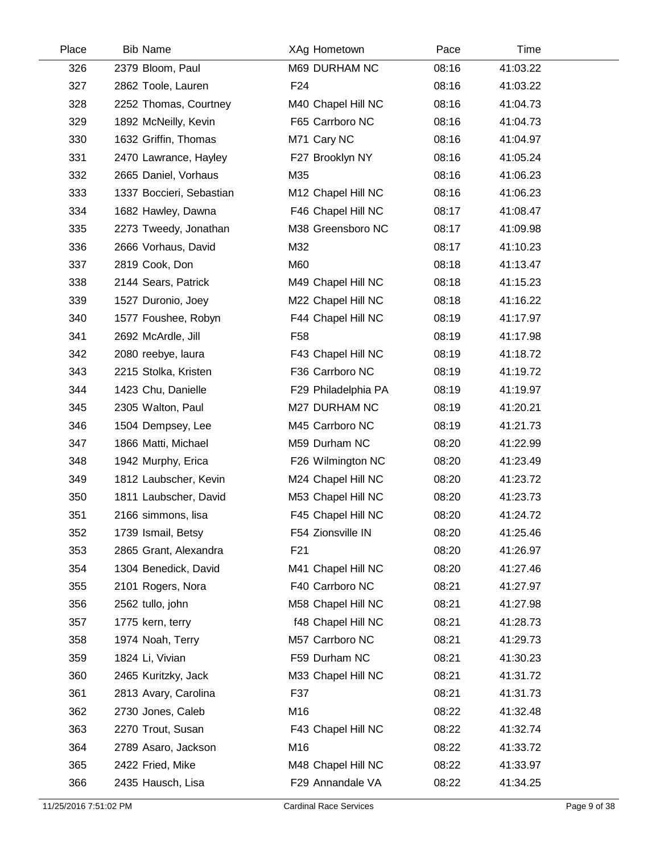| Place | <b>Bib Name</b>          | XAg Hometown        | Pace  | Time     |  |
|-------|--------------------------|---------------------|-------|----------|--|
| 326   | 2379 Bloom, Paul         | M69 DURHAM NC       | 08:16 | 41:03.22 |  |
| 327   | 2862 Toole, Lauren       | F <sub>24</sub>     | 08:16 | 41:03.22 |  |
| 328   | 2252 Thomas, Courtney    | M40 Chapel Hill NC  | 08:16 | 41:04.73 |  |
| 329   | 1892 McNeilly, Kevin     | F65 Carrboro NC     | 08:16 | 41:04.73 |  |
| 330   | 1632 Griffin, Thomas     | M71 Cary NC         | 08:16 | 41:04.97 |  |
| 331   | 2470 Lawrance, Hayley    | F27 Brooklyn NY     | 08:16 | 41:05.24 |  |
| 332   | 2665 Daniel, Vorhaus     | M35                 | 08:16 | 41:06.23 |  |
| 333   | 1337 Boccieri, Sebastian | M12 Chapel Hill NC  | 08:16 | 41:06.23 |  |
| 334   | 1682 Hawley, Dawna       | F46 Chapel Hill NC  | 08:17 | 41:08.47 |  |
| 335   | 2273 Tweedy, Jonathan    | M38 Greensboro NC   | 08:17 | 41:09.98 |  |
| 336   | 2666 Vorhaus, David      | M32                 | 08:17 | 41:10.23 |  |
| 337   | 2819 Cook, Don           | M60                 | 08:18 | 41:13.47 |  |
| 338   | 2144 Sears, Patrick      | M49 Chapel Hill NC  | 08:18 | 41:15.23 |  |
| 339   | 1527 Duronio, Joey       | M22 Chapel Hill NC  | 08:18 | 41:16.22 |  |
| 340   | 1577 Foushee, Robyn      | F44 Chapel Hill NC  | 08:19 | 41:17.97 |  |
| 341   | 2692 McArdle, Jill       | F <sub>58</sub>     | 08:19 | 41:17.98 |  |
| 342   | 2080 reebye, laura       | F43 Chapel Hill NC  | 08:19 | 41:18.72 |  |
| 343   | 2215 Stolka, Kristen     | F36 Carrboro NC     | 08:19 | 41:19.72 |  |
| 344   | 1423 Chu, Danielle       | F29 Philadelphia PA | 08:19 | 41:19.97 |  |
| 345   | 2305 Walton, Paul        | M27 DURHAM NC       | 08:19 | 41:20.21 |  |
| 346   | 1504 Dempsey, Lee        | M45 Carrboro NC     | 08:19 | 41:21.73 |  |
| 347   | 1866 Matti, Michael      | M59 Durham NC       | 08:20 | 41:22.99 |  |
| 348   | 1942 Murphy, Erica       | F26 Wilmington NC   | 08:20 | 41:23.49 |  |
| 349   | 1812 Laubscher, Kevin    | M24 Chapel Hill NC  | 08:20 | 41:23.72 |  |
| 350   | 1811 Laubscher, David    | M53 Chapel Hill NC  | 08:20 | 41:23.73 |  |
| 351   | 2166 simmons, lisa       | F45 Chapel Hill NC  | 08:20 | 41:24.72 |  |
| 352   | 1739 Ismail, Betsy       | F54 Zionsville IN   | 08:20 | 41:25.46 |  |
| 353   | 2865 Grant, Alexandra    | F <sub>21</sub>     | 08:20 | 41:26.97 |  |
| 354   | 1304 Benedick, David     | M41 Chapel Hill NC  | 08:20 | 41:27.46 |  |
| 355   | 2101 Rogers, Nora        | F40 Carrboro NC     | 08:21 | 41:27.97 |  |
| 356   | 2562 tullo, john         | M58 Chapel Hill NC  | 08:21 | 41:27.98 |  |
| 357   | 1775 kern, terry         | f48 Chapel Hill NC  | 08:21 | 41:28.73 |  |
| 358   | 1974 Noah, Terry         | M57 Carrboro NC     | 08:21 | 41:29.73 |  |
| 359   | 1824 Li, Vivian          | F59 Durham NC       | 08:21 | 41:30.23 |  |
| 360   | 2465 Kuritzky, Jack      | M33 Chapel Hill NC  | 08:21 | 41:31.72 |  |
| 361   | 2813 Avary, Carolina     | F37                 | 08:21 | 41:31.73 |  |
| 362   | 2730 Jones, Caleb        | M16                 | 08:22 | 41:32.48 |  |
| 363   | 2270 Trout, Susan        | F43 Chapel Hill NC  | 08:22 | 41:32.74 |  |
| 364   | 2789 Asaro, Jackson      | M16                 | 08:22 | 41:33.72 |  |
| 365   | 2422 Fried, Mike         | M48 Chapel Hill NC  | 08:22 | 41:33.97 |  |
| 366   | 2435 Hausch, Lisa        | F29 Annandale VA    | 08:22 | 41:34.25 |  |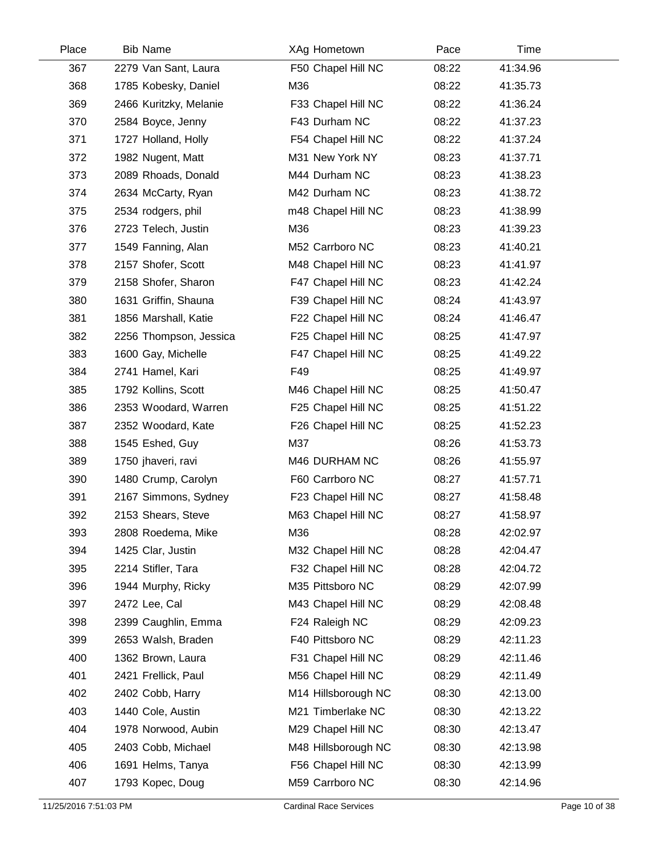| Place | <b>Bib Name</b>        | XAg Hometown        | Pace  | Time     |  |
|-------|------------------------|---------------------|-------|----------|--|
| 367   | 2279 Van Sant, Laura   | F50 Chapel Hill NC  | 08:22 | 41:34.96 |  |
| 368   | 1785 Kobesky, Daniel   | M36                 | 08:22 | 41:35.73 |  |
| 369   | 2466 Kuritzky, Melanie | F33 Chapel Hill NC  | 08:22 | 41:36.24 |  |
| 370   | 2584 Boyce, Jenny      | F43 Durham NC       | 08:22 | 41:37.23 |  |
| 371   | 1727 Holland, Holly    | F54 Chapel Hill NC  | 08:22 | 41:37.24 |  |
| 372   | 1982 Nugent, Matt      | M31 New York NY     | 08:23 | 41:37.71 |  |
| 373   | 2089 Rhoads, Donald    | M44 Durham NC       | 08:23 | 41:38.23 |  |
| 374   | 2634 McCarty, Ryan     | M42 Durham NC       | 08:23 | 41:38.72 |  |
| 375   | 2534 rodgers, phil     | m48 Chapel Hill NC  | 08:23 | 41:38.99 |  |
| 376   | 2723 Telech, Justin    | M36                 | 08:23 | 41:39.23 |  |
| 377   | 1549 Fanning, Alan     | M52 Carrboro NC     | 08:23 | 41:40.21 |  |
| 378   | 2157 Shofer, Scott     | M48 Chapel Hill NC  | 08:23 | 41:41.97 |  |
| 379   | 2158 Shofer, Sharon    | F47 Chapel Hill NC  | 08:23 | 41:42.24 |  |
| 380   | 1631 Griffin, Shauna   | F39 Chapel Hill NC  | 08:24 | 41:43.97 |  |
| 381   | 1856 Marshall, Katie   | F22 Chapel Hill NC  | 08:24 | 41:46.47 |  |
| 382   | 2256 Thompson, Jessica | F25 Chapel Hill NC  | 08:25 | 41:47.97 |  |
| 383   | 1600 Gay, Michelle     | F47 Chapel Hill NC  | 08:25 | 41:49.22 |  |
| 384   | 2741 Hamel, Kari       | F49                 | 08:25 | 41:49.97 |  |
| 385   | 1792 Kollins, Scott    | M46 Chapel Hill NC  | 08:25 | 41:50.47 |  |
| 386   | 2353 Woodard, Warren   | F25 Chapel Hill NC  | 08:25 | 41:51.22 |  |
| 387   | 2352 Woodard, Kate     | F26 Chapel Hill NC  | 08:25 | 41:52.23 |  |
| 388   | 1545 Eshed, Guy        | M37                 | 08:26 | 41:53.73 |  |
| 389   | 1750 jhaveri, ravi     | M46 DURHAM NC       | 08:26 | 41:55.97 |  |
| 390   | 1480 Crump, Carolyn    | F60 Carrboro NC     | 08:27 | 41:57.71 |  |
| 391   | 2167 Simmons, Sydney   | F23 Chapel Hill NC  | 08:27 | 41:58.48 |  |
| 392   | 2153 Shears, Steve     | M63 Chapel Hill NC  | 08:27 | 41:58.97 |  |
| 393   | 2808 Roedema, Mike     | M36                 | 08:28 | 42:02.97 |  |
| 394   | 1425 Clar, Justin      | M32 Chapel Hill NC  | 08:28 | 42:04.47 |  |
| 395   | 2214 Stifler, Tara     | F32 Chapel Hill NC  | 08:28 | 42:04.72 |  |
| 396   | 1944 Murphy, Ricky     | M35 Pittsboro NC    | 08:29 | 42:07.99 |  |
| 397   | 2472 Lee, Cal          | M43 Chapel Hill NC  | 08:29 | 42:08.48 |  |
| 398   | 2399 Caughlin, Emma    | F24 Raleigh NC      | 08:29 | 42:09.23 |  |
| 399   | 2653 Walsh, Braden     | F40 Pittsboro NC    | 08:29 | 42:11.23 |  |
| 400   | 1362 Brown, Laura      | F31 Chapel Hill NC  | 08:29 | 42:11.46 |  |
| 401   | 2421 Frellick, Paul    | M56 Chapel Hill NC  | 08:29 | 42:11.49 |  |
| 402   | 2402 Cobb, Harry       | M14 Hillsborough NC | 08:30 | 42:13.00 |  |
| 403   | 1440 Cole, Austin      | M21 Timberlake NC   | 08:30 | 42:13.22 |  |
| 404   | 1978 Norwood, Aubin    | M29 Chapel Hill NC  | 08:30 | 42:13.47 |  |
| 405   | 2403 Cobb, Michael     | M48 Hillsborough NC | 08:30 | 42:13.98 |  |
| 406   | 1691 Helms, Tanya      | F56 Chapel Hill NC  | 08:30 | 42:13.99 |  |
| 407   | 1793 Kopec, Doug       | M59 Carrboro NC     | 08:30 | 42:14.96 |  |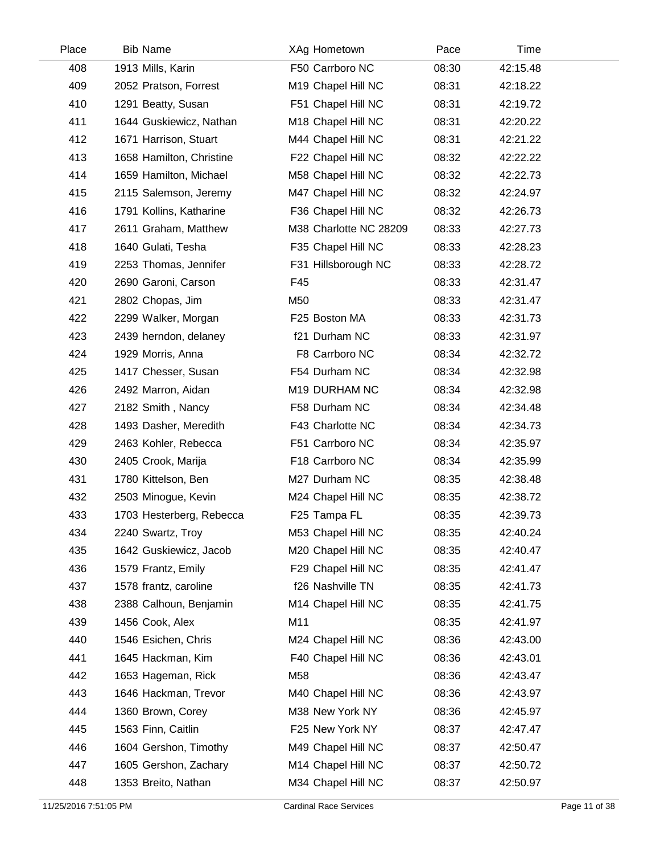| Place | <b>Bib Name</b>          | XAg Hometown           | Pace  | Time     |  |
|-------|--------------------------|------------------------|-------|----------|--|
| 408   | 1913 Mills, Karin        | F50 Carrboro NC        | 08:30 | 42:15.48 |  |
| 409   | 2052 Pratson, Forrest    | M19 Chapel Hill NC     | 08:31 | 42:18.22 |  |
| 410   | 1291 Beatty, Susan       | F51 Chapel Hill NC     | 08:31 | 42:19.72 |  |
| 411   | 1644 Guskiewicz, Nathan  | M18 Chapel Hill NC     | 08:31 | 42:20.22 |  |
| 412   | 1671 Harrison, Stuart    | M44 Chapel Hill NC     | 08:31 | 42:21.22 |  |
| 413   | 1658 Hamilton, Christine | F22 Chapel Hill NC     | 08:32 | 42:22.22 |  |
| 414   | 1659 Hamilton, Michael   | M58 Chapel Hill NC     | 08:32 | 42:22.73 |  |
| 415   | 2115 Salemson, Jeremy    | M47 Chapel Hill NC     | 08:32 | 42:24.97 |  |
| 416   | 1791 Kollins, Katharine  | F36 Chapel Hill NC     | 08:32 | 42:26.73 |  |
| 417   | 2611 Graham, Matthew     | M38 Charlotte NC 28209 | 08:33 | 42:27.73 |  |
| 418   | 1640 Gulati, Tesha       | F35 Chapel Hill NC     | 08:33 | 42:28.23 |  |
| 419   | 2253 Thomas, Jennifer    | F31 Hillsborough NC    | 08:33 | 42:28.72 |  |
| 420   | 2690 Garoni, Carson      | F45                    | 08:33 | 42:31.47 |  |
| 421   | 2802 Chopas, Jim         | M50                    | 08:33 | 42:31.47 |  |
| 422   | 2299 Walker, Morgan      | F25 Boston MA          | 08:33 | 42:31.73 |  |
| 423   | 2439 herndon, delaney    | f21 Durham NC          | 08:33 | 42:31.97 |  |
| 424   | 1929 Morris, Anna        | F8 Carrboro NC         | 08:34 | 42:32.72 |  |
| 425   | 1417 Chesser, Susan      | F54 Durham NC          | 08:34 | 42:32.98 |  |
| 426   | 2492 Marron, Aidan       | M19 DURHAM NC          | 08:34 | 42:32.98 |  |
| 427   | 2182 Smith, Nancy        | F58 Durham NC          | 08:34 | 42:34.48 |  |
| 428   | 1493 Dasher, Meredith    | F43 Charlotte NC       | 08:34 | 42:34.73 |  |
| 429   | 2463 Kohler, Rebecca     | F51 Carrboro NC        | 08:34 | 42:35.97 |  |
| 430   | 2405 Crook, Marija       | F18 Carrboro NC        | 08:34 | 42:35.99 |  |
| 431   | 1780 Kittelson, Ben      | M27 Durham NC          | 08:35 | 42:38.48 |  |
| 432   | 2503 Minogue, Kevin      | M24 Chapel Hill NC     | 08:35 | 42:38.72 |  |
| 433   | 1703 Hesterberg, Rebecca | F25 Tampa FL           | 08:35 | 42:39.73 |  |
| 434   | 2240 Swartz, Troy        | M53 Chapel Hill NC     | 08:35 | 42:40.24 |  |
| 435   | 1642 Guskiewicz, Jacob   | M20 Chapel Hill NC     | 08:35 | 42:40.47 |  |
| 436   | 1579 Frantz, Emily       | F29 Chapel Hill NC     | 08:35 | 42:41.47 |  |
| 437   | 1578 frantz, caroline    | f26 Nashville TN       | 08:35 | 42:41.73 |  |
| 438   | 2388 Calhoun, Benjamin   | M14 Chapel Hill NC     | 08:35 | 42:41.75 |  |
| 439   | 1456 Cook, Alex          | M11                    | 08:35 | 42:41.97 |  |
| 440   | 1546 Esichen, Chris      | M24 Chapel Hill NC     | 08:36 | 42:43.00 |  |
| 441   | 1645 Hackman, Kim        | F40 Chapel Hill NC     | 08:36 | 42:43.01 |  |
| 442   | 1653 Hageman, Rick       | M58                    | 08:36 | 42:43.47 |  |
| 443   | 1646 Hackman, Trevor     | M40 Chapel Hill NC     | 08:36 | 42:43.97 |  |
| 444   | 1360 Brown, Corey        | M38 New York NY        | 08:36 | 42:45.97 |  |
| 445   | 1563 Finn, Caitlin       | F25 New York NY        | 08:37 | 42:47.47 |  |
| 446   | 1604 Gershon, Timothy    | M49 Chapel Hill NC     | 08:37 | 42:50.47 |  |
| 447   | 1605 Gershon, Zachary    | M14 Chapel Hill NC     | 08:37 | 42:50.72 |  |
| 448   | 1353 Breito, Nathan      | M34 Chapel Hill NC     | 08:37 | 42:50.97 |  |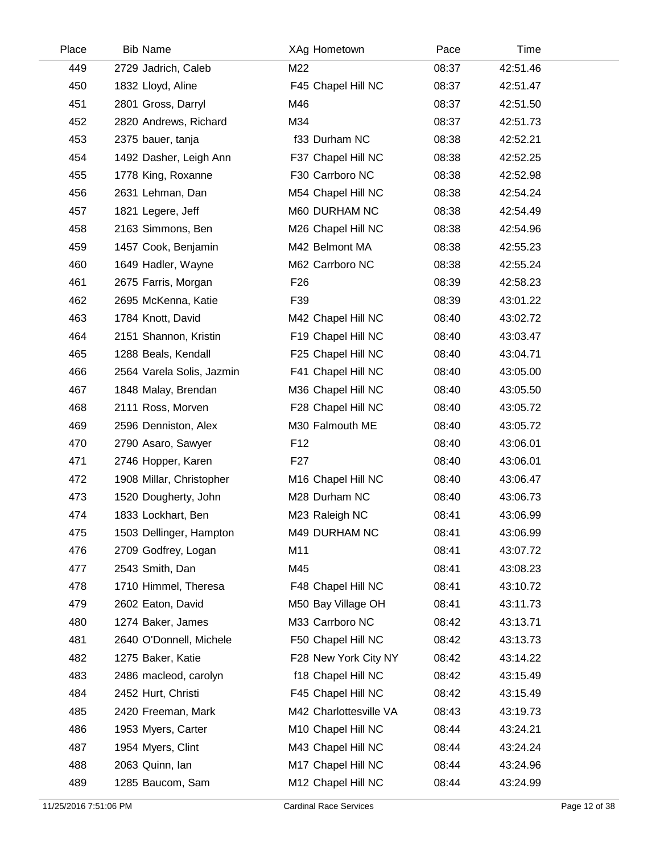| Place | <b>Bib Name</b>           | XAg Hometown           | Pace  | Time     |  |
|-------|---------------------------|------------------------|-------|----------|--|
| 449   | 2729 Jadrich, Caleb       | M22                    | 08:37 | 42:51.46 |  |
| 450   | 1832 Lloyd, Aline         | F45 Chapel Hill NC     | 08:37 | 42:51.47 |  |
| 451   | 2801 Gross, Darryl        | M46                    | 08:37 | 42:51.50 |  |
| 452   | 2820 Andrews, Richard     | M34                    | 08:37 | 42:51.73 |  |
| 453   | 2375 bauer, tanja         | f33 Durham NC          | 08:38 | 42:52.21 |  |
| 454   | 1492 Dasher, Leigh Ann    | F37 Chapel Hill NC     | 08:38 | 42:52.25 |  |
| 455   | 1778 King, Roxanne        | F30 Carrboro NC        | 08:38 | 42:52.98 |  |
| 456   | 2631 Lehman, Dan          | M54 Chapel Hill NC     | 08:38 | 42:54.24 |  |
| 457   | 1821 Legere, Jeff         | M60 DURHAM NC          | 08:38 | 42:54.49 |  |
| 458   | 2163 Simmons, Ben         | M26 Chapel Hill NC     | 08:38 | 42:54.96 |  |
| 459   | 1457 Cook, Benjamin       | M42 Belmont MA         | 08:38 | 42:55.23 |  |
| 460   | 1649 Hadler, Wayne        | M62 Carrboro NC        | 08:38 | 42:55.24 |  |
| 461   | 2675 Farris, Morgan       | F <sub>26</sub>        | 08:39 | 42:58.23 |  |
| 462   | 2695 McKenna, Katie       | F39                    | 08:39 | 43:01.22 |  |
| 463   | 1784 Knott, David         | M42 Chapel Hill NC     | 08:40 | 43:02.72 |  |
| 464   | 2151 Shannon, Kristin     | F19 Chapel Hill NC     | 08:40 | 43:03.47 |  |
| 465   | 1288 Beals, Kendall       | F25 Chapel Hill NC     | 08:40 | 43:04.71 |  |
| 466   | 2564 Varela Solis, Jazmin | F41 Chapel Hill NC     | 08:40 | 43:05.00 |  |
| 467   | 1848 Malay, Brendan       | M36 Chapel Hill NC     | 08:40 | 43:05.50 |  |
| 468   | 2111 Ross, Morven         | F28 Chapel Hill NC     | 08:40 | 43:05.72 |  |
| 469   | 2596 Denniston, Alex      | M30 Falmouth ME        | 08:40 | 43:05.72 |  |
| 470   | 2790 Asaro, Sawyer        | F <sub>12</sub>        | 08:40 | 43:06.01 |  |
| 471   | 2746 Hopper, Karen        | F27                    | 08:40 | 43:06.01 |  |
| 472   | 1908 Millar, Christopher  | M16 Chapel Hill NC     | 08:40 | 43:06.47 |  |
| 473   | 1520 Dougherty, John      | M28 Durham NC          | 08:40 | 43:06.73 |  |
| 474   | 1833 Lockhart, Ben        | M23 Raleigh NC         | 08:41 | 43:06.99 |  |
| 475   | 1503 Dellinger, Hampton   | M49 DURHAM NC          | 08:41 | 43:06.99 |  |
| 476   | 2709 Godfrey, Logan       | M11                    | 08:41 | 43:07.72 |  |
| 477   | 2543 Smith, Dan           | M45                    | 08:41 | 43:08.23 |  |
| 478   | 1710 Himmel, Theresa      | F48 Chapel Hill NC     | 08:41 | 43:10.72 |  |
| 479   | 2602 Eaton, David         | M50 Bay Village OH     | 08:41 | 43:11.73 |  |
| 480   | 1274 Baker, James         | M33 Carrboro NC        | 08:42 | 43:13.71 |  |
| 481   | 2640 O'Donnell, Michele   | F50 Chapel Hill NC     | 08:42 | 43:13.73 |  |
| 482   | 1275 Baker, Katie         | F28 New York City NY   | 08:42 | 43:14.22 |  |
| 483   | 2486 macleod, carolyn     | f18 Chapel Hill NC     | 08:42 | 43:15.49 |  |
| 484   | 2452 Hurt, Christi        | F45 Chapel Hill NC     | 08:42 | 43:15.49 |  |
| 485   | 2420 Freeman, Mark        | M42 Charlottesville VA | 08:43 | 43:19.73 |  |
| 486   | 1953 Myers, Carter        | M10 Chapel Hill NC     | 08:44 | 43:24.21 |  |
| 487   | 1954 Myers, Clint         | M43 Chapel Hill NC     | 08:44 | 43:24.24 |  |
| 488   | 2063 Quinn, Ian           | M17 Chapel Hill NC     | 08:44 | 43:24.96 |  |
| 489   | 1285 Baucom, Sam          | M12 Chapel Hill NC     | 08:44 | 43:24.99 |  |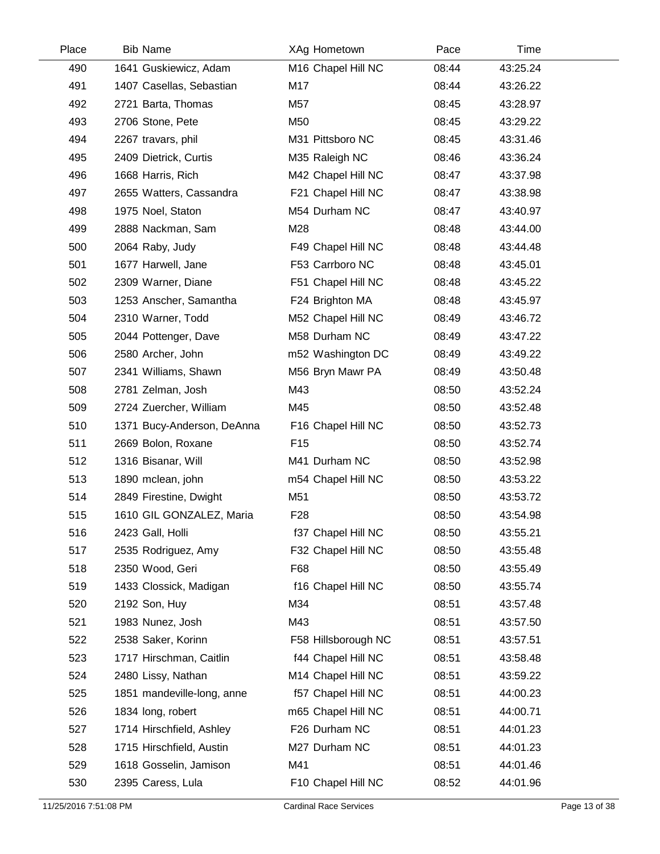| Place | <b>Bib Name</b>            | XAg Hometown        | Pace  | Time     |  |
|-------|----------------------------|---------------------|-------|----------|--|
| 490   | 1641 Guskiewicz, Adam      | M16 Chapel Hill NC  | 08:44 | 43:25.24 |  |
| 491   | 1407 Casellas, Sebastian   | M17                 | 08:44 | 43:26.22 |  |
| 492   | 2721 Barta, Thomas         | M57                 | 08:45 | 43:28.97 |  |
| 493   | 2706 Stone, Pete           | M50                 | 08:45 | 43:29.22 |  |
| 494   | 2267 travars, phil         | M31 Pittsboro NC    | 08:45 | 43:31.46 |  |
| 495   | 2409 Dietrick, Curtis      | M35 Raleigh NC      | 08:46 | 43:36.24 |  |
| 496   | 1668 Harris, Rich          | M42 Chapel Hill NC  | 08:47 | 43:37.98 |  |
| 497   | 2655 Watters, Cassandra    | F21 Chapel Hill NC  | 08:47 | 43:38.98 |  |
| 498   | 1975 Noel, Staton          | M54 Durham NC       | 08:47 | 43:40.97 |  |
| 499   | 2888 Nackman, Sam          | M28                 | 08:48 | 43:44.00 |  |
| 500   | 2064 Raby, Judy            | F49 Chapel Hill NC  | 08:48 | 43:44.48 |  |
| 501   | 1677 Harwell, Jane         | F53 Carrboro NC     | 08:48 | 43:45.01 |  |
| 502   | 2309 Warner, Diane         | F51 Chapel Hill NC  | 08:48 | 43:45.22 |  |
| 503   | 1253 Anscher, Samantha     | F24 Brighton MA     | 08:48 | 43:45.97 |  |
| 504   | 2310 Warner, Todd          | M52 Chapel Hill NC  | 08:49 | 43:46.72 |  |
| 505   | 2044 Pottenger, Dave       | M58 Durham NC       | 08:49 | 43:47.22 |  |
| 506   | 2580 Archer, John          | m52 Washington DC   | 08:49 | 43:49.22 |  |
| 507   | 2341 Williams, Shawn       | M56 Bryn Mawr PA    | 08:49 | 43:50.48 |  |
| 508   | 2781 Zelman, Josh          | M43                 | 08:50 | 43:52.24 |  |
| 509   | 2724 Zuercher, William     | M45                 | 08:50 | 43:52.48 |  |
| 510   | 1371 Bucy-Anderson, DeAnna | F16 Chapel Hill NC  | 08:50 | 43:52.73 |  |
| 511   | 2669 Bolon, Roxane         | F <sub>15</sub>     | 08:50 | 43:52.74 |  |
| 512   | 1316 Bisanar, Will         | M41 Durham NC       | 08:50 | 43:52.98 |  |
| 513   | 1890 mclean, john          | m54 Chapel Hill NC  | 08:50 | 43:53.22 |  |
| 514   | 2849 Firestine, Dwight     | M51                 | 08:50 | 43:53.72 |  |
| 515   | 1610 GIL GONZALEZ, Maria   | F <sub>28</sub>     | 08:50 | 43:54.98 |  |
| 516   | 2423 Gall, Holli           | f37 Chapel Hill NC  | 08:50 | 43:55.21 |  |
| 517   | 2535 Rodriguez, Amy        | F32 Chapel Hill NC  | 08:50 | 43:55.48 |  |
| 518   | 2350 Wood, Geri            | F68                 | 08:50 | 43:55.49 |  |
| 519   | 1433 Clossick, Madigan     | f16 Chapel Hill NC  | 08:50 | 43:55.74 |  |
| 520   | 2192 Son, Huy              | M34                 | 08:51 | 43:57.48 |  |
| 521   | 1983 Nunez, Josh           | M43                 | 08:51 | 43:57.50 |  |
| 522   | 2538 Saker, Korinn         | F58 Hillsborough NC | 08:51 | 43:57.51 |  |
| 523   | 1717 Hirschman, Caitlin    | f44 Chapel Hill NC  | 08:51 | 43:58.48 |  |
| 524   | 2480 Lissy, Nathan         | M14 Chapel Hill NC  | 08:51 | 43:59.22 |  |
| 525   | 1851 mandeville-long, anne | f57 Chapel Hill NC  | 08:51 | 44:00.23 |  |
| 526   | 1834 long, robert          | m65 Chapel Hill NC  | 08:51 | 44:00.71 |  |
| 527   | 1714 Hirschfield, Ashley   | F26 Durham NC       | 08:51 | 44:01.23 |  |
| 528   | 1715 Hirschfield, Austin   | M27 Durham NC       | 08:51 | 44:01.23 |  |
| 529   | 1618 Gosselin, Jamison     | M41                 | 08:51 | 44:01.46 |  |
| 530   | 2395 Caress, Lula          | F10 Chapel Hill NC  | 08:52 | 44:01.96 |  |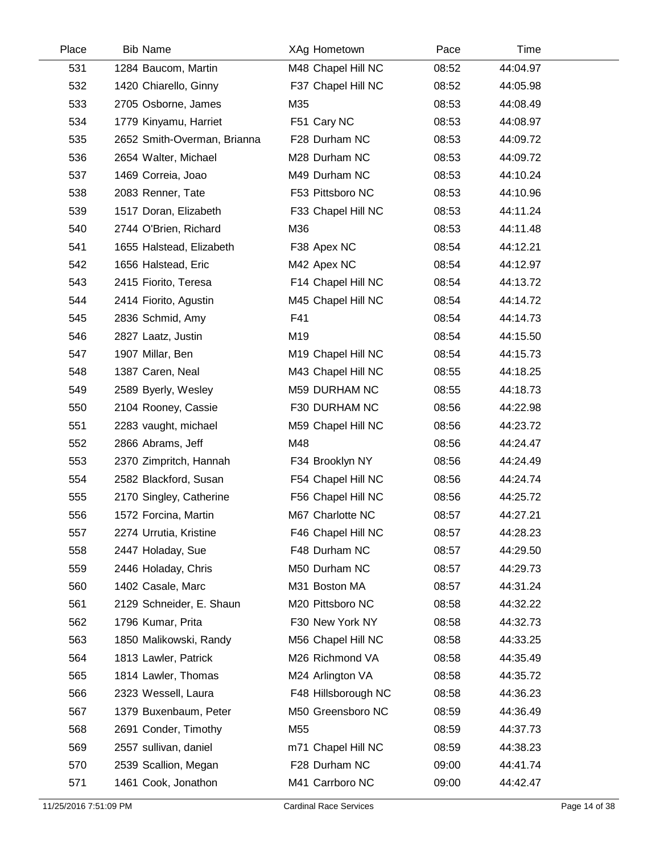| Place | <b>Bib Name</b>             | XAg Hometown        | Pace  | Time     |  |
|-------|-----------------------------|---------------------|-------|----------|--|
| 531   | 1284 Baucom, Martin         | M48 Chapel Hill NC  | 08:52 | 44:04.97 |  |
| 532   | 1420 Chiarello, Ginny       | F37 Chapel Hill NC  | 08:52 | 44:05.98 |  |
| 533   | 2705 Osborne, James         | M35                 | 08:53 | 44:08.49 |  |
| 534   | 1779 Kinyamu, Harriet       | F51 Cary NC         | 08:53 | 44:08.97 |  |
| 535   | 2652 Smith-Overman, Brianna | F28 Durham NC       | 08:53 | 44:09.72 |  |
| 536   | 2654 Walter, Michael        | M28 Durham NC       | 08:53 | 44:09.72 |  |
| 537   | 1469 Correia, Joao          | M49 Durham NC       | 08:53 | 44:10.24 |  |
| 538   | 2083 Renner, Tate           | F53 Pittsboro NC    | 08:53 | 44:10.96 |  |
| 539   | 1517 Doran, Elizabeth       | F33 Chapel Hill NC  | 08:53 | 44:11.24 |  |
| 540   | 2744 O'Brien, Richard       | M36                 | 08:53 | 44:11.48 |  |
| 541   | 1655 Halstead, Elizabeth    | F38 Apex NC         | 08:54 | 44:12.21 |  |
| 542   | 1656 Halstead, Eric         | M42 Apex NC         | 08:54 | 44:12.97 |  |
| 543   | 2415 Fiorito, Teresa        | F14 Chapel Hill NC  | 08:54 | 44:13.72 |  |
| 544   | 2414 Fiorito, Agustin       | M45 Chapel Hill NC  | 08:54 | 44:14.72 |  |
| 545   | 2836 Schmid, Amy            | F41                 | 08:54 | 44:14.73 |  |
| 546   | 2827 Laatz, Justin          | M19                 | 08:54 | 44:15.50 |  |
| 547   | 1907 Millar, Ben            | M19 Chapel Hill NC  | 08:54 | 44:15.73 |  |
| 548   | 1387 Caren, Neal            | M43 Chapel Hill NC  | 08:55 | 44:18.25 |  |
| 549   | 2589 Byerly, Wesley         | M59 DURHAM NC       | 08:55 | 44:18.73 |  |
| 550   | 2104 Rooney, Cassie         | F30 DURHAM NC       | 08:56 | 44:22.98 |  |
| 551   | 2283 vaught, michael        | M59 Chapel Hill NC  | 08:56 | 44:23.72 |  |
| 552   | 2866 Abrams, Jeff           | M48                 | 08:56 | 44:24.47 |  |
| 553   | 2370 Zimpritch, Hannah      | F34 Brooklyn NY     | 08:56 | 44:24.49 |  |
| 554   | 2582 Blackford, Susan       | F54 Chapel Hill NC  | 08:56 | 44:24.74 |  |
| 555   | 2170 Singley, Catherine     | F56 Chapel Hill NC  | 08:56 | 44:25.72 |  |
| 556   | 1572 Forcina, Martin        | M67 Charlotte NC    | 08:57 | 44:27.21 |  |
| 557   | 2274 Urrutia, Kristine      | F46 Chapel Hill NC  | 08:57 | 44:28.23 |  |
| 558   | 2447 Holaday, Sue           | F48 Durham NC       | 08:57 | 44:29.50 |  |
| 559   | 2446 Holaday, Chris         | M50 Durham NC       | 08:57 | 44:29.73 |  |
| 560   | 1402 Casale, Marc           | M31 Boston MA       | 08:57 | 44:31.24 |  |
| 561   | 2129 Schneider, E. Shaun    | M20 Pittsboro NC    | 08:58 | 44:32.22 |  |
| 562   | 1796 Kumar, Prita           | F30 New York NY     | 08:58 | 44:32.73 |  |
| 563   | 1850 Malikowski, Randy      | M56 Chapel Hill NC  | 08:58 | 44:33.25 |  |
| 564   | 1813 Lawler, Patrick        | M26 Richmond VA     | 08:58 | 44:35.49 |  |
| 565   | 1814 Lawler, Thomas         | M24 Arlington VA    | 08:58 | 44:35.72 |  |
| 566   | 2323 Wessell, Laura         | F48 Hillsborough NC | 08:58 | 44:36.23 |  |
| 567   | 1379 Buxenbaum, Peter       | M50 Greensboro NC   | 08:59 | 44:36.49 |  |
| 568   | 2691 Conder, Timothy        | M55                 | 08:59 | 44:37.73 |  |
| 569   | 2557 sullivan, daniel       | m71 Chapel Hill NC  | 08:59 | 44:38.23 |  |
| 570   | 2539 Scallion, Megan        | F28 Durham NC       | 09:00 | 44:41.74 |  |
| 571   | 1461 Cook, Jonathon         | M41 Carrboro NC     | 09:00 | 44:42.47 |  |
|       |                             |                     |       |          |  |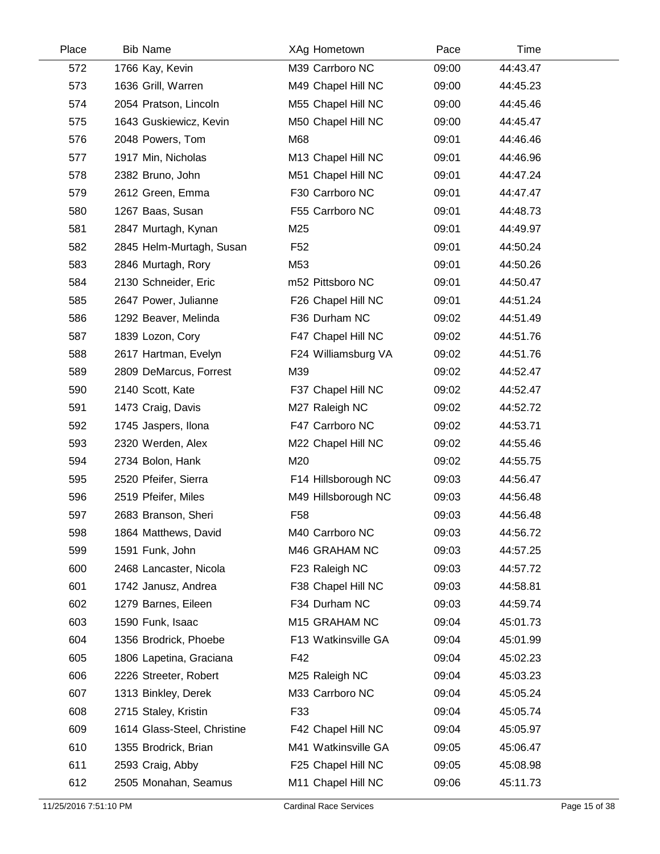| Place | <b>Bib Name</b>             | XAg Hometown        | Pace  | Time     |  |
|-------|-----------------------------|---------------------|-------|----------|--|
| 572   | 1766 Kay, Kevin             | M39 Carrboro NC     | 09:00 | 44:43.47 |  |
| 573   | 1636 Grill, Warren          | M49 Chapel Hill NC  | 09:00 | 44:45.23 |  |
| 574   | 2054 Pratson, Lincoln       | M55 Chapel Hill NC  | 09:00 | 44:45.46 |  |
| 575   | 1643 Guskiewicz, Kevin      | M50 Chapel Hill NC  | 09:00 | 44:45.47 |  |
| 576   | 2048 Powers, Tom            | M68                 | 09:01 | 44:46.46 |  |
| 577   | 1917 Min, Nicholas          | M13 Chapel Hill NC  | 09:01 | 44:46.96 |  |
| 578   | 2382 Bruno, John            | M51 Chapel Hill NC  | 09:01 | 44:47.24 |  |
| 579   | 2612 Green, Emma            | F30 Carrboro NC     | 09:01 | 44:47.47 |  |
| 580   | 1267 Baas, Susan            | F55 Carrboro NC     | 09:01 | 44:48.73 |  |
| 581   | 2847 Murtagh, Kynan         | M25                 | 09:01 | 44:49.97 |  |
| 582   | 2845 Helm-Murtagh, Susan    | F <sub>52</sub>     | 09:01 | 44:50.24 |  |
| 583   | 2846 Murtagh, Rory          | M53                 | 09:01 | 44:50.26 |  |
| 584   | 2130 Schneider, Eric        | m52 Pittsboro NC    | 09:01 | 44:50.47 |  |
| 585   | 2647 Power, Julianne        | F26 Chapel Hill NC  | 09:01 | 44:51.24 |  |
| 586   | 1292 Beaver, Melinda        | F36 Durham NC       | 09:02 | 44:51.49 |  |
| 587   | 1839 Lozon, Cory            | F47 Chapel Hill NC  | 09:02 | 44:51.76 |  |
| 588   | 2617 Hartman, Evelyn        | F24 Williamsburg VA | 09:02 | 44:51.76 |  |
| 589   | 2809 DeMarcus, Forrest      | M39                 | 09:02 | 44:52.47 |  |
| 590   | 2140 Scott, Kate            | F37 Chapel Hill NC  | 09:02 | 44:52.47 |  |
| 591   | 1473 Craig, Davis           | M27 Raleigh NC      | 09:02 | 44:52.72 |  |
| 592   | 1745 Jaspers, Ilona         | F47 Carrboro NC     | 09:02 | 44:53.71 |  |
| 593   | 2320 Werden, Alex           | M22 Chapel Hill NC  | 09:02 | 44:55.46 |  |
| 594   | 2734 Bolon, Hank            | M20                 | 09:02 | 44:55.75 |  |
| 595   | 2520 Pfeifer, Sierra        | F14 Hillsborough NC | 09:03 | 44:56.47 |  |
| 596   | 2519 Pfeifer, Miles         | M49 Hillsborough NC | 09:03 | 44:56.48 |  |
| 597   | 2683 Branson, Sheri         | F <sub>58</sub>     | 09:03 | 44:56.48 |  |
| 598   | 1864 Matthews, David        | M40 Carrboro NC     | 09:03 | 44:56.72 |  |
| 599   | 1591 Funk, John             | M46 GRAHAM NC       | 09:03 | 44:57.25 |  |
| 600   | 2468 Lancaster, Nicola      | F23 Raleigh NC      | 09:03 | 44:57.72 |  |
| 601   | 1742 Janusz, Andrea         | F38 Chapel Hill NC  | 09:03 | 44:58.81 |  |
| 602   | 1279 Barnes, Eileen         | F34 Durham NC       | 09:03 | 44:59.74 |  |
| 603   | 1590 Funk, Isaac            | M15 GRAHAM NC       | 09:04 | 45:01.73 |  |
| 604   | 1356 Brodrick, Phoebe       | F13 Watkinsville GA | 09:04 | 45:01.99 |  |
| 605   | 1806 Lapetina, Graciana     | F42                 | 09:04 | 45:02.23 |  |
| 606   | 2226 Streeter, Robert       | M25 Raleigh NC      | 09:04 | 45:03.23 |  |
| 607   | 1313 Binkley, Derek         | M33 Carrboro NC     | 09:04 | 45:05.24 |  |
| 608   | 2715 Staley, Kristin        | F33                 | 09:04 | 45:05.74 |  |
| 609   | 1614 Glass-Steel, Christine | F42 Chapel Hill NC  | 09:04 | 45:05.97 |  |
| 610   | 1355 Brodrick, Brian        | M41 Watkinsville GA | 09:05 | 45:06.47 |  |
| 611   | 2593 Craig, Abby            | F25 Chapel Hill NC  | 09:05 | 45:08.98 |  |
| 612   | 2505 Monahan, Seamus        | M11 Chapel Hill NC  | 09:06 | 45:11.73 |  |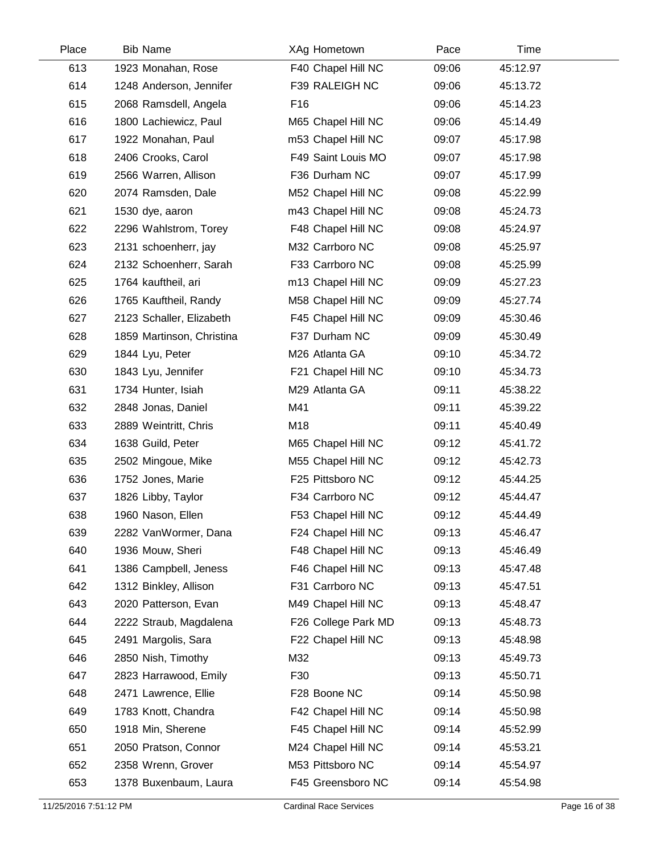| Place | <b>Bib Name</b>           | XAg Hometown        | Pace  | Time     |  |
|-------|---------------------------|---------------------|-------|----------|--|
| 613   | 1923 Monahan, Rose        | F40 Chapel Hill NC  | 09:06 | 45:12.97 |  |
| 614   | 1248 Anderson, Jennifer   | F39 RALEIGH NC      | 09:06 | 45:13.72 |  |
| 615   | 2068 Ramsdell, Angela     | F <sub>16</sub>     | 09:06 | 45:14.23 |  |
| 616   | 1800 Lachiewicz, Paul     | M65 Chapel Hill NC  | 09:06 | 45:14.49 |  |
| 617   | 1922 Monahan, Paul        | m53 Chapel Hill NC  | 09:07 | 45:17.98 |  |
| 618   | 2406 Crooks, Carol        | F49 Saint Louis MO  | 09:07 | 45:17.98 |  |
| 619   | 2566 Warren, Allison      | F36 Durham NC       | 09:07 | 45:17.99 |  |
| 620   | 2074 Ramsden, Dale        | M52 Chapel Hill NC  | 09:08 | 45:22.99 |  |
| 621   | 1530 dye, aaron           | m43 Chapel Hill NC  | 09:08 | 45:24.73 |  |
| 622   | 2296 Wahlstrom, Torey     | F48 Chapel Hill NC  | 09:08 | 45:24.97 |  |
| 623   | 2131 schoenherr, jay      | M32 Carrboro NC     | 09:08 | 45:25.97 |  |
| 624   | 2132 Schoenherr, Sarah    | F33 Carrboro NC     | 09:08 | 45:25.99 |  |
| 625   | 1764 kauftheil, ari       | m13 Chapel Hill NC  | 09:09 | 45:27.23 |  |
| 626   | 1765 Kauftheil, Randy     | M58 Chapel Hill NC  | 09:09 | 45:27.74 |  |
| 627   | 2123 Schaller, Elizabeth  | F45 Chapel Hill NC  | 09:09 | 45:30.46 |  |
| 628   | 1859 Martinson, Christina | F37 Durham NC       | 09:09 | 45:30.49 |  |
| 629   | 1844 Lyu, Peter           | M26 Atlanta GA      | 09:10 | 45:34.72 |  |
| 630   | 1843 Lyu, Jennifer        | F21 Chapel Hill NC  | 09:10 | 45:34.73 |  |
| 631   | 1734 Hunter, Isiah        | M29 Atlanta GA      | 09:11 | 45:38.22 |  |
| 632   | 2848 Jonas, Daniel        | M41                 | 09:11 | 45:39.22 |  |
| 633   | 2889 Weintritt, Chris     | M18                 | 09:11 | 45:40.49 |  |
| 634   | 1638 Guild, Peter         | M65 Chapel Hill NC  | 09:12 | 45:41.72 |  |
| 635   | 2502 Mingoue, Mike        | M55 Chapel Hill NC  | 09:12 | 45:42.73 |  |
| 636   | 1752 Jones, Marie         | F25 Pittsboro NC    | 09:12 | 45:44.25 |  |
| 637   | 1826 Libby, Taylor        | F34 Carrboro NC     | 09:12 | 45:44.47 |  |
| 638   | 1960 Nason, Ellen         | F53 Chapel Hill NC  | 09:12 | 45:44.49 |  |
| 639   | 2282 VanWormer, Dana      | F24 Chapel Hill NC  | 09:13 | 45:46.47 |  |
| 640   | 1936 Mouw, Sheri          | F48 Chapel Hill NC  | 09:13 | 45:46.49 |  |
| 641   | 1386 Campbell, Jeness     | F46 Chapel Hill NC  | 09:13 | 45:47.48 |  |
| 642   | 1312 Binkley, Allison     | F31 Carrboro NC     | 09:13 | 45:47.51 |  |
| 643   | 2020 Patterson, Evan      | M49 Chapel Hill NC  | 09:13 | 45:48.47 |  |
| 644   | 2222 Straub, Magdalena    | F26 College Park MD | 09:13 | 45:48.73 |  |
| 645   | 2491 Margolis, Sara       | F22 Chapel Hill NC  | 09:13 | 45:48.98 |  |
| 646   | 2850 Nish, Timothy        | M32                 | 09:13 | 45:49.73 |  |
| 647   | 2823 Harrawood, Emily     | F30                 | 09:13 | 45:50.71 |  |
| 648   | 2471 Lawrence, Ellie      | F28 Boone NC        | 09:14 | 45:50.98 |  |
| 649   | 1783 Knott, Chandra       | F42 Chapel Hill NC  | 09:14 | 45:50.98 |  |
| 650   | 1918 Min, Sherene         | F45 Chapel Hill NC  | 09:14 | 45:52.99 |  |
| 651   | 2050 Pratson, Connor      | M24 Chapel Hill NC  | 09:14 | 45:53.21 |  |
| 652   | 2358 Wrenn, Grover        | M53 Pittsboro NC    | 09:14 | 45:54.97 |  |
| 653   | 1378 Buxenbaum, Laura     | F45 Greensboro NC   | 09:14 | 45:54.98 |  |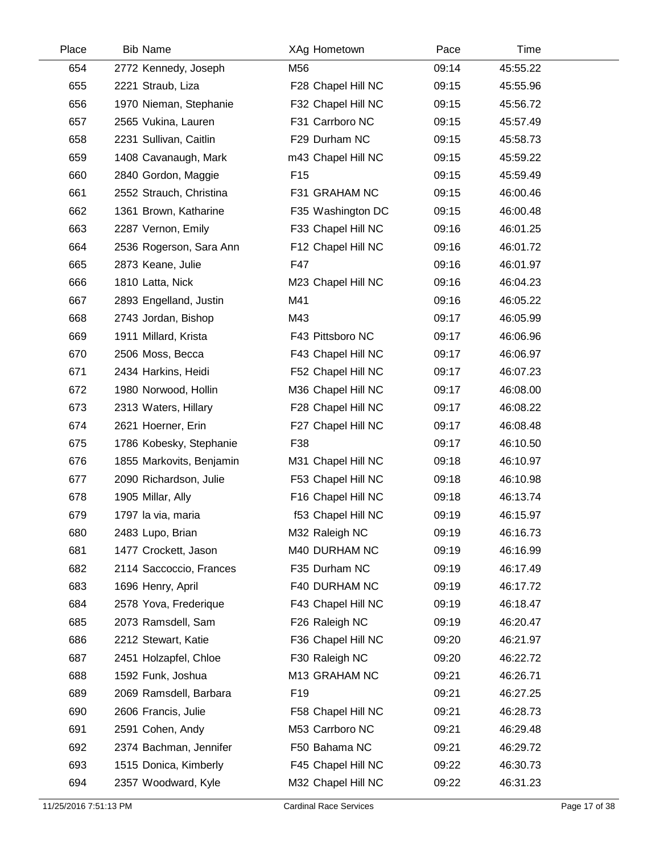| Place | <b>Bib Name</b>          | XAg Hometown       | Pace  | Time     |  |
|-------|--------------------------|--------------------|-------|----------|--|
| 654   | 2772 Kennedy, Joseph     | M56                | 09:14 | 45:55.22 |  |
| 655   | 2221 Straub, Liza        | F28 Chapel Hill NC | 09:15 | 45:55.96 |  |
| 656   | 1970 Nieman, Stephanie   | F32 Chapel Hill NC | 09:15 | 45:56.72 |  |
| 657   | 2565 Vukina, Lauren      | F31 Carrboro NC    | 09:15 | 45:57.49 |  |
| 658   | 2231 Sullivan, Caitlin   | F29 Durham NC      | 09:15 | 45:58.73 |  |
| 659   | 1408 Cavanaugh, Mark     | m43 Chapel Hill NC | 09:15 | 45:59.22 |  |
| 660   | 2840 Gordon, Maggie      | F <sub>15</sub>    | 09:15 | 45:59.49 |  |
| 661   | 2552 Strauch, Christina  | F31 GRAHAM NC      | 09:15 | 46:00.46 |  |
| 662   | 1361 Brown, Katharine    | F35 Washington DC  | 09:15 | 46:00.48 |  |
| 663   | 2287 Vernon, Emily       | F33 Chapel Hill NC | 09:16 | 46:01.25 |  |
| 664   | 2536 Rogerson, Sara Ann  | F12 Chapel Hill NC | 09:16 | 46:01.72 |  |
| 665   | 2873 Keane, Julie        | F47                | 09:16 | 46:01.97 |  |
| 666   | 1810 Latta, Nick         | M23 Chapel Hill NC | 09:16 | 46:04.23 |  |
| 667   | 2893 Engelland, Justin   | M41                | 09:16 | 46:05.22 |  |
| 668   | 2743 Jordan, Bishop      | M43                | 09:17 | 46:05.99 |  |
| 669   | 1911 Millard, Krista     | F43 Pittsboro NC   | 09:17 | 46:06.96 |  |
| 670   | 2506 Moss, Becca         | F43 Chapel Hill NC | 09:17 | 46:06.97 |  |
| 671   | 2434 Harkins, Heidi      | F52 Chapel Hill NC | 09:17 | 46:07.23 |  |
| 672   | 1980 Norwood, Hollin     | M36 Chapel Hill NC | 09:17 | 46:08.00 |  |
| 673   | 2313 Waters, Hillary     | F28 Chapel Hill NC | 09:17 | 46:08.22 |  |
| 674   | 2621 Hoerner, Erin       | F27 Chapel Hill NC | 09:17 | 46:08.48 |  |
| 675   | 1786 Kobesky, Stephanie  | F38                | 09:17 | 46:10.50 |  |
| 676   | 1855 Markovits, Benjamin | M31 Chapel Hill NC | 09:18 | 46:10.97 |  |
| 677   | 2090 Richardson, Julie   | F53 Chapel Hill NC | 09:18 | 46:10.98 |  |
| 678   | 1905 Millar, Ally        | F16 Chapel Hill NC | 09:18 | 46:13.74 |  |
| 679   | 1797 la via, maria       | f53 Chapel Hill NC | 09:19 | 46:15.97 |  |
| 680   | 2483 Lupo, Brian         | M32 Raleigh NC     | 09:19 | 46:16.73 |  |
| 681   | 1477 Crockett, Jason     | M40 DURHAM NC      | 09:19 | 46:16.99 |  |
| 682   | 2114 Saccoccio, Frances  | F35 Durham NC      | 09:19 | 46:17.49 |  |
| 683   | 1696 Henry, April        | F40 DURHAM NC      | 09:19 | 46:17.72 |  |
| 684   | 2578 Yova, Frederique    | F43 Chapel Hill NC | 09:19 | 46:18.47 |  |
| 685   | 2073 Ramsdell, Sam       | F26 Raleigh NC     | 09:19 | 46:20.47 |  |
| 686   | 2212 Stewart, Katie      | F36 Chapel Hill NC | 09:20 | 46:21.97 |  |
| 687   | 2451 Holzapfel, Chloe    | F30 Raleigh NC     | 09:20 | 46:22.72 |  |
| 688   | 1592 Funk, Joshua        | M13 GRAHAM NC      | 09:21 | 46:26.71 |  |
| 689   | 2069 Ramsdell, Barbara   | F <sub>19</sub>    | 09:21 | 46:27.25 |  |
| 690   | 2606 Francis, Julie      | F58 Chapel Hill NC | 09:21 | 46:28.73 |  |
| 691   | 2591 Cohen, Andy         | M53 Carrboro NC    | 09:21 | 46:29.48 |  |
| 692   | 2374 Bachman, Jennifer   | F50 Bahama NC      | 09:21 | 46:29.72 |  |
| 693   | 1515 Donica, Kimberly    | F45 Chapel Hill NC | 09:22 | 46:30.73 |  |
| 694   | 2357 Woodward, Kyle      | M32 Chapel Hill NC | 09:22 | 46:31.23 |  |
|       |                          |                    |       |          |  |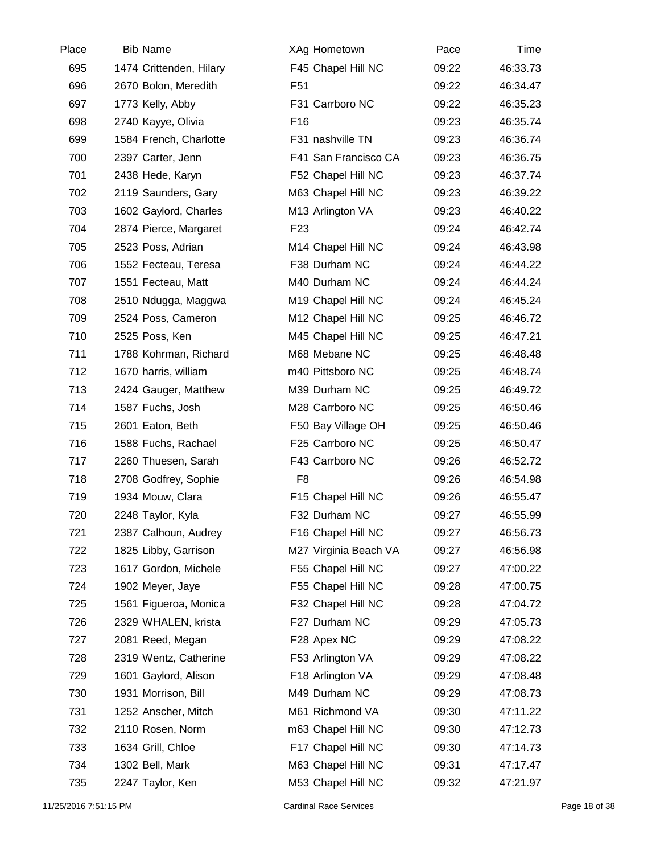| Place | <b>Bib Name</b>         | XAg Hometown          | Pace  | Time     |  |
|-------|-------------------------|-----------------------|-------|----------|--|
| 695   | 1474 Crittenden, Hilary | F45 Chapel Hill NC    | 09:22 | 46:33.73 |  |
| 696   | 2670 Bolon, Meredith    | F <sub>51</sub>       | 09:22 | 46:34.47 |  |
| 697   | 1773 Kelly, Abby        | F31 Carrboro NC       | 09:22 | 46:35.23 |  |
| 698   | 2740 Kayye, Olivia      | F <sub>16</sub>       | 09:23 | 46:35.74 |  |
| 699   | 1584 French, Charlotte  | F31 nashville TN      | 09:23 | 46:36.74 |  |
| 700   | 2397 Carter, Jenn       | F41 San Francisco CA  | 09:23 | 46:36.75 |  |
| 701   | 2438 Hede, Karyn        | F52 Chapel Hill NC    | 09:23 | 46:37.74 |  |
| 702   | 2119 Saunders, Gary     | M63 Chapel Hill NC    | 09:23 | 46:39.22 |  |
| 703   | 1602 Gaylord, Charles   | M13 Arlington VA      | 09:23 | 46:40.22 |  |
| 704   | 2874 Pierce, Margaret   | F <sub>23</sub>       | 09:24 | 46:42.74 |  |
| 705   | 2523 Poss, Adrian       | M14 Chapel Hill NC    | 09:24 | 46:43.98 |  |
| 706   | 1552 Fecteau, Teresa    | F38 Durham NC         | 09:24 | 46:44.22 |  |
| 707   | 1551 Fecteau, Matt      | M40 Durham NC         | 09:24 | 46:44.24 |  |
| 708   | 2510 Ndugga, Maggwa     | M19 Chapel Hill NC    | 09:24 | 46:45.24 |  |
| 709   | 2524 Poss, Cameron      | M12 Chapel Hill NC    | 09:25 | 46:46.72 |  |
| 710   | 2525 Poss, Ken          | M45 Chapel Hill NC    | 09:25 | 46:47.21 |  |
| 711   | 1788 Kohrman, Richard   | M68 Mebane NC         | 09:25 | 46:48.48 |  |
| 712   | 1670 harris, william    | m40 Pittsboro NC      | 09:25 | 46:48.74 |  |
| 713   | 2424 Gauger, Matthew    | M39 Durham NC         | 09:25 | 46:49.72 |  |
| 714   | 1587 Fuchs, Josh        | M28 Carrboro NC       | 09:25 | 46:50.46 |  |
| 715   | 2601 Eaton, Beth        | F50 Bay Village OH    | 09:25 | 46:50.46 |  |
| 716   | 1588 Fuchs, Rachael     | F25 Carrboro NC       | 09:25 | 46:50.47 |  |
| 717   | 2260 Thuesen, Sarah     | F43 Carrboro NC       | 09:26 | 46:52.72 |  |
| 718   | 2708 Godfrey, Sophie    | F <sub>8</sub>        | 09:26 | 46:54.98 |  |
| 719   | 1934 Mouw, Clara        | F15 Chapel Hill NC    | 09:26 | 46:55.47 |  |
| 720   | 2248 Taylor, Kyla       | F32 Durham NC         | 09:27 | 46:55.99 |  |
| 721   | 2387 Calhoun, Audrey    | F16 Chapel Hill NC    | 09:27 | 46:56.73 |  |
| 722   | 1825 Libby, Garrison    | M27 Virginia Beach VA | 09:27 | 46:56.98 |  |
| 723   | 1617 Gordon, Michele    | F55 Chapel Hill NC    | 09:27 | 47:00.22 |  |
| 724   | 1902 Meyer, Jaye        | F55 Chapel Hill NC    | 09:28 | 47:00.75 |  |
| 725   | 1561 Figueroa, Monica   | F32 Chapel Hill NC    | 09:28 | 47:04.72 |  |
| 726   | 2329 WHALEN, krista     | F27 Durham NC         | 09:29 | 47:05.73 |  |
| 727   | 2081 Reed, Megan        | F28 Apex NC           | 09:29 | 47:08.22 |  |
| 728   | 2319 Wentz, Catherine   | F53 Arlington VA      | 09:29 | 47:08.22 |  |
| 729   | 1601 Gaylord, Alison    | F18 Arlington VA      | 09:29 | 47:08.48 |  |
| 730   | 1931 Morrison, Bill     | M49 Durham NC         | 09:29 | 47:08.73 |  |
| 731   | 1252 Anscher, Mitch     | M61 Richmond VA       | 09:30 | 47:11.22 |  |
| 732   | 2110 Rosen, Norm        | m63 Chapel Hill NC    | 09:30 | 47:12.73 |  |
| 733   | 1634 Grill, Chloe       | F17 Chapel Hill NC    | 09:30 | 47:14.73 |  |
| 734   | 1302 Bell, Mark         | M63 Chapel Hill NC    | 09:31 | 47:17.47 |  |
| 735   | 2247 Taylor, Ken        | M53 Chapel Hill NC    | 09:32 | 47:21.97 |  |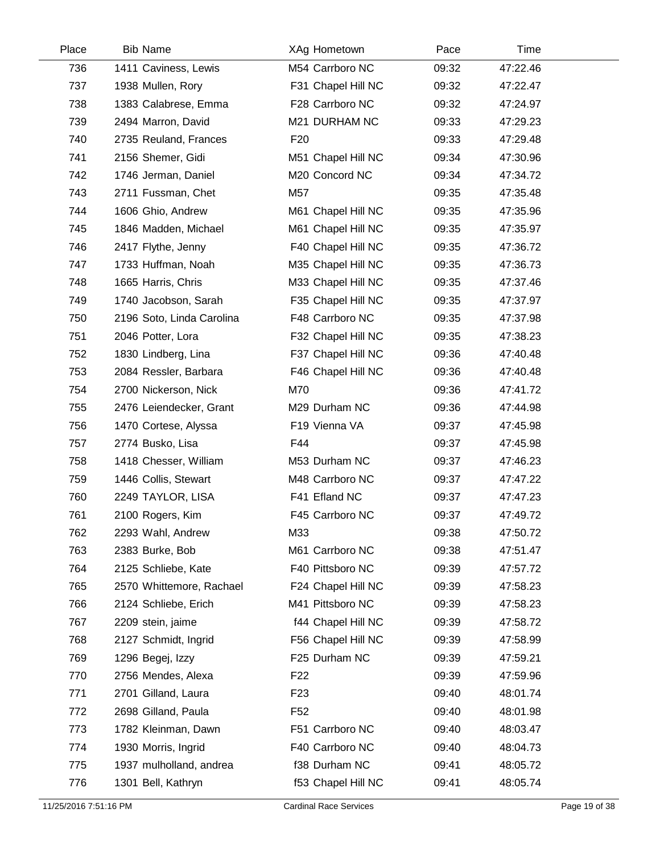| Place | <b>Bib Name</b>           | XAg Hometown       | Pace  | Time     |  |
|-------|---------------------------|--------------------|-------|----------|--|
| 736   | 1411 Caviness, Lewis      | M54 Carrboro NC    | 09:32 | 47:22.46 |  |
| 737   | 1938 Mullen, Rory         | F31 Chapel Hill NC | 09:32 | 47:22.47 |  |
| 738   | 1383 Calabrese, Emma      | F28 Carrboro NC    | 09:32 | 47:24.97 |  |
| 739   | 2494 Marron, David        | M21 DURHAM NC      | 09:33 | 47:29.23 |  |
| 740   | 2735 Reuland, Frances     | F <sub>20</sub>    | 09:33 | 47:29.48 |  |
| 741   | 2156 Shemer, Gidi         | M51 Chapel Hill NC | 09:34 | 47:30.96 |  |
| 742   | 1746 Jerman, Daniel       | M20 Concord NC     | 09:34 | 47:34.72 |  |
| 743   | 2711 Fussman, Chet        | M57                | 09:35 | 47:35.48 |  |
| 744   | 1606 Ghio, Andrew         | M61 Chapel Hill NC | 09:35 | 47:35.96 |  |
| 745   | 1846 Madden, Michael      | M61 Chapel Hill NC | 09:35 | 47:35.97 |  |
| 746   | 2417 Flythe, Jenny        | F40 Chapel Hill NC | 09:35 | 47:36.72 |  |
| 747   | 1733 Huffman, Noah        | M35 Chapel Hill NC | 09:35 | 47:36.73 |  |
| 748   | 1665 Harris, Chris        | M33 Chapel Hill NC | 09:35 | 47:37.46 |  |
| 749   | 1740 Jacobson, Sarah      | F35 Chapel Hill NC | 09:35 | 47:37.97 |  |
| 750   | 2196 Soto, Linda Carolina | F48 Carrboro NC    | 09:35 | 47:37.98 |  |
| 751   | 2046 Potter, Lora         | F32 Chapel Hill NC | 09:35 | 47:38.23 |  |
| 752   | 1830 Lindberg, Lina       | F37 Chapel Hill NC | 09:36 | 47:40.48 |  |
| 753   | 2084 Ressler, Barbara     | F46 Chapel Hill NC | 09:36 | 47:40.48 |  |
| 754   | 2700 Nickerson, Nick      | M70                | 09:36 | 47:41.72 |  |
| 755   | 2476 Leiendecker, Grant   | M29 Durham NC      | 09:36 | 47:44.98 |  |
| 756   | 1470 Cortese, Alyssa      | F19 Vienna VA      | 09:37 | 47:45.98 |  |
| 757   | 2774 Busko, Lisa          | F44                | 09:37 | 47:45.98 |  |
| 758   | 1418 Chesser, William     | M53 Durham NC      | 09:37 | 47:46.23 |  |
| 759   | 1446 Collis, Stewart      | M48 Carrboro NC    | 09:37 | 47:47.22 |  |
| 760   | 2249 TAYLOR, LISA         | F41 Efland NC      | 09:37 | 47:47.23 |  |
| 761   | 2100 Rogers, Kim          | F45 Carrboro NC    | 09:37 | 47:49.72 |  |
| 762   | 2293 Wahl, Andrew         | M33                | 09:38 | 47:50.72 |  |
| 763   | 2383 Burke, Bob           | M61 Carrboro NC    | 09:38 | 47:51.47 |  |
| 764   | 2125 Schliebe, Kate       | F40 Pittsboro NC   | 09:39 | 47:57.72 |  |
| 765   | 2570 Whittemore, Rachael  | F24 Chapel Hill NC | 09:39 | 47:58.23 |  |
| 766   | 2124 Schliebe, Erich      | M41 Pittsboro NC   | 09:39 | 47:58.23 |  |
| 767   | 2209 stein, jaime         | f44 Chapel Hill NC | 09:39 | 47:58.72 |  |
| 768   | 2127 Schmidt, Ingrid      | F56 Chapel Hill NC | 09:39 | 47:58.99 |  |
| 769   | 1296 Begej, Izzy          | F25 Durham NC      | 09:39 | 47:59.21 |  |
| 770   | 2756 Mendes, Alexa        | F <sub>22</sub>    | 09:39 | 47:59.96 |  |
| 771   | 2701 Gilland, Laura       | F <sub>23</sub>    | 09:40 | 48:01.74 |  |
| 772   | 2698 Gilland, Paula       | F <sub>52</sub>    | 09:40 | 48:01.98 |  |
| 773   | 1782 Kleinman, Dawn       | F51 Carrboro NC    | 09:40 | 48:03.47 |  |
| 774   | 1930 Morris, Ingrid       | F40 Carrboro NC    | 09:40 | 48:04.73 |  |
| 775   | 1937 mulholland, andrea   | f38 Durham NC      | 09:41 | 48:05.72 |  |
| 776   | 1301 Bell, Kathryn        | f53 Chapel Hill NC | 09:41 | 48:05.74 |  |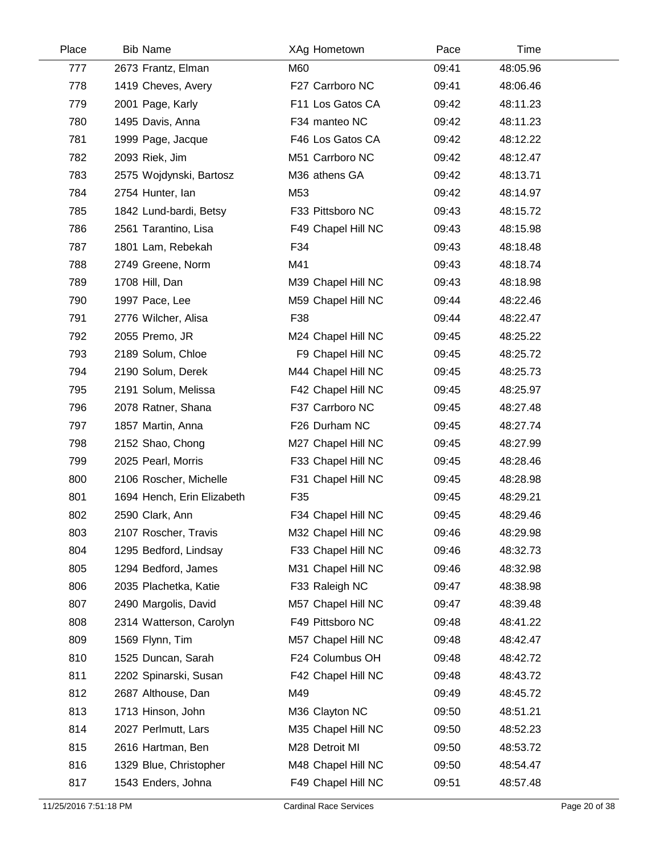| Place | <b>Bib Name</b>            |     | XAg Hometown       | Pace  | Time     |  |
|-------|----------------------------|-----|--------------------|-------|----------|--|
| 777   | 2673 Frantz, Elman         | M60 |                    | 09:41 | 48:05.96 |  |
| 778   | 1419 Cheves, Avery         |     | F27 Carrboro NC    | 09:41 | 48:06.46 |  |
| 779   | 2001 Page, Karly           |     | F11 Los Gatos CA   | 09:42 | 48:11.23 |  |
| 780   | 1495 Davis, Anna           |     | F34 manteo NC      | 09:42 | 48:11.23 |  |
| 781   | 1999 Page, Jacque          |     | F46 Los Gatos CA   | 09:42 | 48:12.22 |  |
| 782   | 2093 Riek, Jim             |     | M51 Carrboro NC    | 09:42 | 48:12.47 |  |
| 783   | 2575 Wojdynski, Bartosz    |     | M36 athens GA      | 09:42 | 48:13.71 |  |
| 784   | 2754 Hunter, lan           | M53 |                    | 09:42 | 48:14.97 |  |
| 785   | 1842 Lund-bardi, Betsy     |     | F33 Pittsboro NC   | 09:43 | 48:15.72 |  |
| 786   | 2561 Tarantino, Lisa       |     | F49 Chapel Hill NC | 09:43 | 48:15.98 |  |
| 787   | 1801 Lam, Rebekah          | F34 |                    | 09:43 | 48:18.48 |  |
| 788   | 2749 Greene, Norm          | M41 |                    | 09:43 | 48:18.74 |  |
| 789   | 1708 Hill, Dan             |     | M39 Chapel Hill NC | 09:43 | 48:18.98 |  |
| 790   | 1997 Pace, Lee             |     | M59 Chapel Hill NC | 09:44 | 48:22.46 |  |
| 791   | 2776 Wilcher, Alisa        | F38 |                    | 09:44 | 48:22.47 |  |
| 792   | 2055 Premo, JR             |     | M24 Chapel Hill NC | 09:45 | 48:25.22 |  |
| 793   | 2189 Solum, Chloe          |     | F9 Chapel Hill NC  | 09:45 | 48:25.72 |  |
| 794   | 2190 Solum, Derek          |     | M44 Chapel Hill NC | 09:45 | 48:25.73 |  |
| 795   | 2191 Solum, Melissa        |     | F42 Chapel Hill NC | 09:45 | 48:25.97 |  |
| 796   | 2078 Ratner, Shana         |     | F37 Carrboro NC    | 09:45 | 48:27.48 |  |
| 797   | 1857 Martin, Anna          |     | F26 Durham NC      | 09:45 | 48:27.74 |  |
| 798   | 2152 Shao, Chong           |     | M27 Chapel Hill NC | 09:45 | 48:27.99 |  |
| 799   | 2025 Pearl, Morris         |     | F33 Chapel Hill NC | 09:45 | 48:28.46 |  |
| 800   | 2106 Roscher, Michelle     |     | F31 Chapel Hill NC | 09:45 | 48:28.98 |  |
| 801   | 1694 Hench, Erin Elizabeth | F35 |                    | 09:45 | 48:29.21 |  |
| 802   | 2590 Clark, Ann            |     | F34 Chapel Hill NC | 09:45 | 48:29.46 |  |
| 803   | 2107 Roscher, Travis       |     | M32 Chapel Hill NC | 09:46 | 48:29.98 |  |
| 804   | 1295 Bedford, Lindsay      |     | F33 Chapel Hill NC | 09:46 | 48:32.73 |  |
| 805   | 1294 Bedford, James        |     | M31 Chapel Hill NC | 09:46 | 48:32.98 |  |
| 806   | 2035 Plachetka, Katie      |     | F33 Raleigh NC     | 09:47 | 48:38.98 |  |
| 807   | 2490 Margolis, David       |     | M57 Chapel Hill NC | 09:47 | 48:39.48 |  |
| 808   | 2314 Watterson, Carolyn    |     | F49 Pittsboro NC   | 09:48 | 48:41.22 |  |
| 809   | 1569 Flynn, Tim            |     | M57 Chapel Hill NC | 09:48 | 48:42.47 |  |
| 810   | 1525 Duncan, Sarah         |     | F24 Columbus OH    | 09:48 | 48:42.72 |  |
| 811   | 2202 Spinarski, Susan      |     | F42 Chapel Hill NC | 09:48 | 48:43.72 |  |
| 812   | 2687 Althouse, Dan         | M49 |                    | 09:49 | 48:45.72 |  |
| 813   | 1713 Hinson, John          |     | M36 Clayton NC     | 09:50 | 48:51.21 |  |
| 814   | 2027 Perlmutt, Lars        |     | M35 Chapel Hill NC | 09:50 | 48:52.23 |  |
| 815   | 2616 Hartman, Ben          |     | M28 Detroit MI     | 09:50 | 48:53.72 |  |
| 816   | 1329 Blue, Christopher     |     | M48 Chapel Hill NC | 09:50 | 48:54.47 |  |
| 817   | 1543 Enders, Johna         |     | F49 Chapel Hill NC | 09:51 | 48:57.48 |  |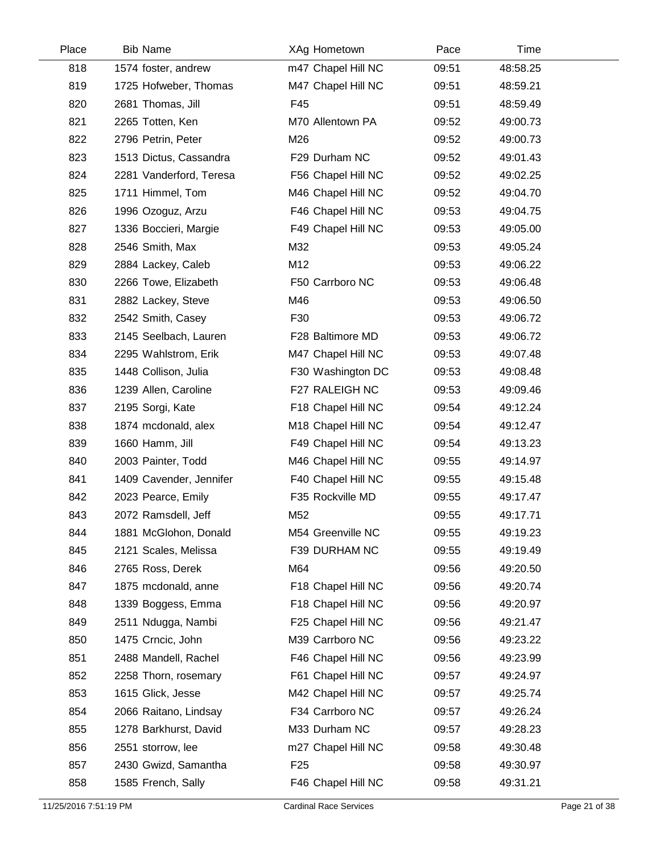| Place | <b>Bib Name</b>         | XAg Hometown       | Pace  | Time     |  |
|-------|-------------------------|--------------------|-------|----------|--|
| 818   | 1574 foster, andrew     | m47 Chapel Hill NC | 09:51 | 48:58.25 |  |
| 819   | 1725 Hofweber, Thomas   | M47 Chapel Hill NC | 09:51 | 48:59.21 |  |
| 820   | 2681 Thomas, Jill       | F45                | 09:51 | 48:59.49 |  |
| 821   | 2265 Totten, Ken        | M70 Allentown PA   | 09:52 | 49:00.73 |  |
| 822   | 2796 Petrin, Peter      | M26                | 09:52 | 49:00.73 |  |
| 823   | 1513 Dictus, Cassandra  | F29 Durham NC      | 09:52 | 49:01.43 |  |
| 824   | 2281 Vanderford, Teresa | F56 Chapel Hill NC | 09:52 | 49:02.25 |  |
| 825   | 1711 Himmel, Tom        | M46 Chapel Hill NC | 09:52 | 49:04.70 |  |
| 826   | 1996 Ozoguz, Arzu       | F46 Chapel Hill NC | 09:53 | 49:04.75 |  |
| 827   | 1336 Boccieri, Margie   | F49 Chapel Hill NC | 09:53 | 49:05.00 |  |
| 828   | 2546 Smith, Max         | M32                | 09:53 | 49:05.24 |  |
| 829   | 2884 Lackey, Caleb      | M12                | 09:53 | 49:06.22 |  |
| 830   | 2266 Towe, Elizabeth    | F50 Carrboro NC    | 09:53 | 49:06.48 |  |
| 831   | 2882 Lackey, Steve      | M46                | 09:53 | 49:06.50 |  |
| 832   | 2542 Smith, Casey       | F30                | 09:53 | 49:06.72 |  |
| 833   | 2145 Seelbach, Lauren   | F28 Baltimore MD   | 09:53 | 49:06.72 |  |
| 834   | 2295 Wahlstrom, Erik    | M47 Chapel Hill NC | 09:53 | 49:07.48 |  |
| 835   | 1448 Collison, Julia    | F30 Washington DC  | 09:53 | 49:08.48 |  |
| 836   | 1239 Allen, Caroline    | F27 RALEIGH NC     | 09:53 | 49:09.46 |  |
| 837   | 2195 Sorgi, Kate        | F18 Chapel Hill NC | 09:54 | 49:12.24 |  |
| 838   | 1874 mcdonald, alex     | M18 Chapel Hill NC | 09:54 | 49:12.47 |  |
| 839   | 1660 Hamm, Jill         | F49 Chapel Hill NC | 09:54 | 49:13.23 |  |
| 840   | 2003 Painter, Todd      | M46 Chapel Hill NC | 09:55 | 49:14.97 |  |
| 841   | 1409 Cavender, Jennifer | F40 Chapel Hill NC | 09:55 | 49:15.48 |  |
| 842   | 2023 Pearce, Emily      | F35 Rockville MD   | 09:55 | 49:17.47 |  |
| 843   | 2072 Ramsdell, Jeff     | M52                | 09:55 | 49:17.71 |  |
| 844   | 1881 McGlohon, Donald   | M54 Greenville NC  | 09:55 | 49:19.23 |  |
| 845   | 2121 Scales, Melissa    | F39 DURHAM NC      | 09:55 | 49:19.49 |  |
| 846   | 2765 Ross, Derek        | M64                | 09:56 | 49:20.50 |  |
| 847   | 1875 mcdonald, anne     | F18 Chapel Hill NC | 09:56 | 49:20.74 |  |
| 848   | 1339 Boggess, Emma      | F18 Chapel Hill NC | 09:56 | 49:20.97 |  |
| 849   | 2511 Ndugga, Nambi      | F25 Chapel Hill NC | 09:56 | 49:21.47 |  |
| 850   | 1475 Crncic, John       | M39 Carrboro NC    | 09:56 | 49:23.22 |  |
| 851   | 2488 Mandell, Rachel    | F46 Chapel Hill NC | 09:56 | 49:23.99 |  |
| 852   | 2258 Thorn, rosemary    | F61 Chapel Hill NC | 09:57 | 49:24.97 |  |
| 853   | 1615 Glick, Jesse       | M42 Chapel Hill NC | 09:57 | 49:25.74 |  |
| 854   | 2066 Raitano, Lindsay   | F34 Carrboro NC    | 09:57 | 49:26.24 |  |
| 855   | 1278 Barkhurst, David   | M33 Durham NC      | 09:57 | 49:28.23 |  |
| 856   | 2551 storrow, lee       | m27 Chapel Hill NC | 09:58 | 49:30.48 |  |
| 857   | 2430 Gwizd, Samantha    | F <sub>25</sub>    | 09:58 | 49:30.97 |  |
| 858   | 1585 French, Sally      | F46 Chapel Hill NC | 09:58 | 49:31.21 |  |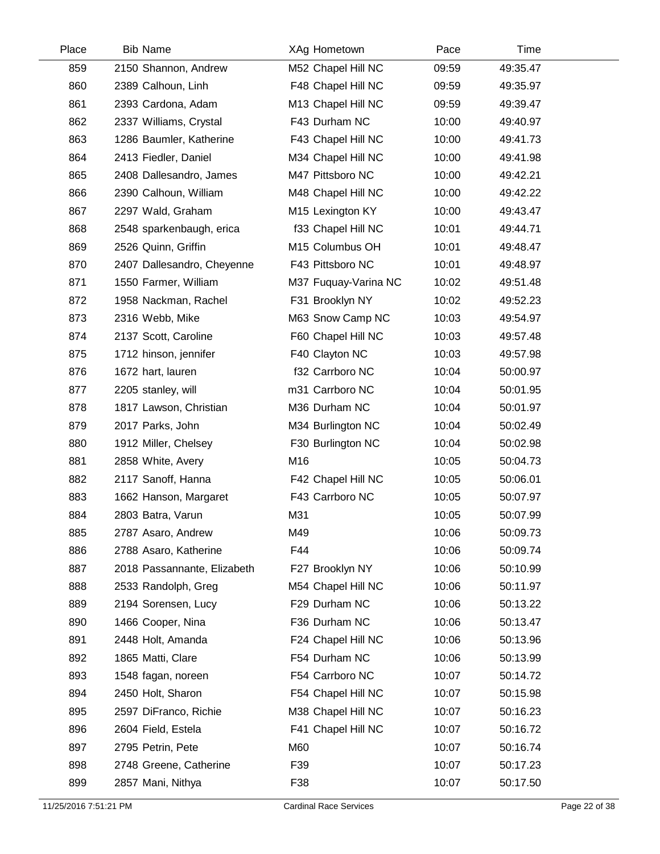| Place | <b>Bib Name</b>             | XAg Hometown         | Pace  | Time     |  |
|-------|-----------------------------|----------------------|-------|----------|--|
| 859   | 2150 Shannon, Andrew        | M52 Chapel Hill NC   | 09:59 | 49:35.47 |  |
| 860   | 2389 Calhoun, Linh          | F48 Chapel Hill NC   | 09:59 | 49:35.97 |  |
| 861   | 2393 Cardona, Adam          | M13 Chapel Hill NC   | 09:59 | 49:39.47 |  |
| 862   | 2337 Williams, Crystal      | F43 Durham NC        | 10:00 | 49:40.97 |  |
| 863   | 1286 Baumler, Katherine     | F43 Chapel Hill NC   | 10:00 | 49:41.73 |  |
| 864   | 2413 Fiedler, Daniel        | M34 Chapel Hill NC   | 10:00 | 49:41.98 |  |
| 865   | 2408 Dallesandro, James     | M47 Pittsboro NC     | 10:00 | 49:42.21 |  |
| 866   | 2390 Calhoun, William       | M48 Chapel Hill NC   | 10:00 | 49:42.22 |  |
| 867   | 2297 Wald, Graham           | M15 Lexington KY     | 10:00 | 49:43.47 |  |
| 868   | 2548 sparkenbaugh, erica    | f33 Chapel Hill NC   | 10:01 | 49:44.71 |  |
| 869   | 2526 Quinn, Griffin         | M15 Columbus OH      | 10:01 | 49:48.47 |  |
| 870   | 2407 Dallesandro, Cheyenne  | F43 Pittsboro NC     | 10:01 | 49:48.97 |  |
| 871   | 1550 Farmer, William        | M37 Fuquay-Varina NC | 10:02 | 49:51.48 |  |
| 872   | 1958 Nackman, Rachel        | F31 Brooklyn NY      | 10:02 | 49:52.23 |  |
| 873   | 2316 Webb, Mike             | M63 Snow Camp NC     | 10:03 | 49:54.97 |  |
| 874   | 2137 Scott, Caroline        | F60 Chapel Hill NC   | 10:03 | 49:57.48 |  |
| 875   | 1712 hinson, jennifer       | F40 Clayton NC       | 10:03 | 49:57.98 |  |
| 876   | 1672 hart, lauren           | f32 Carrboro NC      | 10:04 | 50:00.97 |  |
| 877   | 2205 stanley, will          | m31 Carrboro NC      | 10:04 | 50:01.95 |  |
| 878   | 1817 Lawson, Christian      | M36 Durham NC        | 10:04 | 50:01.97 |  |
| 879   | 2017 Parks, John            | M34 Burlington NC    | 10:04 | 50:02.49 |  |
| 880   | 1912 Miller, Chelsey        | F30 Burlington NC    | 10:04 | 50:02.98 |  |
| 881   | 2858 White, Avery           | M16                  | 10:05 | 50:04.73 |  |
| 882   | 2117 Sanoff, Hanna          | F42 Chapel Hill NC   | 10:05 | 50:06.01 |  |
| 883   | 1662 Hanson, Margaret       | F43 Carrboro NC      | 10:05 | 50:07.97 |  |
| 884   | 2803 Batra, Varun           | M31                  | 10:05 | 50:07.99 |  |
| 885   | 2787 Asaro, Andrew          | M49                  | 10:06 | 50:09.73 |  |
| 886   | 2788 Asaro, Katherine       | F44                  | 10:06 | 50:09.74 |  |
| 887   | 2018 Passannante, Elizabeth | F27 Brooklyn NY      | 10:06 | 50:10.99 |  |
| 888   | 2533 Randolph, Greg         | M54 Chapel Hill NC   | 10:06 | 50:11.97 |  |
| 889   | 2194 Sorensen, Lucy         | F29 Durham NC        | 10:06 | 50:13.22 |  |
| 890   | 1466 Cooper, Nina           | F36 Durham NC        | 10:06 | 50:13.47 |  |
| 891   | 2448 Holt, Amanda           | F24 Chapel Hill NC   | 10:06 | 50:13.96 |  |
| 892   | 1865 Matti, Clare           | F54 Durham NC        | 10:06 | 50:13.99 |  |
| 893   | 1548 fagan, noreen          | F54 Carrboro NC      | 10:07 | 50:14.72 |  |
| 894   | 2450 Holt, Sharon           | F54 Chapel Hill NC   | 10:07 | 50:15.98 |  |
| 895   | 2597 DiFranco, Richie       | M38 Chapel Hill NC   | 10:07 | 50:16.23 |  |
| 896   | 2604 Field, Estela          | F41 Chapel Hill NC   | 10:07 | 50:16.72 |  |
| 897   | 2795 Petrin, Pete           | M60                  | 10:07 | 50:16.74 |  |
| 898   | 2748 Greene, Catherine      | F39                  | 10:07 | 50:17.23 |  |
| 899   | 2857 Mani, Nithya           | F38                  | 10:07 | 50:17.50 |  |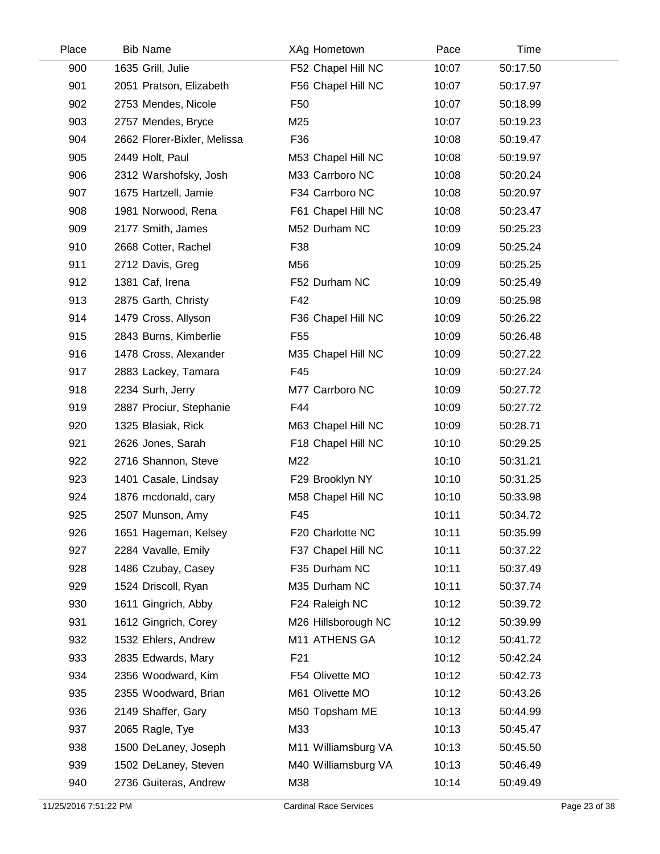| Place | <b>Bib Name</b>             | XAg Hometown        | Pace  | Time     |  |
|-------|-----------------------------|---------------------|-------|----------|--|
| 900   | 1635 Grill, Julie           | F52 Chapel Hill NC  | 10:07 | 50:17.50 |  |
| 901   | 2051 Pratson, Elizabeth     | F56 Chapel Hill NC  | 10:07 | 50:17.97 |  |
| 902   | 2753 Mendes, Nicole         | F <sub>50</sub>     | 10:07 | 50:18.99 |  |
| 903   | 2757 Mendes, Bryce          | M25                 | 10:07 | 50:19.23 |  |
| 904   | 2662 Florer-Bixler, Melissa | F36                 | 10:08 | 50:19.47 |  |
| 905   | 2449 Holt, Paul             | M53 Chapel Hill NC  | 10:08 | 50:19.97 |  |
| 906   | 2312 Warshofsky, Josh       | M33 Carrboro NC     | 10:08 | 50:20.24 |  |
| 907   | 1675 Hartzell, Jamie        | F34 Carrboro NC     | 10:08 | 50:20.97 |  |
| 908   | 1981 Norwood, Rena          | F61 Chapel Hill NC  | 10:08 | 50:23.47 |  |
| 909   | 2177 Smith, James           | M52 Durham NC       | 10:09 | 50:25.23 |  |
| 910   | 2668 Cotter, Rachel         | F38                 | 10:09 | 50:25.24 |  |
| 911   | 2712 Davis, Greg            | M56                 | 10:09 | 50:25.25 |  |
| 912   | 1381 Caf, Irena             | F52 Durham NC       | 10:09 | 50:25.49 |  |
| 913   | 2875 Garth, Christy         | F42                 | 10:09 | 50:25.98 |  |
| 914   | 1479 Cross, Allyson         | F36 Chapel Hill NC  | 10:09 | 50:26.22 |  |
| 915   | 2843 Burns, Kimberlie       | F <sub>55</sub>     | 10:09 | 50:26.48 |  |
| 916   | 1478 Cross, Alexander       | M35 Chapel Hill NC  | 10:09 | 50:27.22 |  |
| 917   | 2883 Lackey, Tamara         | F45                 | 10:09 | 50:27.24 |  |
| 918   | 2234 Surh, Jerry            | M77 Carrboro NC     | 10:09 | 50:27.72 |  |
| 919   | 2887 Prociur, Stephanie     | F44                 | 10:09 | 50:27.72 |  |
| 920   | 1325 Blasiak, Rick          | M63 Chapel Hill NC  | 10:09 | 50:28.71 |  |
| 921   | 2626 Jones, Sarah           | F18 Chapel Hill NC  | 10:10 | 50:29.25 |  |
| 922   | 2716 Shannon, Steve         | M22                 | 10:10 | 50:31.21 |  |
| 923   | 1401 Casale, Lindsay        | F29 Brooklyn NY     | 10:10 | 50:31.25 |  |
| 924   | 1876 mcdonald, cary         | M58 Chapel Hill NC  | 10:10 | 50:33.98 |  |
| 925   | 2507 Munson, Amy            | F45                 | 10:11 | 50:34.72 |  |
| 926   | 1651 Hageman, Kelsey        | F20 Charlotte NC    | 10:11 | 50:35.99 |  |
| 927   | 2284 Vavalle, Emily         | F37 Chapel Hill NC  | 10:11 | 50:37.22 |  |
| 928   | 1486 Czubay, Casey          | F35 Durham NC       | 10:11 | 50:37.49 |  |
| 929   | 1524 Driscoll, Ryan         | M35 Durham NC       | 10:11 | 50:37.74 |  |
| 930   | 1611 Gingrich, Abby         | F24 Raleigh NC      | 10:12 | 50:39.72 |  |
| 931   | 1612 Gingrich, Corey        | M26 Hillsborough NC | 10:12 | 50:39.99 |  |
| 932   | 1532 Ehlers, Andrew         | M11 ATHENS GA       | 10:12 | 50:41.72 |  |
| 933   | 2835 Edwards, Mary          | F <sub>21</sub>     | 10:12 | 50:42.24 |  |
| 934   | 2356 Woodward, Kim          | F54 Olivette MO     | 10:12 | 50:42.73 |  |
| 935   | 2355 Woodward, Brian        | M61 Olivette MO     | 10:12 | 50:43.26 |  |
| 936   | 2149 Shaffer, Gary          | M50 Topsham ME      | 10:13 | 50:44.99 |  |
| 937   | 2065 Ragle, Tye             | M33                 | 10:13 | 50:45.47 |  |
| 938   | 1500 DeLaney, Joseph        | M11 Williamsburg VA | 10:13 | 50:45.50 |  |
| 939   | 1502 DeLaney, Steven        | M40 Williamsburg VA | 10:13 | 50:46.49 |  |
| 940   | 2736 Guiteras, Andrew       | M38                 | 10:14 | 50:49.49 |  |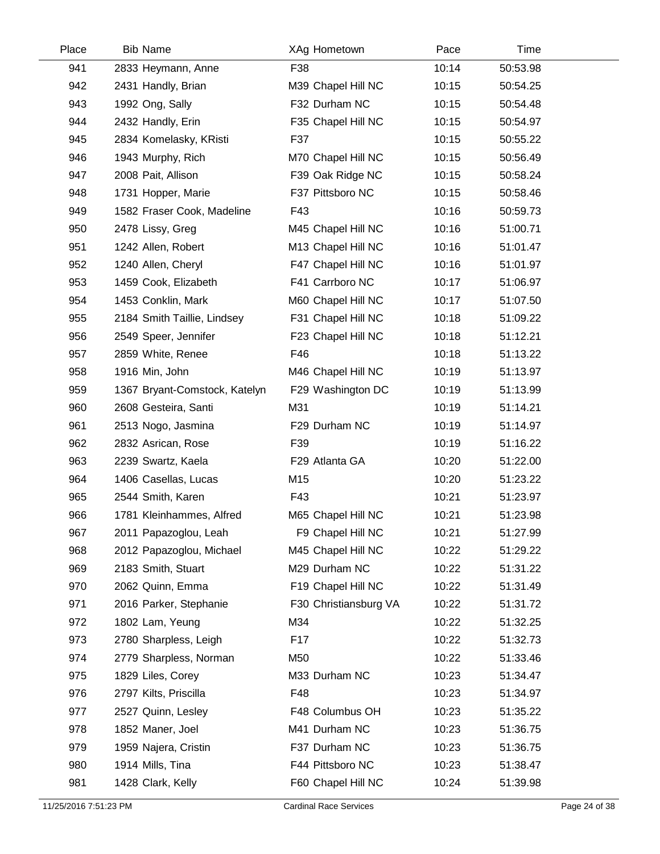| Place | <b>Bib Name</b>               | XAg Hometown          | Pace  | Time     |  |
|-------|-------------------------------|-----------------------|-------|----------|--|
| 941   | 2833 Heymann, Anne            | F38                   | 10:14 | 50:53.98 |  |
| 942   | 2431 Handly, Brian            | M39 Chapel Hill NC    | 10:15 | 50:54.25 |  |
| 943   | 1992 Ong, Sally               | F32 Durham NC         | 10:15 | 50:54.48 |  |
| 944   | 2432 Handly, Erin             | F35 Chapel Hill NC    | 10:15 | 50:54.97 |  |
| 945   | 2834 Komelasky, KRisti        | F37                   | 10:15 | 50:55.22 |  |
| 946   | 1943 Murphy, Rich             | M70 Chapel Hill NC    | 10:15 | 50:56.49 |  |
| 947   | 2008 Pait, Allison            | F39 Oak Ridge NC      | 10:15 | 50:58.24 |  |
| 948   | 1731 Hopper, Marie            | F37 Pittsboro NC      | 10:15 | 50:58.46 |  |
| 949   | 1582 Fraser Cook, Madeline    | F43                   | 10:16 | 50:59.73 |  |
| 950   | 2478 Lissy, Greg              | M45 Chapel Hill NC    | 10:16 | 51:00.71 |  |
| 951   | 1242 Allen, Robert            | M13 Chapel Hill NC    | 10:16 | 51:01.47 |  |
| 952   | 1240 Allen, Cheryl            | F47 Chapel Hill NC    | 10:16 | 51:01.97 |  |
| 953   | 1459 Cook, Elizabeth          | F41 Carrboro NC       | 10:17 | 51:06.97 |  |
| 954   | 1453 Conklin, Mark            | M60 Chapel Hill NC    | 10:17 | 51:07.50 |  |
| 955   | 2184 Smith Taillie, Lindsey   | F31 Chapel Hill NC    | 10:18 | 51:09.22 |  |
| 956   | 2549 Speer, Jennifer          | F23 Chapel Hill NC    | 10:18 | 51:12.21 |  |
| 957   | 2859 White, Renee             | F46                   | 10:18 | 51:13.22 |  |
| 958   | 1916 Min, John                | M46 Chapel Hill NC    | 10:19 | 51:13.97 |  |
| 959   | 1367 Bryant-Comstock, Katelyn | F29 Washington DC     | 10:19 | 51:13.99 |  |
| 960   | 2608 Gesteira, Santi          | M31                   | 10:19 | 51:14.21 |  |
| 961   | 2513 Nogo, Jasmina            | F29 Durham NC         | 10:19 | 51:14.97 |  |
| 962   | 2832 Asrican, Rose            | F39                   | 10:19 | 51:16.22 |  |
| 963   | 2239 Swartz, Kaela            | F29 Atlanta GA        | 10:20 | 51:22.00 |  |
| 964   | 1406 Casellas, Lucas          | M15                   | 10:20 | 51:23.22 |  |
| 965   | 2544 Smith, Karen             | F43                   | 10:21 | 51:23.97 |  |
| 966   | 1781 Kleinhammes, Alfred      | M65 Chapel Hill NC    | 10:21 | 51:23.98 |  |
| 967   | 2011 Papazoglou, Leah         | F9 Chapel Hill NC     | 10:21 | 51:27.99 |  |
| 968   | 2012 Papazoglou, Michael      | M45 Chapel Hill NC    | 10:22 | 51:29.22 |  |
| 969   | 2183 Smith, Stuart            | M29 Durham NC         | 10:22 | 51:31.22 |  |
| 970   | 2062 Quinn, Emma              | F19 Chapel Hill NC    | 10:22 | 51:31.49 |  |
| 971   | 2016 Parker, Stephanie        | F30 Christiansburg VA | 10:22 | 51:31.72 |  |
| 972   | 1802 Lam, Yeung               | M34                   | 10:22 | 51:32.25 |  |
| 973   | 2780 Sharpless, Leigh         | F <sub>17</sub>       | 10:22 | 51:32.73 |  |
| 974   | 2779 Sharpless, Norman        | M50                   | 10:22 | 51:33.46 |  |
| 975   | 1829 Liles, Corey             | M33 Durham NC         | 10:23 | 51:34.47 |  |
| 976   | 2797 Kilts, Priscilla         | F48                   | 10:23 | 51:34.97 |  |
| 977   | 2527 Quinn, Lesley            | F48 Columbus OH       | 10:23 | 51:35.22 |  |
| 978   | 1852 Maner, Joel              | M41 Durham NC         | 10:23 | 51:36.75 |  |
| 979   | 1959 Najera, Cristin          | F37 Durham NC         | 10:23 | 51:36.75 |  |
| 980   | 1914 Mills, Tina              | F44 Pittsboro NC      | 10:23 | 51:38.47 |  |
| 981   | 1428 Clark, Kelly             | F60 Chapel Hill NC    | 10:24 | 51:39.98 |  |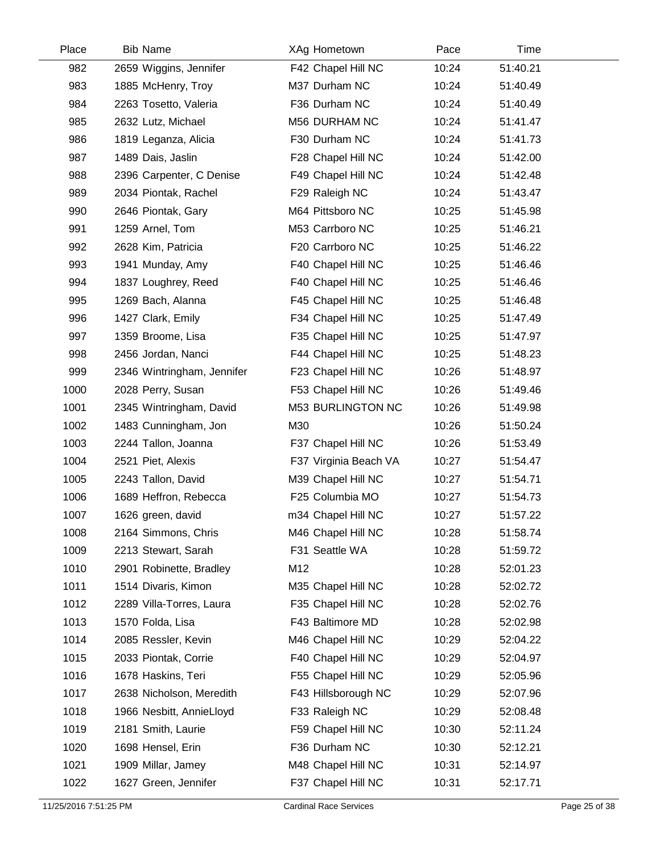| Place | <b>Bib Name</b>            | XAg Hometown          | Pace  | Time     |  |
|-------|----------------------------|-----------------------|-------|----------|--|
| 982   | 2659 Wiggins, Jennifer     | F42 Chapel Hill NC    | 10:24 | 51:40.21 |  |
| 983   | 1885 McHenry, Troy         | M37 Durham NC         | 10:24 | 51:40.49 |  |
| 984   | 2263 Tosetto, Valeria      | F36 Durham NC         | 10:24 | 51:40.49 |  |
| 985   | 2632 Lutz, Michael         | M56 DURHAM NC         | 10:24 | 51:41.47 |  |
| 986   | 1819 Leganza, Alicia       | F30 Durham NC         | 10:24 | 51:41.73 |  |
| 987   | 1489 Dais, Jaslin          | F28 Chapel Hill NC    | 10:24 | 51:42.00 |  |
| 988   | 2396 Carpenter, C Denise   | F49 Chapel Hill NC    | 10:24 | 51:42.48 |  |
| 989   | 2034 Piontak, Rachel       | F29 Raleigh NC        | 10:24 | 51:43.47 |  |
| 990   | 2646 Piontak, Gary         | M64 Pittsboro NC      | 10:25 | 51:45.98 |  |
| 991   | 1259 Arnel, Tom            | M53 Carrboro NC       | 10:25 | 51:46.21 |  |
| 992   | 2628 Kim, Patricia         | F20 Carrboro NC       | 10:25 | 51:46.22 |  |
| 993   | 1941 Munday, Amy           | F40 Chapel Hill NC    | 10:25 | 51:46.46 |  |
| 994   | 1837 Loughrey, Reed        | F40 Chapel Hill NC    | 10:25 | 51:46.46 |  |
| 995   | 1269 Bach, Alanna          | F45 Chapel Hill NC    | 10:25 | 51:46.48 |  |
| 996   | 1427 Clark, Emily          | F34 Chapel Hill NC    | 10:25 | 51:47.49 |  |
| 997   | 1359 Broome, Lisa          | F35 Chapel Hill NC    | 10:25 | 51:47.97 |  |
| 998   | 2456 Jordan, Nanci         | F44 Chapel Hill NC    | 10:25 | 51:48.23 |  |
| 999   | 2346 Wintringham, Jennifer | F23 Chapel Hill NC    | 10:26 | 51:48.97 |  |
| 1000  | 2028 Perry, Susan          | F53 Chapel Hill NC    | 10:26 | 51:49.46 |  |
| 1001  | 2345 Wintringham, David    | M53 BURLINGTON NC     | 10:26 | 51:49.98 |  |
| 1002  | 1483 Cunningham, Jon       | M30                   | 10:26 | 51:50.24 |  |
| 1003  | 2244 Tallon, Joanna        | F37 Chapel Hill NC    | 10:26 | 51:53.49 |  |
| 1004  | 2521 Piet, Alexis          | F37 Virginia Beach VA | 10:27 | 51:54.47 |  |
| 1005  | 2243 Tallon, David         | M39 Chapel Hill NC    | 10:27 | 51:54.71 |  |
| 1006  | 1689 Heffron, Rebecca      | F25 Columbia MO       | 10:27 | 51:54.73 |  |
| 1007  | 1626 green, david          | m34 Chapel Hill NC    | 10:27 | 51:57.22 |  |
| 1008  | 2164 Simmons, Chris        | M46 Chapel Hill NC    | 10:28 | 51:58.74 |  |
| 1009  | 2213 Stewart, Sarah        | F31 Seattle WA        | 10:28 | 51:59.72 |  |
| 1010  | 2901 Robinette, Bradley    | M12                   | 10:28 | 52:01.23 |  |
| 1011  | 1514 Divaris, Kimon        | M35 Chapel Hill NC    | 10:28 | 52:02.72 |  |
| 1012  | 2289 Villa-Torres, Laura   | F35 Chapel Hill NC    | 10:28 | 52:02.76 |  |
| 1013  | 1570 Folda, Lisa           | F43 Baltimore MD      | 10:28 | 52:02.98 |  |
| 1014  | 2085 Ressler, Kevin        | M46 Chapel Hill NC    | 10:29 | 52:04.22 |  |
| 1015  | 2033 Piontak, Corrie       | F40 Chapel Hill NC    | 10:29 | 52:04.97 |  |
| 1016  | 1678 Haskins, Teri         | F55 Chapel Hill NC    | 10:29 | 52:05.96 |  |
| 1017  | 2638 Nicholson, Meredith   | F43 Hillsborough NC   | 10:29 | 52:07.96 |  |
| 1018  | 1966 Nesbitt, AnnieLloyd   | F33 Raleigh NC        | 10:29 | 52:08.48 |  |
| 1019  | 2181 Smith, Laurie         | F59 Chapel Hill NC    | 10:30 | 52:11.24 |  |
| 1020  | 1698 Hensel, Erin          | F36 Durham NC         | 10:30 | 52:12.21 |  |
| 1021  | 1909 Millar, Jamey         | M48 Chapel Hill NC    | 10:31 | 52:14.97 |  |
| 1022  | 1627 Green, Jennifer       | F37 Chapel Hill NC    | 10:31 | 52:17.71 |  |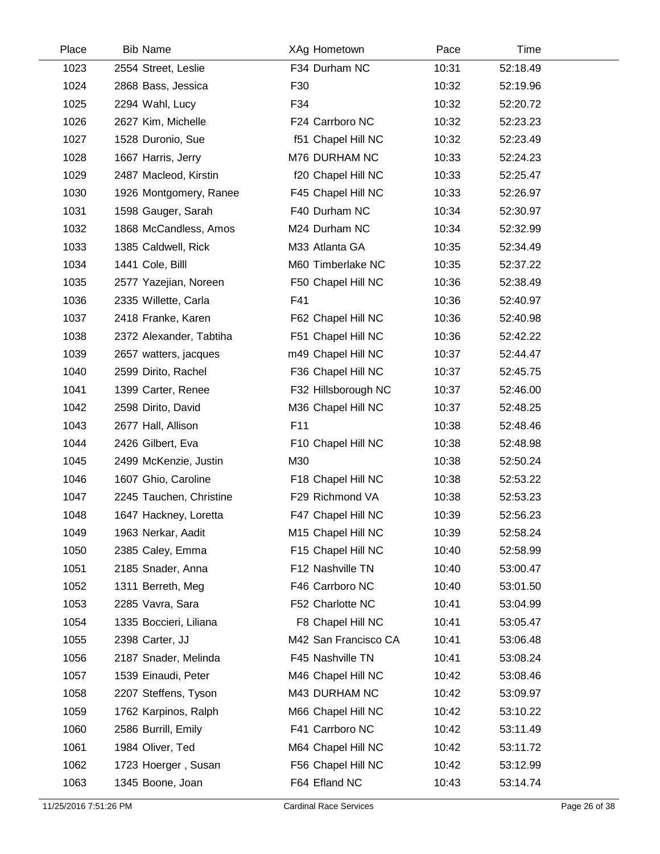| Place | <b>Bib Name</b>         | XAg Hometown         | Pace  | Time     |  |
|-------|-------------------------|----------------------|-------|----------|--|
| 1023  | 2554 Street, Leslie     | F34 Durham NC        | 10:31 | 52:18.49 |  |
| 1024  | 2868 Bass, Jessica      | F30                  | 10:32 | 52:19.96 |  |
| 1025  | 2294 Wahl, Lucy         | F34                  | 10:32 | 52:20.72 |  |
| 1026  | 2627 Kim, Michelle      | F24 Carrboro NC      | 10:32 | 52:23.23 |  |
| 1027  | 1528 Duronio, Sue       | f51 Chapel Hill NC   | 10:32 | 52:23.49 |  |
| 1028  | 1667 Harris, Jerry      | M76 DURHAM NC        | 10:33 | 52:24.23 |  |
| 1029  | 2487 Macleod, Kirstin   | f20 Chapel Hill NC   | 10:33 | 52:25.47 |  |
| 1030  | 1926 Montgomery, Ranee  | F45 Chapel Hill NC   | 10:33 | 52:26.97 |  |
| 1031  | 1598 Gauger, Sarah      | F40 Durham NC        | 10:34 | 52:30.97 |  |
| 1032  | 1868 McCandless, Amos   | M24 Durham NC        | 10:34 | 52:32.99 |  |
| 1033  | 1385 Caldwell, Rick     | M33 Atlanta GA       | 10:35 | 52:34.49 |  |
| 1034  | 1441 Cole, Billl        | M60 Timberlake NC    | 10:35 | 52:37.22 |  |
| 1035  | 2577 Yazejian, Noreen   | F50 Chapel Hill NC   | 10:36 | 52:38.49 |  |
| 1036  | 2335 Willette, Carla    | F41                  | 10:36 | 52:40.97 |  |
| 1037  | 2418 Franke, Karen      | F62 Chapel Hill NC   | 10:36 | 52:40.98 |  |
| 1038  | 2372 Alexander, Tabtiha | F51 Chapel Hill NC   | 10:36 | 52:42.22 |  |
| 1039  | 2657 watters, jacques   | m49 Chapel Hill NC   | 10:37 | 52:44.47 |  |
| 1040  | 2599 Dirito, Rachel     | F36 Chapel Hill NC   | 10:37 | 52:45.75 |  |
| 1041  | 1399 Carter, Renee      | F32 Hillsborough NC  | 10:37 | 52:46.00 |  |
| 1042  | 2598 Dirito, David      | M36 Chapel Hill NC   | 10:37 | 52:48.25 |  |
| 1043  | 2677 Hall, Allison      | F11                  | 10:38 | 52:48.46 |  |
| 1044  | 2426 Gilbert, Eva       | F10 Chapel Hill NC   | 10:38 | 52:48.98 |  |
| 1045  | 2499 McKenzie, Justin   | M30                  | 10:38 | 52:50.24 |  |
| 1046  | 1607 Ghio, Caroline     | F18 Chapel Hill NC   | 10:38 | 52:53.22 |  |
| 1047  | 2245 Tauchen, Christine | F29 Richmond VA      | 10:38 | 52:53.23 |  |
| 1048  | 1647 Hackney, Loretta   | F47 Chapel Hill NC   | 10:39 | 52:56.23 |  |
| 1049  | 1963 Nerkar, Aadit      | M15 Chapel Hill NC   | 10:39 | 52:58.24 |  |
| 1050  | 2385 Caley, Emma        | F15 Chapel Hill NC   | 10:40 | 52:58.99 |  |
| 1051  | 2185 Snader, Anna       | F12 Nashville TN     | 10:40 | 53:00.47 |  |
| 1052  | 1311 Berreth, Meg       | F46 Carrboro NC      | 10:40 | 53:01.50 |  |
| 1053  | 2285 Vavra, Sara        | F52 Charlotte NC     | 10:41 | 53:04.99 |  |
| 1054  | 1335 Boccieri, Liliana  | F8 Chapel Hill NC    | 10:41 | 53:05.47 |  |
| 1055  | 2398 Carter, JJ         | M42 San Francisco CA | 10:41 | 53:06.48 |  |
| 1056  | 2187 Snader, Melinda    | F45 Nashville TN     | 10:41 | 53:08.24 |  |
| 1057  | 1539 Einaudi, Peter     | M46 Chapel Hill NC   | 10:42 | 53:08.46 |  |
| 1058  | 2207 Steffens, Tyson    | M43 DURHAM NC        | 10:42 | 53:09.97 |  |
| 1059  | 1762 Karpinos, Ralph    | M66 Chapel Hill NC   | 10:42 | 53:10.22 |  |
| 1060  | 2586 Burrill, Emily     | F41 Carrboro NC      | 10:42 | 53:11.49 |  |
| 1061  | 1984 Oliver, Ted        | M64 Chapel Hill NC   | 10:42 | 53:11.72 |  |
| 1062  | 1723 Hoerger, Susan     | F56 Chapel Hill NC   | 10:42 | 53:12.99 |  |
| 1063  | 1345 Boone, Joan        | F64 Efland NC        | 10:43 | 53:14.74 |  |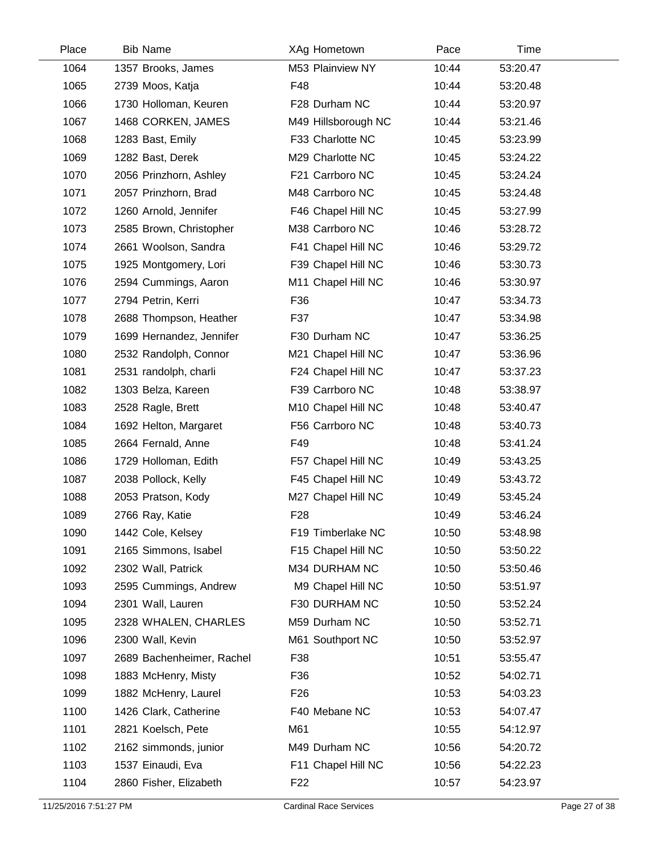| Place | <b>Bib Name</b>           | XAg Hometown        | Pace  | Time     |  |
|-------|---------------------------|---------------------|-------|----------|--|
| 1064  | 1357 Brooks, James        | M53 Plainview NY    | 10:44 | 53:20.47 |  |
| 1065  | 2739 Moos, Katja          | F48                 | 10:44 | 53:20.48 |  |
| 1066  | 1730 Holloman, Keuren     | F28 Durham NC       | 10:44 | 53:20.97 |  |
| 1067  | 1468 CORKEN, JAMES        | M49 Hillsborough NC | 10:44 | 53:21.46 |  |
| 1068  | 1283 Bast, Emily          | F33 Charlotte NC    | 10:45 | 53:23.99 |  |
| 1069  | 1282 Bast, Derek          | M29 Charlotte NC    | 10:45 | 53:24.22 |  |
| 1070  | 2056 Prinzhorn, Ashley    | F21 Carrboro NC     | 10:45 | 53:24.24 |  |
| 1071  | 2057 Prinzhorn, Brad      | M48 Carrboro NC     | 10:45 | 53:24.48 |  |
| 1072  | 1260 Arnold, Jennifer     | F46 Chapel Hill NC  | 10:45 | 53:27.99 |  |
| 1073  | 2585 Brown, Christopher   | M38 Carrboro NC     | 10:46 | 53:28.72 |  |
| 1074  | 2661 Woolson, Sandra      | F41 Chapel Hill NC  | 10:46 | 53:29.72 |  |
| 1075  | 1925 Montgomery, Lori     | F39 Chapel Hill NC  | 10:46 | 53:30.73 |  |
| 1076  | 2594 Cummings, Aaron      | M11 Chapel Hill NC  | 10:46 | 53:30.97 |  |
| 1077  | 2794 Petrin, Kerri        | F36                 | 10:47 | 53:34.73 |  |
| 1078  | 2688 Thompson, Heather    | F37                 | 10:47 | 53:34.98 |  |
| 1079  | 1699 Hernandez, Jennifer  | F30 Durham NC       | 10:47 | 53:36.25 |  |
| 1080  | 2532 Randolph, Connor     | M21 Chapel Hill NC  | 10:47 | 53:36.96 |  |
| 1081  | 2531 randolph, charli     | F24 Chapel Hill NC  | 10:47 | 53:37.23 |  |
| 1082  | 1303 Belza, Kareen        | F39 Carrboro NC     | 10:48 | 53:38.97 |  |
| 1083  | 2528 Ragle, Brett         | M10 Chapel Hill NC  | 10:48 | 53:40.47 |  |
| 1084  | 1692 Helton, Margaret     | F56 Carrboro NC     | 10:48 | 53:40.73 |  |
| 1085  | 2664 Fernald, Anne        | F49                 | 10:48 | 53:41.24 |  |
| 1086  | 1729 Holloman, Edith      | F57 Chapel Hill NC  | 10:49 | 53:43.25 |  |
| 1087  | 2038 Pollock, Kelly       | F45 Chapel Hill NC  | 10:49 | 53:43.72 |  |
| 1088  | 2053 Pratson, Kody        | M27 Chapel Hill NC  | 10:49 | 53:45.24 |  |
| 1089  | 2766 Ray, Katie           | F <sub>28</sub>     | 10:49 | 53:46.24 |  |
| 1090  | 1442 Cole, Kelsey         | F19 Timberlake NC   | 10:50 | 53:48.98 |  |
| 1091  | 2165 Simmons, Isabel      | F15 Chapel Hill NC  | 10:50 | 53:50.22 |  |
| 1092  | 2302 Wall, Patrick        | M34 DURHAM NC       | 10:50 | 53:50.46 |  |
| 1093  | 2595 Cummings, Andrew     | M9 Chapel Hill NC   | 10:50 | 53:51.97 |  |
| 1094  | 2301 Wall, Lauren         | F30 DURHAM NC       | 10:50 | 53:52.24 |  |
| 1095  | 2328 WHALEN, CHARLES      | M59 Durham NC       | 10:50 | 53:52.71 |  |
| 1096  | 2300 Wall, Kevin          | M61 Southport NC    | 10:50 | 53:52.97 |  |
| 1097  | 2689 Bachenheimer, Rachel | F38                 | 10:51 | 53:55.47 |  |
| 1098  | 1883 McHenry, Misty       | F36                 | 10:52 | 54:02.71 |  |
| 1099  | 1882 McHenry, Laurel      | F <sub>26</sub>     | 10:53 | 54:03.23 |  |
| 1100  | 1426 Clark, Catherine     | F40 Mebane NC       | 10:53 | 54:07.47 |  |
| 1101  | 2821 Koelsch, Pete        | M61                 | 10:55 | 54:12.97 |  |
| 1102  | 2162 simmonds, junior     | M49 Durham NC       | 10:56 | 54:20.72 |  |
| 1103  | 1537 Einaudi, Eva         | F11 Chapel Hill NC  | 10:56 | 54:22.23 |  |
| 1104  | 2860 Fisher, Elizabeth    | F <sub>22</sub>     | 10:57 | 54:23.97 |  |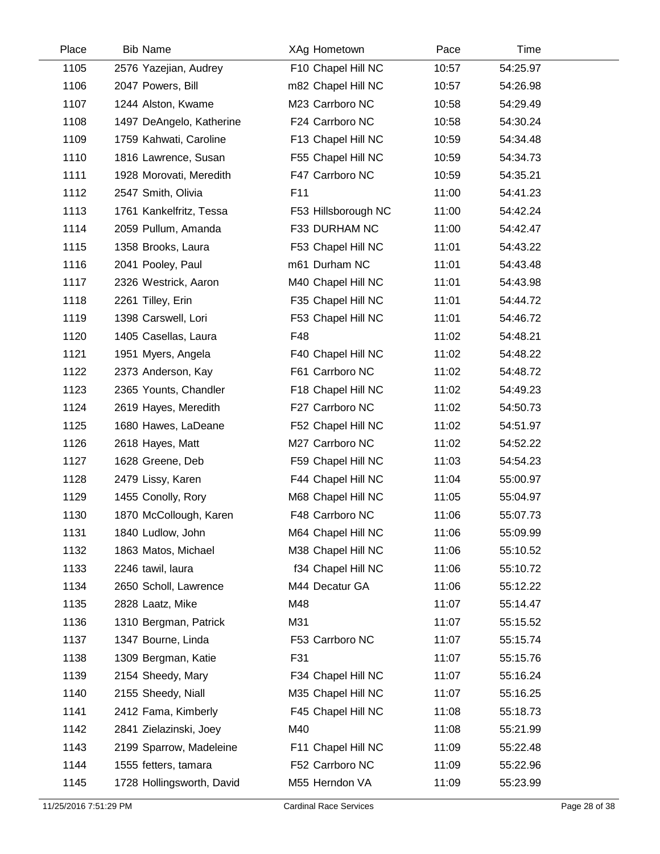| Place | <b>Bib Name</b>           | XAg Hometown        | Pace  | Time     |  |
|-------|---------------------------|---------------------|-------|----------|--|
| 1105  | 2576 Yazejian, Audrey     | F10 Chapel Hill NC  | 10:57 | 54:25.97 |  |
| 1106  | 2047 Powers, Bill         | m82 Chapel Hill NC  | 10:57 | 54:26.98 |  |
| 1107  | 1244 Alston, Kwame        | M23 Carrboro NC     | 10:58 | 54:29.49 |  |
| 1108  | 1497 DeAngelo, Katherine  | F24 Carrboro NC     | 10:58 | 54:30.24 |  |
| 1109  | 1759 Kahwati, Caroline    | F13 Chapel Hill NC  | 10:59 | 54:34.48 |  |
| 1110  | 1816 Lawrence, Susan      | F55 Chapel Hill NC  | 10:59 | 54:34.73 |  |
| 1111  | 1928 Morovati, Meredith   | F47 Carrboro NC     | 10:59 | 54:35.21 |  |
| 1112  | 2547 Smith, Olivia        | F11                 | 11:00 | 54:41.23 |  |
| 1113  | 1761 Kankelfritz, Tessa   | F53 Hillsborough NC | 11:00 | 54:42.24 |  |
| 1114  | 2059 Pullum, Amanda       | F33 DURHAM NC       | 11:00 | 54:42.47 |  |
| 1115  | 1358 Brooks, Laura        | F53 Chapel Hill NC  | 11:01 | 54:43.22 |  |
| 1116  | 2041 Pooley, Paul         | m61 Durham NC       | 11:01 | 54:43.48 |  |
| 1117  | 2326 Westrick, Aaron      | M40 Chapel Hill NC  | 11:01 | 54:43.98 |  |
| 1118  | 2261 Tilley, Erin         | F35 Chapel Hill NC  | 11:01 | 54:44.72 |  |
| 1119  | 1398 Carswell, Lori       | F53 Chapel Hill NC  | 11:01 | 54:46.72 |  |
| 1120  | 1405 Casellas, Laura      | F48                 | 11:02 | 54:48.21 |  |
| 1121  | 1951 Myers, Angela        | F40 Chapel Hill NC  | 11:02 | 54:48.22 |  |
| 1122  | 2373 Anderson, Kay        | F61 Carrboro NC     | 11:02 | 54:48.72 |  |
| 1123  | 2365 Younts, Chandler     | F18 Chapel Hill NC  | 11:02 | 54:49.23 |  |
| 1124  | 2619 Hayes, Meredith      | F27 Carrboro NC     | 11:02 | 54:50.73 |  |
| 1125  | 1680 Hawes, LaDeane       | F52 Chapel Hill NC  | 11:02 | 54:51.97 |  |
| 1126  | 2618 Hayes, Matt          | M27 Carrboro NC     | 11:02 | 54:52.22 |  |
| 1127  | 1628 Greene, Deb          | F59 Chapel Hill NC  | 11:03 | 54:54.23 |  |
| 1128  | 2479 Lissy, Karen         | F44 Chapel Hill NC  | 11:04 | 55:00.97 |  |
| 1129  | 1455 Conolly, Rory        | M68 Chapel Hill NC  | 11:05 | 55:04.97 |  |
| 1130  | 1870 McCollough, Karen    | F48 Carrboro NC     | 11:06 | 55:07.73 |  |
| 1131  | 1840 Ludlow, John         | M64 Chapel Hill NC  | 11:06 | 55:09.99 |  |
| 1132  | 1863 Matos, Michael       | M38 Chapel Hill NC  | 11:06 | 55:10.52 |  |
| 1133  | 2246 tawil, laura         | f34 Chapel Hill NC  | 11:06 | 55:10.72 |  |
| 1134  | 2650 Scholl, Lawrence     | M44 Decatur GA      | 11:06 | 55:12.22 |  |
| 1135  | 2828 Laatz, Mike          | M48                 | 11:07 | 55:14.47 |  |
| 1136  | 1310 Bergman, Patrick     | M31                 | 11:07 | 55:15.52 |  |
| 1137  | 1347 Bourne, Linda        | F53 Carrboro NC     | 11:07 | 55:15.74 |  |
| 1138  | 1309 Bergman, Katie       | F31                 | 11:07 | 55:15.76 |  |
| 1139  | 2154 Sheedy, Mary         | F34 Chapel Hill NC  | 11:07 | 55:16.24 |  |
| 1140  | 2155 Sheedy, Niall        | M35 Chapel Hill NC  | 11:07 | 55:16.25 |  |
| 1141  | 2412 Fama, Kimberly       | F45 Chapel Hill NC  | 11:08 | 55:18.73 |  |
| 1142  | 2841 Zielazinski, Joey    | M40                 | 11:08 | 55:21.99 |  |
| 1143  | 2199 Sparrow, Madeleine   | F11 Chapel Hill NC  | 11:09 | 55:22.48 |  |
| 1144  | 1555 fetters, tamara      | F52 Carrboro NC     | 11:09 | 55:22.96 |  |
| 1145  | 1728 Hollingsworth, David | M55 Herndon VA      | 11:09 | 55:23.99 |  |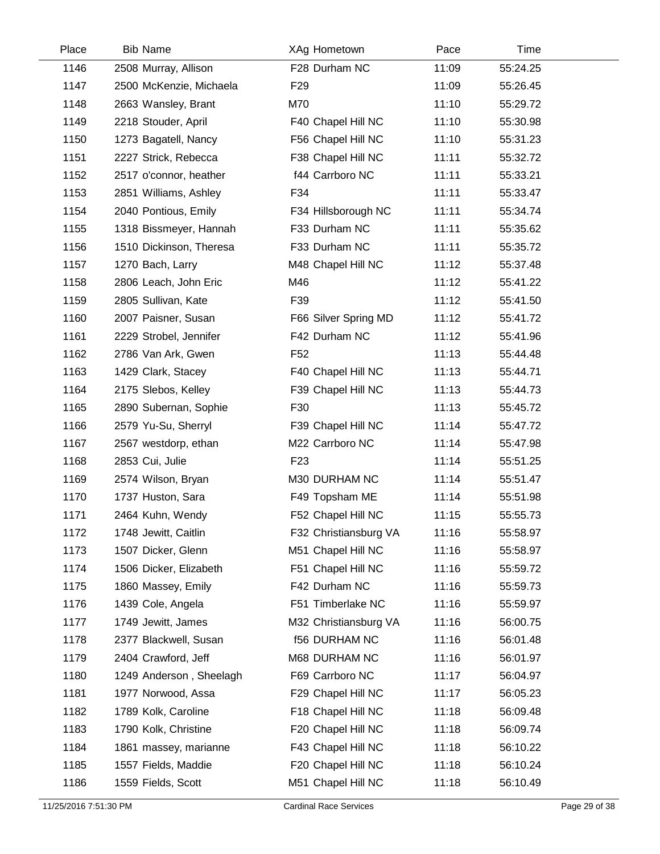| Place | <b>Bib Name</b>         | XAg Hometown          | Pace  | Time     |  |
|-------|-------------------------|-----------------------|-------|----------|--|
| 1146  | 2508 Murray, Allison    | F28 Durham NC         | 11:09 | 55:24.25 |  |
| 1147  | 2500 McKenzie, Michaela | F <sub>29</sub>       | 11:09 | 55:26.45 |  |
| 1148  | 2663 Wansley, Brant     | M70                   | 11:10 | 55:29.72 |  |
| 1149  | 2218 Stouder, April     | F40 Chapel Hill NC    | 11:10 | 55:30.98 |  |
| 1150  | 1273 Bagatell, Nancy    | F56 Chapel Hill NC    | 11:10 | 55:31.23 |  |
| 1151  | 2227 Strick, Rebecca    | F38 Chapel Hill NC    | 11:11 | 55:32.72 |  |
| 1152  | 2517 o'connor, heather  | f44 Carrboro NC       | 11:11 | 55:33.21 |  |
| 1153  | 2851 Williams, Ashley   | F34                   | 11:11 | 55:33.47 |  |
| 1154  | 2040 Pontious, Emily    | F34 Hillsborough NC   | 11:11 | 55:34.74 |  |
| 1155  | 1318 Bissmeyer, Hannah  | F33 Durham NC         | 11:11 | 55:35.62 |  |
| 1156  | 1510 Dickinson, Theresa | F33 Durham NC         | 11:11 | 55:35.72 |  |
| 1157  | 1270 Bach, Larry        | M48 Chapel Hill NC    | 11:12 | 55:37.48 |  |
| 1158  | 2806 Leach, John Eric   | M46                   | 11:12 | 55:41.22 |  |
| 1159  | 2805 Sullivan, Kate     | F39                   | 11:12 | 55:41.50 |  |
| 1160  | 2007 Paisner, Susan     | F66 Silver Spring MD  | 11:12 | 55:41.72 |  |
| 1161  | 2229 Strobel, Jennifer  | F42 Durham NC         | 11:12 | 55:41.96 |  |
| 1162  | 2786 Van Ark, Gwen      | F <sub>52</sub>       | 11:13 | 55:44.48 |  |
| 1163  | 1429 Clark, Stacey      | F40 Chapel Hill NC    | 11:13 | 55:44.71 |  |
| 1164  | 2175 Slebos, Kelley     | F39 Chapel Hill NC    | 11:13 | 55:44.73 |  |
| 1165  | 2890 Subernan, Sophie   | F30                   | 11:13 | 55:45.72 |  |
| 1166  | 2579 Yu-Su, Sherryl     | F39 Chapel Hill NC    | 11:14 | 55:47.72 |  |
| 1167  | 2567 westdorp, ethan    | M22 Carrboro NC       | 11:14 | 55:47.98 |  |
| 1168  | 2853 Cui, Julie         | F <sub>23</sub>       | 11:14 | 55:51.25 |  |
| 1169  | 2574 Wilson, Bryan      | M30 DURHAM NC         | 11:14 | 55:51.47 |  |
| 1170  | 1737 Huston, Sara       | F49 Topsham ME        | 11:14 | 55:51.98 |  |
| 1171  | 2464 Kuhn, Wendy        | F52 Chapel Hill NC    | 11:15 | 55:55.73 |  |
| 1172  | 1748 Jewitt, Caitlin    | F32 Christiansburg VA | 11:16 | 55:58.97 |  |
| 1173  | 1507 Dicker, Glenn      | M51 Chapel Hill NC    | 11:16 | 55:58.97 |  |
| 1174  | 1506 Dicker, Elizabeth  | F51 Chapel Hill NC    | 11:16 | 55:59.72 |  |
| 1175  | 1860 Massey, Emily      | F42 Durham NC         | 11:16 | 55:59.73 |  |
| 1176  | 1439 Cole, Angela       | F51 Timberlake NC     | 11:16 | 55:59.97 |  |
| 1177  | 1749 Jewitt, James      | M32 Christiansburg VA | 11:16 | 56:00.75 |  |
| 1178  | 2377 Blackwell, Susan   | <b>f56 DURHAM NC</b>  | 11:16 | 56:01.48 |  |
| 1179  | 2404 Crawford, Jeff     | M68 DURHAM NC         | 11:16 | 56:01.97 |  |
| 1180  | 1249 Anderson, Sheelagh | F69 Carrboro NC       | 11:17 | 56:04.97 |  |
| 1181  | 1977 Norwood, Assa      | F29 Chapel Hill NC    | 11:17 | 56:05.23 |  |
| 1182  | 1789 Kolk, Caroline     | F18 Chapel Hill NC    | 11:18 | 56:09.48 |  |
| 1183  | 1790 Kolk, Christine    | F20 Chapel Hill NC    | 11:18 | 56:09.74 |  |
| 1184  | 1861 massey, marianne   | F43 Chapel Hill NC    | 11:18 | 56:10.22 |  |
| 1185  | 1557 Fields, Maddie     | F20 Chapel Hill NC    | 11:18 | 56:10.24 |  |
| 1186  | 1559 Fields, Scott      | M51 Chapel Hill NC    | 11:18 | 56:10.49 |  |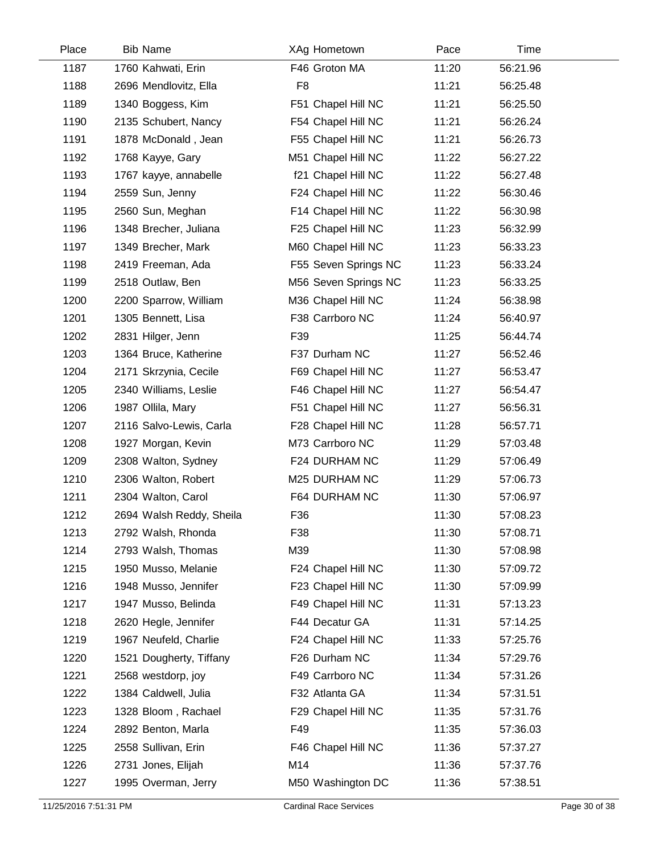| Place | <b>Bib Name</b>          | XAg Hometown         | Pace  | Time     |  |
|-------|--------------------------|----------------------|-------|----------|--|
| 1187  | 1760 Kahwati, Erin       | F46 Groton MA        | 11:20 | 56:21.96 |  |
| 1188  | 2696 Mendlovitz, Ella    | F <sub>8</sub>       | 11:21 | 56:25.48 |  |
| 1189  | 1340 Boggess, Kim        | F51 Chapel Hill NC   | 11:21 | 56:25.50 |  |
| 1190  | 2135 Schubert, Nancy     | F54 Chapel Hill NC   | 11:21 | 56:26.24 |  |
| 1191  | 1878 McDonald, Jean      | F55 Chapel Hill NC   | 11:21 | 56:26.73 |  |
| 1192  | 1768 Kayye, Gary         | M51 Chapel Hill NC   | 11:22 | 56:27.22 |  |
| 1193  | 1767 kayye, annabelle    | f21 Chapel Hill NC   | 11:22 | 56:27.48 |  |
| 1194  | 2559 Sun, Jenny          | F24 Chapel Hill NC   | 11:22 | 56:30.46 |  |
| 1195  | 2560 Sun, Meghan         | F14 Chapel Hill NC   | 11:22 | 56:30.98 |  |
| 1196  | 1348 Brecher, Juliana    | F25 Chapel Hill NC   | 11:23 | 56:32.99 |  |
| 1197  | 1349 Brecher, Mark       | M60 Chapel Hill NC   | 11:23 | 56:33.23 |  |
| 1198  | 2419 Freeman, Ada        | F55 Seven Springs NC | 11:23 | 56:33.24 |  |
| 1199  | 2518 Outlaw, Ben         | M56 Seven Springs NC | 11:23 | 56:33.25 |  |
| 1200  | 2200 Sparrow, William    | M36 Chapel Hill NC   | 11:24 | 56:38.98 |  |
| 1201  | 1305 Bennett, Lisa       | F38 Carrboro NC      | 11:24 | 56:40.97 |  |
| 1202  | 2831 Hilger, Jenn        | F39                  | 11:25 | 56:44.74 |  |
| 1203  | 1364 Bruce, Katherine    | F37 Durham NC        | 11:27 | 56:52.46 |  |
| 1204  | 2171 Skrzynia, Cecile    | F69 Chapel Hill NC   | 11:27 | 56:53.47 |  |
| 1205  | 2340 Williams, Leslie    | F46 Chapel Hill NC   | 11:27 | 56:54.47 |  |
| 1206  | 1987 Ollila, Mary        | F51 Chapel Hill NC   | 11:27 | 56:56.31 |  |
| 1207  | 2116 Salvo-Lewis, Carla  | F28 Chapel Hill NC   | 11:28 | 56:57.71 |  |
| 1208  | 1927 Morgan, Kevin       | M73 Carrboro NC      | 11:29 | 57:03.48 |  |
| 1209  | 2308 Walton, Sydney      | F24 DURHAM NC        | 11:29 | 57:06.49 |  |
| 1210  | 2306 Walton, Robert      | M25 DURHAM NC        | 11:29 | 57:06.73 |  |
| 1211  | 2304 Walton, Carol       | F64 DURHAM NC        | 11:30 | 57:06.97 |  |
| 1212  | 2694 Walsh Reddy, Sheila | F36                  | 11:30 | 57:08.23 |  |
| 1213  | 2792 Walsh, Rhonda       | F38                  | 11:30 | 57:08.71 |  |
| 1214  | 2793 Walsh, Thomas       | M39                  | 11:30 | 57:08.98 |  |
| 1215  | 1950 Musso, Melanie      | F24 Chapel Hill NC   | 11:30 | 57:09.72 |  |
| 1216  | 1948 Musso, Jennifer     | F23 Chapel Hill NC   | 11:30 | 57:09.99 |  |
| 1217  | 1947 Musso, Belinda      | F49 Chapel Hill NC   | 11:31 | 57:13.23 |  |
| 1218  | 2620 Hegle, Jennifer     | F44 Decatur GA       | 11:31 | 57:14.25 |  |
| 1219  | 1967 Neufeld, Charlie    | F24 Chapel Hill NC   | 11:33 | 57:25.76 |  |
| 1220  | 1521 Dougherty, Tiffany  | F26 Durham NC        | 11:34 | 57:29.76 |  |
| 1221  | 2568 westdorp, joy       | F49 Carrboro NC      | 11:34 | 57:31.26 |  |
| 1222  | 1384 Caldwell, Julia     | F32 Atlanta GA       | 11:34 | 57:31.51 |  |
| 1223  | 1328 Bloom, Rachael      | F29 Chapel Hill NC   | 11:35 | 57:31.76 |  |
| 1224  | 2892 Benton, Marla       | F49                  | 11:35 | 57:36.03 |  |
| 1225  | 2558 Sullivan, Erin      | F46 Chapel Hill NC   | 11:36 | 57:37.27 |  |
| 1226  | 2731 Jones, Elijah       | M14                  | 11:36 | 57:37.76 |  |
| 1227  | 1995 Overman, Jerry      | M50 Washington DC    | 11:36 | 57:38.51 |  |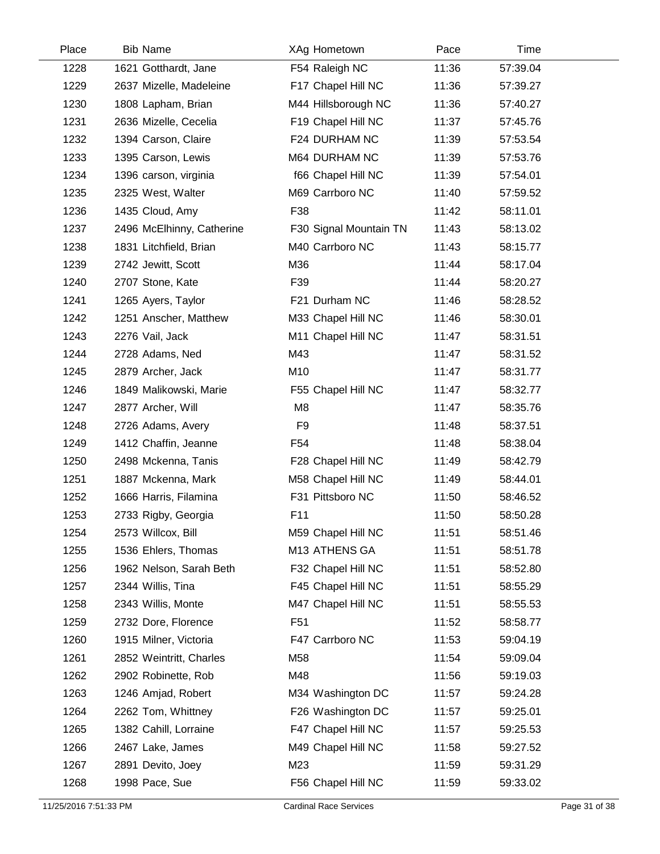| Place | <b>Bib Name</b>           | XAg Hometown           | Pace  | Time     |  |
|-------|---------------------------|------------------------|-------|----------|--|
| 1228  | 1621 Gotthardt, Jane      | F54 Raleigh NC         | 11:36 | 57:39.04 |  |
| 1229  | 2637 Mizelle, Madeleine   | F17 Chapel Hill NC     | 11:36 | 57:39.27 |  |
| 1230  | 1808 Lapham, Brian        | M44 Hillsborough NC    | 11:36 | 57:40.27 |  |
| 1231  | 2636 Mizelle, Cecelia     | F19 Chapel Hill NC     | 11:37 | 57:45.76 |  |
| 1232  | 1394 Carson, Claire       | F24 DURHAM NC          | 11:39 | 57:53.54 |  |
| 1233  | 1395 Carson, Lewis        | M64 DURHAM NC          | 11:39 | 57:53.76 |  |
| 1234  | 1396 carson, virginia     | f66 Chapel Hill NC     | 11:39 | 57:54.01 |  |
| 1235  | 2325 West, Walter         | M69 Carrboro NC        | 11:40 | 57:59.52 |  |
| 1236  | 1435 Cloud, Amy           | F38                    | 11:42 | 58:11.01 |  |
| 1237  | 2496 McElhinny, Catherine | F30 Signal Mountain TN | 11:43 | 58:13.02 |  |
| 1238  | 1831 Litchfield, Brian    | M40 Carrboro NC        | 11:43 | 58:15.77 |  |
| 1239  | 2742 Jewitt, Scott        | M36                    | 11:44 | 58:17.04 |  |
| 1240  | 2707 Stone, Kate          | F39                    | 11:44 | 58:20.27 |  |
| 1241  | 1265 Ayers, Taylor        | F21 Durham NC          | 11:46 | 58:28.52 |  |
| 1242  | 1251 Anscher, Matthew     | M33 Chapel Hill NC     | 11:46 | 58:30.01 |  |
| 1243  | 2276 Vail, Jack           | M11 Chapel Hill NC     | 11:47 | 58:31.51 |  |
| 1244  | 2728 Adams, Ned           | M43                    | 11:47 | 58:31.52 |  |
| 1245  | 2879 Archer, Jack         | M10                    | 11:47 | 58:31.77 |  |
| 1246  | 1849 Malikowski, Marie    | F55 Chapel Hill NC     | 11:47 | 58:32.77 |  |
| 1247  | 2877 Archer, Will         | M <sub>8</sub>         | 11:47 | 58:35.76 |  |
| 1248  | 2726 Adams, Avery         | F <sub>9</sub>         | 11:48 | 58:37.51 |  |
| 1249  | 1412 Chaffin, Jeanne      | F <sub>54</sub>        | 11:48 | 58:38.04 |  |
| 1250  | 2498 Mckenna, Tanis       | F28 Chapel Hill NC     | 11:49 | 58:42.79 |  |
| 1251  | 1887 Mckenna, Mark        | M58 Chapel Hill NC     | 11:49 | 58:44.01 |  |
| 1252  | 1666 Harris, Filamina     | F31 Pittsboro NC       | 11:50 | 58:46.52 |  |
| 1253  | 2733 Rigby, Georgia       | F11                    | 11:50 | 58:50.28 |  |
| 1254  | 2573 Willcox, Bill        | M59 Chapel Hill NC     | 11:51 | 58:51.46 |  |
| 1255  | 1536 Ehlers, Thomas       | M13 ATHENS GA          | 11:51 | 58:51.78 |  |
| 1256  | 1962 Nelson, Sarah Beth   | F32 Chapel Hill NC     | 11:51 | 58:52.80 |  |
| 1257  | 2344 Willis, Tina         | F45 Chapel Hill NC     | 11:51 | 58:55.29 |  |
| 1258  | 2343 Willis, Monte        | M47 Chapel Hill NC     | 11:51 | 58:55.53 |  |
| 1259  | 2732 Dore, Florence       | F <sub>51</sub>        | 11:52 | 58:58.77 |  |
| 1260  | 1915 Milner, Victoria     | F47 Carrboro NC        | 11:53 | 59:04.19 |  |
| 1261  | 2852 Weintritt, Charles   | M58                    | 11:54 | 59:09.04 |  |
| 1262  | 2902 Robinette, Rob       | M48                    | 11:56 | 59:19.03 |  |
| 1263  | 1246 Amjad, Robert        | M34 Washington DC      | 11:57 | 59:24.28 |  |
| 1264  | 2262 Tom, Whittney        | F26 Washington DC      | 11:57 | 59:25.01 |  |
| 1265  | 1382 Cahill, Lorraine     | F47 Chapel Hill NC     | 11:57 | 59:25.53 |  |
| 1266  | 2467 Lake, James          | M49 Chapel Hill NC     | 11:58 | 59:27.52 |  |
| 1267  | 2891 Devito, Joey         | M23                    | 11:59 | 59:31.29 |  |
| 1268  | 1998 Pace, Sue            | F56 Chapel Hill NC     | 11:59 | 59:33.02 |  |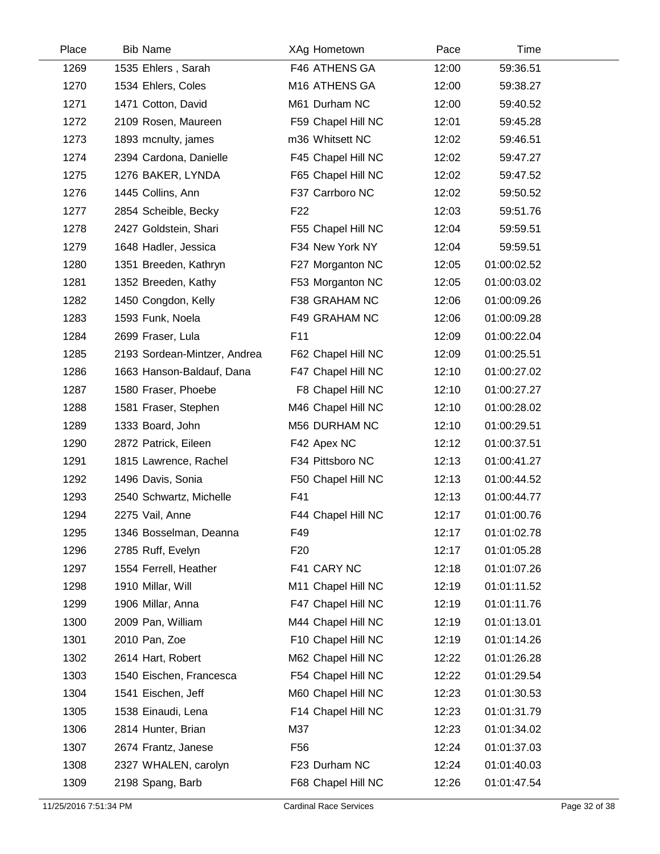| Place | <b>Bib Name</b>              | XAg Hometown       | Pace  | Time        |  |
|-------|------------------------------|--------------------|-------|-------------|--|
| 1269  | 1535 Ehlers, Sarah           | F46 ATHENS GA      | 12:00 | 59:36.51    |  |
| 1270  | 1534 Ehlers, Coles           | M16 ATHENS GA      | 12:00 | 59:38.27    |  |
| 1271  | 1471 Cotton, David           | M61 Durham NC      | 12:00 | 59:40.52    |  |
| 1272  | 2109 Rosen, Maureen          | F59 Chapel Hill NC | 12:01 | 59:45.28    |  |
| 1273  | 1893 mcnulty, james          | m36 Whitsett NC    | 12:02 | 59:46.51    |  |
| 1274  | 2394 Cardona, Danielle       | F45 Chapel Hill NC | 12:02 | 59:47.27    |  |
| 1275  | 1276 BAKER, LYNDA            | F65 Chapel Hill NC | 12:02 | 59:47.52    |  |
| 1276  | 1445 Collins, Ann            | F37 Carrboro NC    | 12:02 | 59:50.52    |  |
| 1277  | 2854 Scheible, Becky         | F <sub>22</sub>    | 12:03 | 59:51.76    |  |
| 1278  | 2427 Goldstein, Shari        | F55 Chapel Hill NC | 12:04 | 59:59.51    |  |
| 1279  | 1648 Hadler, Jessica         | F34 New York NY    | 12:04 | 59:59.51    |  |
| 1280  | 1351 Breeden, Kathryn        | F27 Morganton NC   | 12:05 | 01:00:02.52 |  |
| 1281  | 1352 Breeden, Kathy          | F53 Morganton NC   | 12:05 | 01:00:03.02 |  |
| 1282  | 1450 Congdon, Kelly          | F38 GRAHAM NC      | 12:06 | 01:00:09.26 |  |
| 1283  | 1593 Funk, Noela             | F49 GRAHAM NC      | 12:06 | 01:00:09.28 |  |
| 1284  | 2699 Fraser, Lula            | F11                | 12:09 | 01:00:22.04 |  |
| 1285  | 2193 Sordean-Mintzer, Andrea | F62 Chapel Hill NC | 12:09 | 01:00:25.51 |  |
| 1286  | 1663 Hanson-Baldauf, Dana    | F47 Chapel Hill NC | 12:10 | 01:00:27.02 |  |
| 1287  | 1580 Fraser, Phoebe          | F8 Chapel Hill NC  | 12:10 | 01:00:27.27 |  |
| 1288  | 1581 Fraser, Stephen         | M46 Chapel Hill NC | 12:10 | 01:00:28.02 |  |
| 1289  | 1333 Board, John             | M56 DURHAM NC      | 12:10 | 01:00:29.51 |  |
| 1290  | 2872 Patrick, Eileen         | F42 Apex NC        | 12:12 | 01:00:37.51 |  |
| 1291  | 1815 Lawrence, Rachel        | F34 Pittsboro NC   | 12:13 | 01:00:41.27 |  |
| 1292  | 1496 Davis, Sonia            | F50 Chapel Hill NC | 12:13 | 01:00:44.52 |  |
| 1293  | 2540 Schwartz, Michelle      | F41                | 12:13 | 01:00:44.77 |  |
| 1294  | 2275 Vail, Anne              | F44 Chapel Hill NC | 12:17 | 01:01:00.76 |  |
| 1295  | 1346 Bosselman, Deanna       | F49                | 12:17 | 01:01:02.78 |  |
| 1296  | 2785 Ruff, Evelyn            | F <sub>20</sub>    | 12:17 | 01:01:05.28 |  |
| 1297  | 1554 Ferrell, Heather        | F41 CARY NC        | 12:18 | 01:01:07.26 |  |
| 1298  | 1910 Millar, Will            | M11 Chapel Hill NC | 12:19 | 01:01:11.52 |  |
| 1299  | 1906 Millar, Anna            | F47 Chapel Hill NC | 12:19 | 01:01:11.76 |  |
| 1300  | 2009 Pan, William            | M44 Chapel Hill NC | 12:19 | 01:01:13.01 |  |
| 1301  | 2010 Pan, Zoe                | F10 Chapel Hill NC | 12:19 | 01:01:14.26 |  |
| 1302  | 2614 Hart, Robert            | M62 Chapel Hill NC | 12:22 | 01:01:26.28 |  |
| 1303  | 1540 Eischen, Francesca      | F54 Chapel Hill NC | 12:22 | 01:01:29.54 |  |
| 1304  | 1541 Eischen, Jeff           | M60 Chapel Hill NC | 12:23 | 01:01:30.53 |  |
| 1305  | 1538 Einaudi, Lena           | F14 Chapel Hill NC | 12:23 | 01:01:31.79 |  |
| 1306  | 2814 Hunter, Brian           | M37                | 12:23 | 01:01:34.02 |  |
| 1307  | 2674 Frantz, Janese          | F <sub>56</sub>    | 12:24 | 01:01:37.03 |  |
| 1308  | 2327 WHALEN, carolyn         | F23 Durham NC      | 12:24 | 01:01:40.03 |  |
| 1309  | 2198 Spang, Barb             | F68 Chapel Hill NC | 12:26 | 01:01:47.54 |  |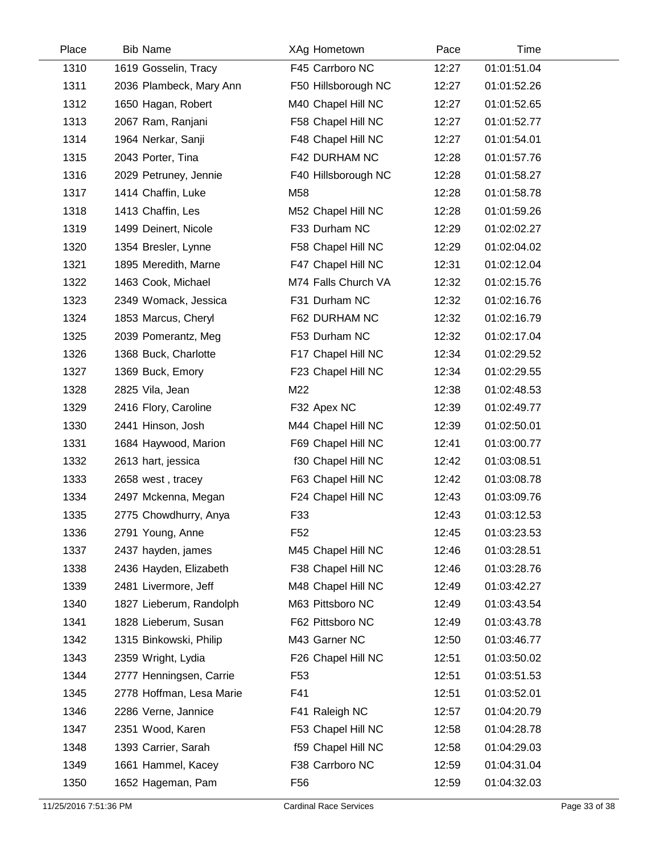| Place | <b>Bib Name</b>          | XAg Hometown        | Pace  | Time        |  |
|-------|--------------------------|---------------------|-------|-------------|--|
| 1310  | 1619 Gosselin, Tracy     | F45 Carrboro NC     | 12:27 | 01:01:51.04 |  |
| 1311  | 2036 Plambeck, Mary Ann  | F50 Hillsborough NC | 12:27 | 01:01:52.26 |  |
| 1312  | 1650 Hagan, Robert       | M40 Chapel Hill NC  | 12:27 | 01:01:52.65 |  |
| 1313  | 2067 Ram, Ranjani        | F58 Chapel Hill NC  | 12:27 | 01:01:52.77 |  |
| 1314  | 1964 Nerkar, Sanji       | F48 Chapel Hill NC  | 12:27 | 01:01:54.01 |  |
| 1315  | 2043 Porter, Tina        | F42 DURHAM NC       | 12:28 | 01:01:57.76 |  |
| 1316  | 2029 Petruney, Jennie    | F40 Hillsborough NC | 12:28 | 01:01:58.27 |  |
| 1317  | 1414 Chaffin, Luke       | M58                 | 12:28 | 01:01:58.78 |  |
| 1318  | 1413 Chaffin, Les        | M52 Chapel Hill NC  | 12:28 | 01:01:59.26 |  |
| 1319  | 1499 Deinert, Nicole     | F33 Durham NC       | 12:29 | 01:02:02.27 |  |
| 1320  | 1354 Bresler, Lynne      | F58 Chapel Hill NC  | 12:29 | 01:02:04.02 |  |
| 1321  | 1895 Meredith, Marne     | F47 Chapel Hill NC  | 12:31 | 01:02:12.04 |  |
| 1322  | 1463 Cook, Michael       | M74 Falls Church VA | 12:32 | 01:02:15.76 |  |
| 1323  | 2349 Womack, Jessica     | F31 Durham NC       | 12:32 | 01:02:16.76 |  |
| 1324  | 1853 Marcus, Cheryl      | F62 DURHAM NC       | 12:32 | 01:02:16.79 |  |
| 1325  | 2039 Pomerantz, Meg      | F53 Durham NC       | 12:32 | 01:02:17.04 |  |
| 1326  | 1368 Buck, Charlotte     | F17 Chapel Hill NC  | 12:34 | 01:02:29.52 |  |
| 1327  | 1369 Buck, Emory         | F23 Chapel Hill NC  | 12:34 | 01:02:29.55 |  |
| 1328  | 2825 Vila, Jean          | M22                 | 12:38 | 01:02:48.53 |  |
| 1329  | 2416 Flory, Caroline     | F32 Apex NC         | 12:39 | 01:02:49.77 |  |
| 1330  | 2441 Hinson, Josh        | M44 Chapel Hill NC  | 12:39 | 01:02:50.01 |  |
| 1331  | 1684 Haywood, Marion     | F69 Chapel Hill NC  | 12:41 | 01:03:00.77 |  |
| 1332  | 2613 hart, jessica       | f30 Chapel Hill NC  | 12:42 | 01:03:08.51 |  |
| 1333  | 2658 west, tracey        | F63 Chapel Hill NC  | 12:42 | 01:03:08.78 |  |
| 1334  | 2497 Mckenna, Megan      | F24 Chapel Hill NC  | 12:43 | 01:03:09.76 |  |
| 1335  | 2775 Chowdhurry, Anya    | F33                 | 12:43 | 01:03:12.53 |  |
| 1336  | 2791 Young, Anne         | F52                 | 12:45 | 01:03:23.53 |  |
| 1337  | 2437 hayden, james       | M45 Chapel Hill NC  | 12:46 | 01:03:28.51 |  |
| 1338  | 2436 Hayden, Elizabeth   | F38 Chapel Hill NC  | 12:46 | 01:03:28.76 |  |
| 1339  | 2481 Livermore, Jeff     | M48 Chapel Hill NC  | 12:49 | 01:03:42.27 |  |
| 1340  | 1827 Lieberum, Randolph  | M63 Pittsboro NC    | 12:49 | 01:03:43.54 |  |
| 1341  | 1828 Lieberum, Susan     | F62 Pittsboro NC    | 12:49 | 01:03:43.78 |  |
| 1342  | 1315 Binkowski, Philip   | M43 Garner NC       | 12:50 | 01:03:46.77 |  |
| 1343  | 2359 Wright, Lydia       | F26 Chapel Hill NC  | 12:51 | 01:03:50.02 |  |
| 1344  | 2777 Henningsen, Carrie  | F <sub>53</sub>     | 12:51 | 01:03:51.53 |  |
| 1345  | 2778 Hoffman, Lesa Marie | F41                 | 12:51 | 01:03:52.01 |  |
| 1346  | 2286 Verne, Jannice      | F41 Raleigh NC      | 12:57 | 01:04:20.79 |  |
| 1347  | 2351 Wood, Karen         | F53 Chapel Hill NC  | 12:58 | 01:04:28.78 |  |
| 1348  | 1393 Carrier, Sarah      | f59 Chapel Hill NC  | 12:58 | 01:04:29.03 |  |
| 1349  | 1661 Hammel, Kacey       | F38 Carrboro NC     | 12:59 | 01:04:31.04 |  |
| 1350  | 1652 Hageman, Pam        | F56                 | 12:59 | 01:04:32.03 |  |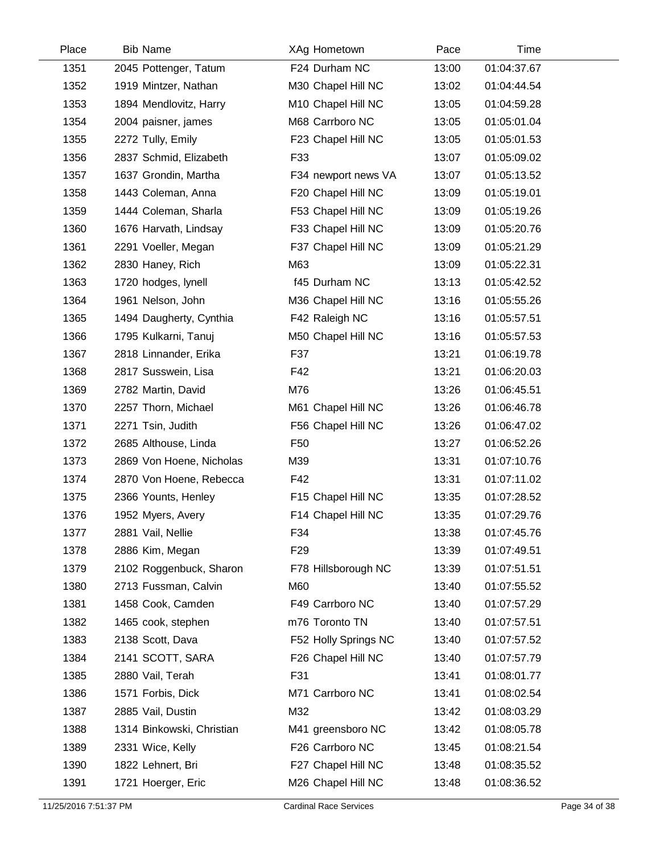| Place | <b>Bib Name</b>           | XAg Hometown         | Pace  | Time        |  |
|-------|---------------------------|----------------------|-------|-------------|--|
| 1351  | 2045 Pottenger, Tatum     | F24 Durham NC        | 13:00 | 01:04:37.67 |  |
| 1352  | 1919 Mintzer, Nathan      | M30 Chapel Hill NC   | 13:02 | 01:04:44.54 |  |
| 1353  | 1894 Mendlovitz, Harry    | M10 Chapel Hill NC   | 13:05 | 01:04:59.28 |  |
| 1354  | 2004 paisner, james       | M68 Carrboro NC      | 13:05 | 01:05:01.04 |  |
| 1355  | 2272 Tully, Emily         | F23 Chapel Hill NC   | 13:05 | 01:05:01.53 |  |
| 1356  | 2837 Schmid, Elizabeth    | F33                  | 13:07 | 01:05:09.02 |  |
| 1357  | 1637 Grondin, Martha      | F34 newport news VA  | 13:07 | 01:05:13.52 |  |
| 1358  | 1443 Coleman, Anna        | F20 Chapel Hill NC   | 13:09 | 01:05:19.01 |  |
| 1359  | 1444 Coleman, Sharla      | F53 Chapel Hill NC   | 13:09 | 01:05:19.26 |  |
| 1360  | 1676 Harvath, Lindsay     | F33 Chapel Hill NC   | 13:09 | 01:05:20.76 |  |
| 1361  | 2291 Voeller, Megan       | F37 Chapel Hill NC   | 13:09 | 01:05:21.29 |  |
| 1362  | 2830 Haney, Rich          | M63                  | 13:09 | 01:05:22.31 |  |
| 1363  | 1720 hodges, lynell       | f45 Durham NC        | 13:13 | 01:05:42.52 |  |
| 1364  | 1961 Nelson, John         | M36 Chapel Hill NC   | 13:16 | 01:05:55.26 |  |
| 1365  | 1494 Daugherty, Cynthia   | F42 Raleigh NC       | 13:16 | 01:05:57.51 |  |
| 1366  | 1795 Kulkarni, Tanuj      | M50 Chapel Hill NC   | 13:16 | 01:05:57.53 |  |
| 1367  | 2818 Linnander, Erika     | F37                  | 13:21 | 01:06:19.78 |  |
| 1368  | 2817 Susswein, Lisa       | F42                  | 13:21 | 01:06:20.03 |  |
| 1369  | 2782 Martin, David        | M76                  | 13:26 | 01:06:45.51 |  |
| 1370  | 2257 Thorn, Michael       | M61 Chapel Hill NC   | 13:26 | 01:06:46.78 |  |
| 1371  | 2271 Tsin, Judith         | F56 Chapel Hill NC   | 13:26 | 01:06:47.02 |  |
| 1372  | 2685 Althouse, Linda      | F <sub>50</sub>      | 13:27 | 01:06:52.26 |  |
| 1373  | 2869 Von Hoene, Nicholas  | M39                  | 13:31 | 01:07:10.76 |  |
| 1374  | 2870 Von Hoene, Rebecca   | F42                  | 13:31 | 01:07:11.02 |  |
| 1375  | 2366 Younts, Henley       | F15 Chapel Hill NC   | 13:35 | 01:07:28.52 |  |
| 1376  | 1952 Myers, Avery         | F14 Chapel Hill NC   | 13:35 | 01:07:29.76 |  |
| 1377  | 2881 Vail, Nellie         | F34                  | 13:38 | 01:07:45.76 |  |
| 1378  | 2886 Kim, Megan           | F <sub>29</sub>      | 13:39 | 01:07:49.51 |  |
| 1379  | 2102 Roggenbuck, Sharon   | F78 Hillsborough NC  | 13:39 | 01:07:51.51 |  |
| 1380  | 2713 Fussman, Calvin      | M60                  | 13:40 | 01:07:55.52 |  |
| 1381  | 1458 Cook, Camden         | F49 Carrboro NC      | 13:40 | 01:07:57.29 |  |
| 1382  | 1465 cook, stephen        | m76 Toronto TN       | 13:40 | 01:07:57.51 |  |
| 1383  | 2138 Scott, Dava          | F52 Holly Springs NC | 13:40 | 01:07:57.52 |  |
| 1384  | 2141 SCOTT, SARA          | F26 Chapel Hill NC   | 13:40 | 01:07:57.79 |  |
| 1385  | 2880 Vail, Terah          | F31                  | 13:41 | 01:08:01.77 |  |
| 1386  | 1571 Forbis, Dick         | M71 Carrboro NC      | 13:41 | 01:08:02.54 |  |
| 1387  | 2885 Vail, Dustin         | M32                  | 13:42 | 01:08:03.29 |  |
| 1388  | 1314 Binkowski, Christian | M41 greensboro NC    | 13:42 | 01:08:05.78 |  |
| 1389  | 2331 Wice, Kelly          | F26 Carrboro NC      | 13:45 | 01:08:21.54 |  |
| 1390  | 1822 Lehnert, Bri         | F27 Chapel Hill NC   | 13:48 | 01:08:35.52 |  |
| 1391  | 1721 Hoerger, Eric        | M26 Chapel Hill NC   | 13:48 | 01:08:36.52 |  |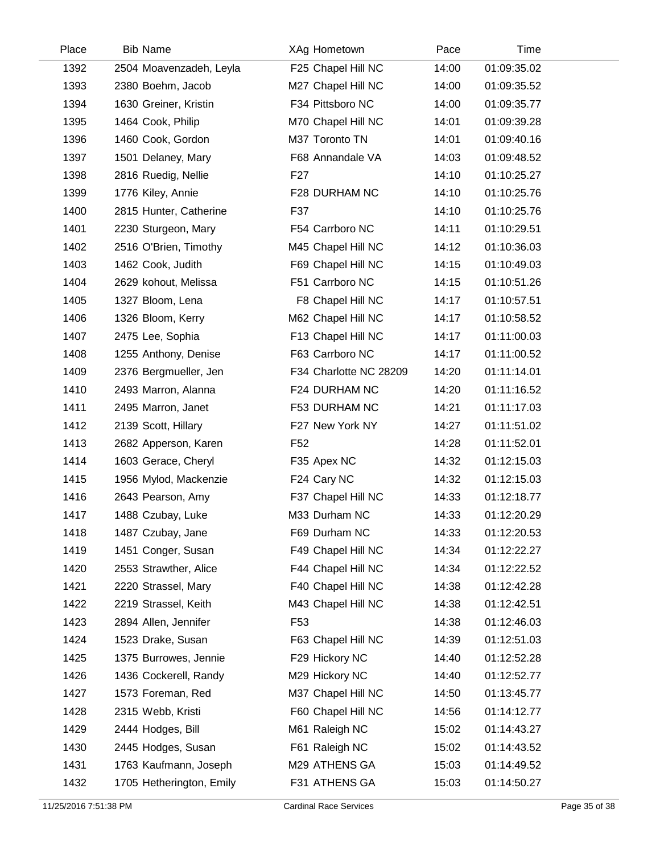| Place | <b>Bib Name</b>          | XAg Hometown           | Pace  | Time        |  |
|-------|--------------------------|------------------------|-------|-------------|--|
| 1392  | 2504 Moavenzadeh, Leyla  | F25 Chapel Hill NC     | 14:00 | 01:09:35.02 |  |
| 1393  | 2380 Boehm, Jacob        | M27 Chapel Hill NC     | 14:00 | 01:09:35.52 |  |
| 1394  | 1630 Greiner, Kristin    | F34 Pittsboro NC       | 14:00 | 01:09:35.77 |  |
| 1395  | 1464 Cook, Philip        | M70 Chapel Hill NC     | 14:01 | 01:09:39.28 |  |
| 1396  | 1460 Cook, Gordon        | M37 Toronto TN         | 14:01 | 01:09:40.16 |  |
| 1397  | 1501 Delaney, Mary       | F68 Annandale VA       | 14:03 | 01:09:48.52 |  |
| 1398  | 2816 Ruedig, Nellie      | F <sub>27</sub>        | 14:10 | 01:10:25.27 |  |
| 1399  | 1776 Kiley, Annie        | F28 DURHAM NC          | 14:10 | 01:10:25.76 |  |
| 1400  | 2815 Hunter, Catherine   | F37                    | 14:10 | 01:10:25.76 |  |
| 1401  | 2230 Sturgeon, Mary      | F54 Carrboro NC        | 14:11 | 01:10:29.51 |  |
| 1402  | 2516 O'Brien, Timothy    | M45 Chapel Hill NC     | 14:12 | 01:10:36.03 |  |
| 1403  | 1462 Cook, Judith        | F69 Chapel Hill NC     | 14:15 | 01:10:49.03 |  |
| 1404  | 2629 kohout, Melissa     | F51 Carrboro NC        | 14:15 | 01:10:51.26 |  |
| 1405  | 1327 Bloom, Lena         | F8 Chapel Hill NC      | 14:17 | 01:10:57.51 |  |
| 1406  | 1326 Bloom, Kerry        | M62 Chapel Hill NC     | 14:17 | 01:10:58.52 |  |
| 1407  | 2475 Lee, Sophia         | F13 Chapel Hill NC     | 14:17 | 01:11:00.03 |  |
| 1408  | 1255 Anthony, Denise     | F63 Carrboro NC        | 14:17 | 01:11:00.52 |  |
| 1409  | 2376 Bergmueller, Jen    | F34 Charlotte NC 28209 | 14:20 | 01:11:14.01 |  |
| 1410  | 2493 Marron, Alanna      | F24 DURHAM NC          | 14:20 | 01:11:16.52 |  |
| 1411  | 2495 Marron, Janet       | F53 DURHAM NC          | 14:21 | 01:11:17.03 |  |
| 1412  | 2139 Scott, Hillary      | F27 New York NY        | 14:27 | 01:11:51.02 |  |
| 1413  | 2682 Apperson, Karen     | F52                    | 14:28 | 01:11:52.01 |  |
| 1414  | 1603 Gerace, Cheryl      | F35 Apex NC            | 14:32 | 01:12:15.03 |  |
| 1415  | 1956 Mylod, Mackenzie    | F24 Cary NC            | 14:32 | 01:12:15.03 |  |
| 1416  | 2643 Pearson, Amy        | F37 Chapel Hill NC     | 14:33 | 01:12:18.77 |  |
| 1417  | 1488 Czubay, Luke        | M33 Durham NC          | 14:33 | 01:12:20.29 |  |
| 1418  | 1487 Czubay, Jane        | F69 Durham NC          | 14:33 | 01:12:20.53 |  |
| 1419  | 1451 Conger, Susan       | F49 Chapel Hill NC     | 14:34 | 01:12:22.27 |  |
| 1420  | 2553 Strawther, Alice    | F44 Chapel Hill NC     | 14:34 | 01:12:22.52 |  |
| 1421  | 2220 Strassel, Mary      | F40 Chapel Hill NC     | 14:38 | 01:12:42.28 |  |
| 1422  | 2219 Strassel, Keith     | M43 Chapel Hill NC     | 14:38 | 01:12:42.51 |  |
| 1423  | 2894 Allen, Jennifer     | F <sub>53</sub>        | 14:38 | 01:12:46.03 |  |
| 1424  | 1523 Drake, Susan        | F63 Chapel Hill NC     | 14:39 | 01:12:51.03 |  |
| 1425  | 1375 Burrowes, Jennie    | F29 Hickory NC         | 14:40 | 01:12:52.28 |  |
| 1426  | 1436 Cockerell, Randy    | M29 Hickory NC         | 14:40 | 01:12:52.77 |  |
| 1427  | 1573 Foreman, Red        | M37 Chapel Hill NC     | 14:50 | 01:13:45.77 |  |
| 1428  | 2315 Webb, Kristi        | F60 Chapel Hill NC     | 14:56 | 01:14:12.77 |  |
| 1429  | 2444 Hodges, Bill        | M61 Raleigh NC         | 15:02 | 01:14:43.27 |  |
| 1430  | 2445 Hodges, Susan       | F61 Raleigh NC         | 15:02 | 01:14:43.52 |  |
| 1431  | 1763 Kaufmann, Joseph    | M29 ATHENS GA          | 15:03 | 01:14:49.52 |  |
| 1432  | 1705 Hetherington, Emily | F31 ATHENS GA          | 15:03 | 01:14:50.27 |  |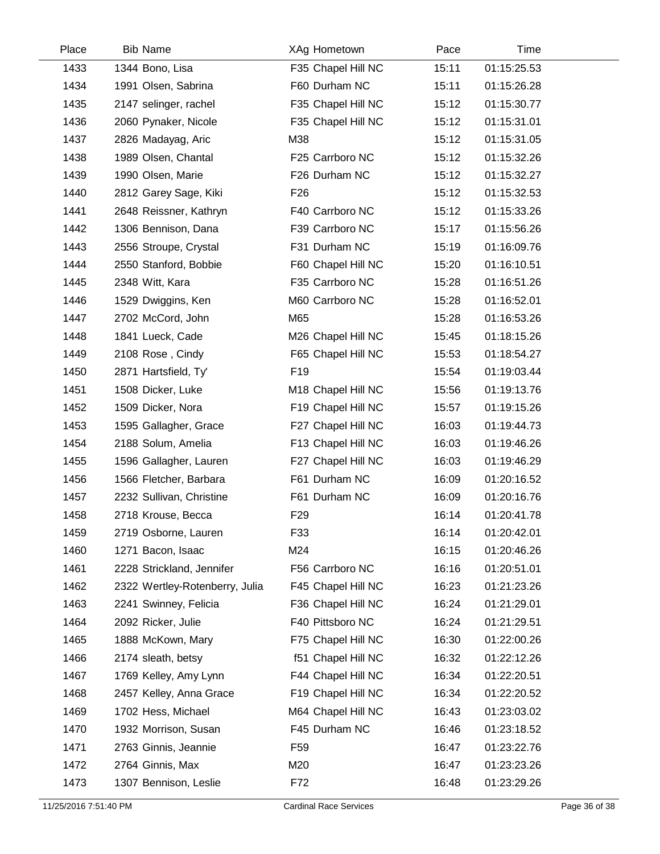| Place | <b>Bib Name</b>                | XAg Hometown       | Pace  | Time        |  |
|-------|--------------------------------|--------------------|-------|-------------|--|
| 1433  | 1344 Bono, Lisa                | F35 Chapel Hill NC | 15:11 | 01:15:25.53 |  |
| 1434  | 1991 Olsen, Sabrina            | F60 Durham NC      | 15:11 | 01:15:26.28 |  |
| 1435  | 2147 selinger, rachel          | F35 Chapel Hill NC | 15:12 | 01:15:30.77 |  |
| 1436  | 2060 Pynaker, Nicole           | F35 Chapel Hill NC | 15:12 | 01:15:31.01 |  |
| 1437  | 2826 Madayag, Aric             | M38                | 15:12 | 01:15:31.05 |  |
| 1438  | 1989 Olsen, Chantal            | F25 Carrboro NC    | 15:12 | 01:15:32.26 |  |
| 1439  | 1990 Olsen, Marie              | F26 Durham NC      | 15:12 | 01:15:32.27 |  |
| 1440  | 2812 Garey Sage, Kiki          | F <sub>26</sub>    | 15:12 | 01:15:32.53 |  |
| 1441  | 2648 Reissner, Kathryn         | F40 Carrboro NC    | 15:12 | 01:15:33.26 |  |
| 1442  | 1306 Bennison, Dana            | F39 Carrboro NC    | 15:17 | 01:15:56.26 |  |
| 1443  | 2556 Stroupe, Crystal          | F31 Durham NC      | 15:19 | 01:16:09.76 |  |
| 1444  | 2550 Stanford, Bobbie          | F60 Chapel Hill NC | 15:20 | 01:16:10.51 |  |
| 1445  | 2348 Witt, Kara                | F35 Carrboro NC    | 15:28 | 01:16:51.26 |  |
| 1446  | 1529 Dwiggins, Ken             | M60 Carrboro NC    | 15:28 | 01:16:52.01 |  |
| 1447  | 2702 McCord, John              | M65                | 15:28 | 01:16:53.26 |  |
| 1448  | 1841 Lueck, Cade               | M26 Chapel Hill NC | 15:45 | 01:18:15.26 |  |
| 1449  | 2108 Rose, Cindy               | F65 Chapel Hill NC | 15:53 | 01:18:54.27 |  |
| 1450  | 2871 Hartsfield, Ty'           | F <sub>19</sub>    | 15:54 | 01:19:03.44 |  |
| 1451  | 1508 Dicker, Luke              | M18 Chapel Hill NC | 15:56 | 01:19:13.76 |  |
| 1452  | 1509 Dicker, Nora              | F19 Chapel Hill NC | 15:57 | 01:19:15.26 |  |
| 1453  | 1595 Gallagher, Grace          | F27 Chapel Hill NC | 16:03 | 01:19:44.73 |  |
| 1454  | 2188 Solum, Amelia             | F13 Chapel Hill NC | 16:03 | 01:19:46.26 |  |
| 1455  | 1596 Gallagher, Lauren         | F27 Chapel Hill NC | 16:03 | 01:19:46.29 |  |
| 1456  | 1566 Fletcher, Barbara         | F61 Durham NC      | 16:09 | 01:20:16.52 |  |
| 1457  | 2232 Sullivan, Christine       | F61 Durham NC      | 16:09 | 01:20:16.76 |  |
| 1458  | 2718 Krouse, Becca             | F <sub>29</sub>    | 16:14 | 01:20:41.78 |  |
| 1459  | 2719 Osborne, Lauren           | F33                | 16:14 | 01:20:42.01 |  |
| 1460  | 1271 Bacon, Isaac              | M24                | 16:15 | 01:20:46.26 |  |
| 1461  | 2228 Strickland, Jennifer      | F56 Carrboro NC    | 16:16 | 01:20:51.01 |  |
| 1462  | 2322 Wertley-Rotenberry, Julia | F45 Chapel Hill NC | 16:23 | 01:21:23.26 |  |
| 1463  | 2241 Swinney, Felicia          | F36 Chapel Hill NC | 16:24 | 01:21:29.01 |  |
| 1464  | 2092 Ricker, Julie             | F40 Pittsboro NC   | 16:24 | 01:21:29.51 |  |
| 1465  | 1888 McKown, Mary              | F75 Chapel Hill NC | 16:30 | 01:22:00.26 |  |
| 1466  | 2174 sleath, betsy             | f51 Chapel Hill NC | 16:32 | 01:22:12.26 |  |
| 1467  | 1769 Kelley, Amy Lynn          | F44 Chapel Hill NC | 16:34 | 01:22:20.51 |  |
| 1468  | 2457 Kelley, Anna Grace        | F19 Chapel Hill NC | 16:34 | 01:22:20.52 |  |
| 1469  | 1702 Hess, Michael             | M64 Chapel Hill NC | 16:43 | 01:23:03.02 |  |
| 1470  | 1932 Morrison, Susan           | F45 Durham NC      | 16:46 | 01:23:18.52 |  |
| 1471  | 2763 Ginnis, Jeannie           | F <sub>59</sub>    | 16:47 | 01:23:22.76 |  |
| 1472  | 2764 Ginnis, Max               | M20                | 16:47 | 01:23:23.26 |  |
| 1473  | 1307 Bennison, Leslie          | F72                | 16:48 | 01:23:29.26 |  |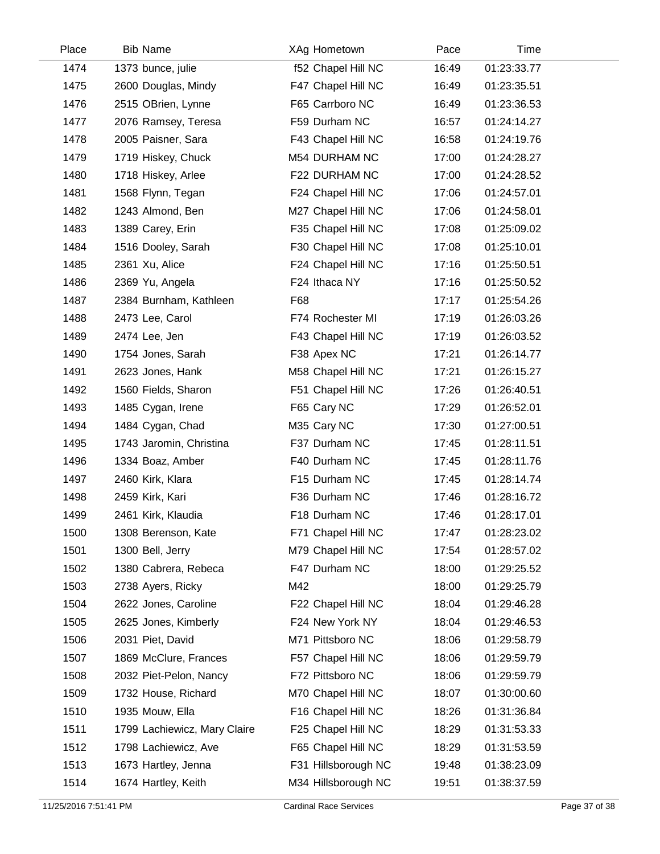| Place | <b>Bib Name</b>              | XAg Hometown        | Pace  | Time        |  |
|-------|------------------------------|---------------------|-------|-------------|--|
| 1474  | 1373 bunce, julie            | f52 Chapel Hill NC  | 16:49 | 01:23:33.77 |  |
| 1475  | 2600 Douglas, Mindy          | F47 Chapel Hill NC  | 16:49 | 01:23:35.51 |  |
| 1476  | 2515 OBrien, Lynne           | F65 Carrboro NC     | 16:49 | 01:23:36.53 |  |
| 1477  | 2076 Ramsey, Teresa          | F59 Durham NC       | 16:57 | 01:24:14.27 |  |
| 1478  | 2005 Paisner, Sara           | F43 Chapel Hill NC  | 16:58 | 01:24:19.76 |  |
| 1479  | 1719 Hiskey, Chuck           | M54 DURHAM NC       | 17:00 | 01:24:28.27 |  |
| 1480  | 1718 Hiskey, Arlee           | F22 DURHAM NC       | 17:00 | 01:24:28.52 |  |
| 1481  | 1568 Flynn, Tegan            | F24 Chapel Hill NC  | 17:06 | 01:24:57.01 |  |
| 1482  | 1243 Almond, Ben             | M27 Chapel Hill NC  | 17:06 | 01:24:58.01 |  |
| 1483  | 1389 Carey, Erin             | F35 Chapel Hill NC  | 17:08 | 01:25:09.02 |  |
| 1484  | 1516 Dooley, Sarah           | F30 Chapel Hill NC  | 17:08 | 01:25:10.01 |  |
| 1485  | 2361 Xu, Alice               | F24 Chapel Hill NC  | 17:16 | 01:25:50.51 |  |
| 1486  | 2369 Yu, Angela              | F24 Ithaca NY       | 17:16 | 01:25:50.52 |  |
| 1487  | 2384 Burnham, Kathleen       | F68                 | 17:17 | 01:25:54.26 |  |
| 1488  | 2473 Lee, Carol              | F74 Rochester MI    | 17:19 | 01:26:03.26 |  |
| 1489  | 2474 Lee, Jen                | F43 Chapel Hill NC  | 17:19 | 01:26:03.52 |  |
| 1490  | 1754 Jones, Sarah            | F38 Apex NC         | 17:21 | 01:26:14.77 |  |
| 1491  | 2623 Jones, Hank             | M58 Chapel Hill NC  | 17:21 | 01:26:15.27 |  |
| 1492  | 1560 Fields, Sharon          | F51 Chapel Hill NC  | 17:26 | 01:26:40.51 |  |
| 1493  | 1485 Cygan, Irene            | F65 Cary NC         | 17:29 | 01:26:52.01 |  |
| 1494  | 1484 Cygan, Chad             | M35 Cary NC         | 17:30 | 01:27:00.51 |  |
| 1495  | 1743 Jaromin, Christina      | F37 Durham NC       | 17:45 | 01:28:11.51 |  |
| 1496  | 1334 Boaz, Amber             | F40 Durham NC       | 17:45 | 01:28:11.76 |  |
| 1497  | 2460 Kirk, Klara             | F15 Durham NC       | 17:45 | 01:28:14.74 |  |
| 1498  | 2459 Kirk, Kari              | F36 Durham NC       | 17:46 | 01:28:16.72 |  |
| 1499  | 2461 Kirk, Klaudia           | F18 Durham NC       | 17:46 | 01:28:17.01 |  |
| 1500  | 1308 Berenson, Kate          | F71 Chapel Hill NC  | 17:47 | 01:28:23.02 |  |
| 1501  | 1300 Bell, Jerry             | M79 Chapel Hill NC  | 17:54 | 01:28:57.02 |  |
| 1502  | 1380 Cabrera, Rebeca         | F47 Durham NC       | 18:00 | 01:29:25.52 |  |
| 1503  | 2738 Ayers, Ricky            | M42                 | 18:00 | 01:29:25.79 |  |
| 1504  | 2622 Jones, Caroline         | F22 Chapel Hill NC  | 18:04 | 01:29:46.28 |  |
| 1505  | 2625 Jones, Kimberly         | F24 New York NY     | 18:04 | 01:29:46.53 |  |
| 1506  | 2031 Piet, David             | M71 Pittsboro NC    | 18:06 | 01:29:58.79 |  |
| 1507  | 1869 McClure, Frances        | F57 Chapel Hill NC  | 18:06 | 01:29:59.79 |  |
| 1508  | 2032 Piet-Pelon, Nancy       | F72 Pittsboro NC    | 18:06 | 01:29:59.79 |  |
| 1509  | 1732 House, Richard          | M70 Chapel Hill NC  | 18:07 | 01:30:00.60 |  |
| 1510  | 1935 Mouw, Ella              | F16 Chapel Hill NC  | 18:26 | 01:31:36.84 |  |
| 1511  | 1799 Lachiewicz, Mary Claire | F25 Chapel Hill NC  | 18:29 | 01:31:53.33 |  |
| 1512  | 1798 Lachiewicz, Ave         | F65 Chapel Hill NC  | 18:29 | 01:31:53.59 |  |
| 1513  | 1673 Hartley, Jenna          | F31 Hillsborough NC | 19:48 | 01:38:23.09 |  |
| 1514  | 1674 Hartley, Keith          | M34 Hillsborough NC | 19:51 | 01:38:37.59 |  |